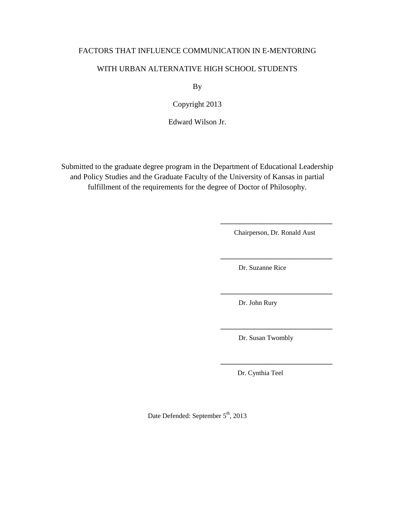# FACTORS THAT INFLUENCE COMMUNICATION IN E-MENTORING

## WITH URBAN ALTERNATIVE HIGH SCHOOL STUDENTS

By

Copyright 2013

Edward Wilson Jr.

Submitted to the graduate degree program in the Department of Educational Leadership and Policy Studies and the Graduate Faculty of the University of Kansas in partial fulfillment of the requirements for the degree of Doctor of Philosophy.

> **\_\_\_\_\_\_\_\_\_\_\_\_\_\_\_\_\_\_\_\_\_\_\_\_\_\_\_\_\_\_\_\_\_** Chairperson, Dr. Ronald Aust

> **\_\_\_\_\_\_\_\_\_\_\_\_\_\_\_\_\_\_\_\_\_\_\_\_\_\_\_\_\_\_\_\_\_**

**\_\_\_\_\_\_\_\_\_\_\_\_\_\_\_\_\_\_\_\_\_\_\_\_\_\_\_\_\_\_\_\_\_**

**\_\_\_\_\_\_\_\_\_\_\_\_\_\_\_\_\_\_\_\_\_\_\_\_\_\_\_\_\_\_\_\_\_**

**\_\_\_\_\_\_\_\_\_\_\_\_\_\_\_\_\_\_\_\_\_\_\_\_\_\_\_\_\_\_\_\_\_**

Dr. Suzanne Rice

Dr. John Rury

Dr. Susan Twombly

Dr. Cynthia Teel

Date Defended: September 5<sup>th</sup>, 2013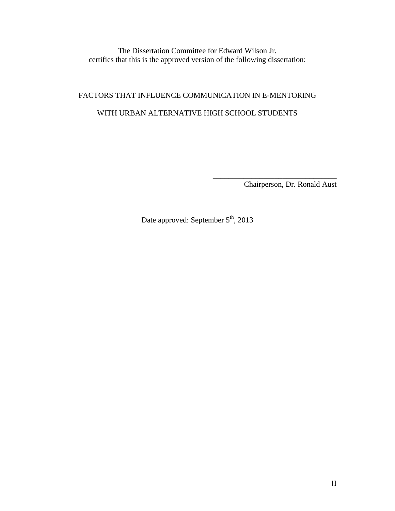The Dissertation Committee for Edward Wilson Jr. certifies that this is the approved version of the following dissertation:

# FACTORS THAT INFLUENCE COMMUNICATION IN E-MENTORING WITH URBAN ALTERNATIVE HIGH SCHOOL STUDENTS

 $\overline{\phantom{a}}$  ,  $\overline{\phantom{a}}$  ,  $\overline{\phantom{a}}$  ,  $\overline{\phantom{a}}$  ,  $\overline{\phantom{a}}$  ,  $\overline{\phantom{a}}$  ,  $\overline{\phantom{a}}$  ,  $\overline{\phantom{a}}$  ,  $\overline{\phantom{a}}$  ,  $\overline{\phantom{a}}$  ,  $\overline{\phantom{a}}$  ,  $\overline{\phantom{a}}$  ,  $\overline{\phantom{a}}$  ,  $\overline{\phantom{a}}$  ,  $\overline{\phantom{a}}$  ,  $\overline{\phantom{a}}$ Chairperson, Dr. Ronald Aust

Date approved: September 5<sup>th</sup>, 2013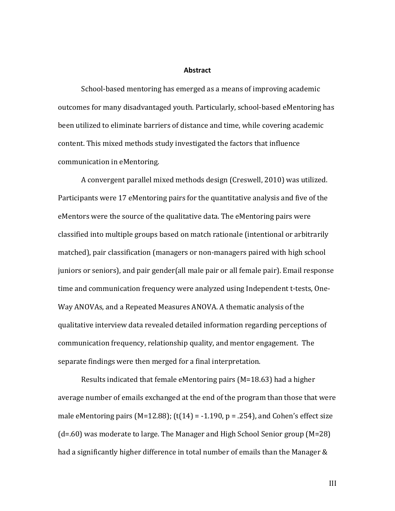#### **Abstract**

School-based mentoring has emerged as a means of improving academic outcomes for many disadvantaged youth. Particularly, school-based eMentoring has been utilized to eliminate barriers of distance and time, while covering academic content. This mixed methods study investigated the factors that influence communication in eMentoring.

A convergent parallel mixed methods design (Creswell, 2010) was utilized. Participants were 17 eMentoring pairs for the quantitative analysis and five of the eMentors were the source of the qualitative data. The eMentoring pairs were classified into multiple groups based on match rationale (intentional or arbitrarily matched), pair classification (managers or non-managers paired with high school juniors or seniors), and pair gender(all male pair or all female pair). Email response time and communication frequency were analyzed using Independent t-tests, One-Way ANOVAs, and a Repeated Measures ANOVA. A thematic analysis of the qualitative interview data revealed detailed information regarding perceptions of communication frequency, relationship quality, and mentor engagement. The separate findings were then merged for a final interpretation.

Results indicated that female eMentoring pairs (M=18.63) had a higher average number of emails exchanged at the end of the program than those that were male eMentoring pairs (M=12.88); (t(14) =  $-1.190$ , p = .254), and Cohen's effect size (d=.60) was moderate to large. The Manager and High School Senior group (M=28) had a significantly higher difference in total number of emails than the Manager &

III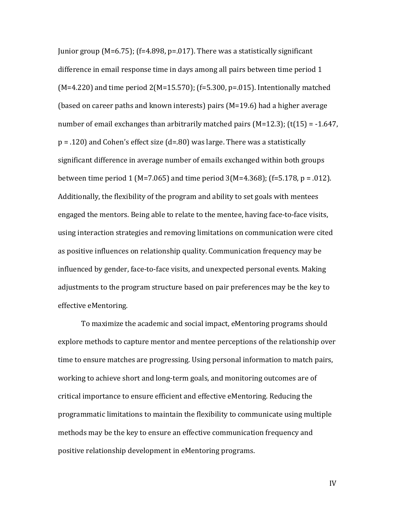Junior group  $(M=6.75)$ ; (f=4.898, p=.017). There was a statistically significant difference in email response time in days among all pairs between time period 1  $(M=4.220)$  and time period  $2(M=15.570)$ ; (f=5.300, p=.015). Intentionally matched (based on career paths and known interests) pairs (M=19.6) had a higher average number of email exchanges than arbitrarily matched pairs  $(M=12.3)$ ;  $(t(15) = -1.647)$ , p = .120) and Cohen's effect size (d=.80) was large. There was a statistically significant difference in average number of emails exchanged within both groups between time period 1 (M=7.065) and time period  $3(M=4.368)$ ; (f=5.178, p = .012). Additionally, the flexibility of the program and ability to set goals with mentees engaged the mentors. Being able to relate to the mentee, having face-to-face visits, using interaction strategies and removing limitations on communication were cited as positive influences on relationship quality. Communication frequency may be influenced by gender, face-to-face visits, and unexpected personal events. Making adjustments to the program structure based on pair preferences may be the key to effective eMentoring.

To maximize the academic and social impact, eMentoring programs should explore methods to capture mentor and mentee perceptions of the relationship over time to ensure matches are progressing. Using personal information to match pairs, working to achieve short and long-term goals, and monitoring outcomes are of critical importance to ensure efficient and effective eMentoring. Reducing the programmatic limitations to maintain the flexibility to communicate using multiple methods may be the key to ensure an effective communication frequency and positive relationship development in eMentoring programs.

IV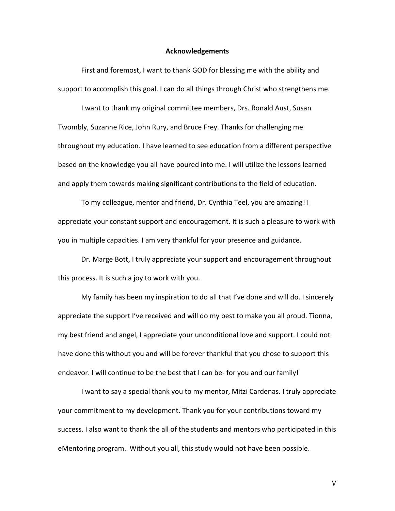#### **Acknowledgements**

First and foremost, I want to thank GOD for blessing me with the ability and support to accomplish this goal. I can do all things through Christ who strengthens me.

I want to thank my original committee members, Drs. Ronald Aust, Susan Twombly, Suzanne Rice, John Rury, and Bruce Frey. Thanks for challenging me throughout my education. I have learned to see education from a different perspective based on the knowledge you all have poured into me. I will utilize the lessons learned and apply them towards making significant contributions to the field of education.

To my colleague, mentor and friend, Dr. Cynthia Teel, you are amazing! I appreciate your constant support and encouragement. It is such a pleasure to work with you in multiple capacities. I am very thankful for your presence and guidance.

Dr. Marge Bott, I truly appreciate your support and encouragement throughout this process. It is such a joy to work with you.

My family has been my inspiration to do all that I've done and will do. I sincerely appreciate the support I've received and will do my best to make you all proud. Tionna, my best friend and angel, I appreciate your unconditional love and support. I could not have done this without you and will be forever thankful that you chose to support this endeavor. I will continue to be the best that I can be- for you and our family!

I want to say a special thank you to my mentor, Mitzi Cardenas. I truly appreciate your commitment to my development. Thank you for your contributions toward my success. I also want to thank the all of the students and mentors who participated in this eMentoring program. Without you all, this study would not have been possible.

V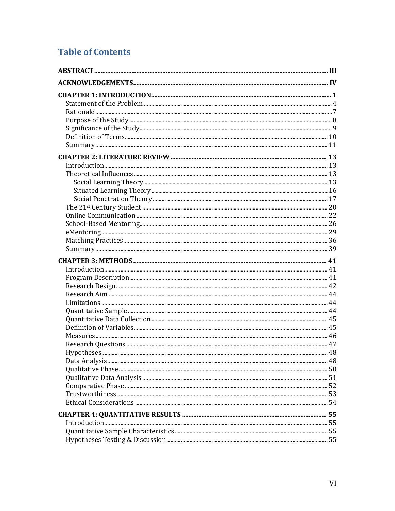# **Table of Contents**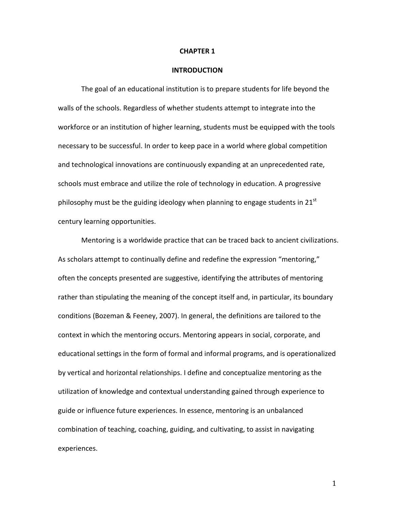#### **CHAPTER 1**

#### **INTRODUCTION**

The goal of an educational institution is to prepare students for life beyond the walls of the schools. Regardless of whether students attempt to integrate into the workforce or an institution of higher learning, students must be equipped with the tools necessary to be successful. In order to keep pace in a world where global competition and technological innovations are continuously expanding at an unprecedented rate, schools must embrace and utilize the role of technology in education. A progressive philosophy must be the guiding ideology when planning to engage students in  $21^{st}$ century learning opportunities.

Mentoring is a worldwide practice that can be traced back to ancient civilizations. As scholars attempt to continually define and redefine the expression "mentoring," often the concepts presented are suggestive, identifying the attributes of mentoring rather than stipulating the meaning of the concept itself and, in particular, its boundary conditions (Bozeman & Feeney, 2007). In general, the definitions are tailored to the context in which the mentoring occurs. Mentoring appears in social, corporate, and educational settings in the form of formal and informal programs, and is operationalized by vertical and horizontal relationships. I define and conceptualize mentoring as the utilization of knowledge and contextual understanding gained through experience to guide or influence future experiences. In essence, mentoring is an unbalanced combination of teaching, coaching, guiding, and cultivating, to assist in navigating experiences.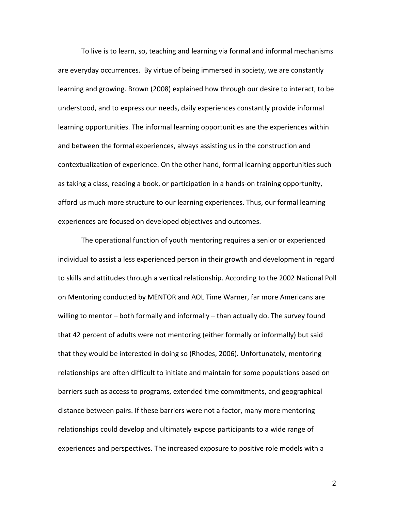To live is to learn, so, teaching and learning via formal and informal mechanisms are everyday occurrences. By virtue of being immersed in society, we are constantly learning and growing. Brown (2008) explained how through our desire to interact, to be understood, and to express our needs, daily experiences constantly provide informal learning opportunities. The informal learning opportunities are the experiences within and between the formal experiences, always assisting us in the construction and contextualization of experience. On the other hand, formal learning opportunities such as taking a class, reading a book, or participation in a hands-on training opportunity, afford us much more structure to our learning experiences. Thus, our formal learning experiences are focused on developed objectives and outcomes.

The operational function of youth mentoring requires a senior or experienced individual to assist a less experienced person in their growth and development in regard to skills and attitudes through a vertical relationship. According to the 2002 National Poll on Mentoring conducted by MENTOR and AOL Time Warner, far more Americans are willing to mentor – both formally and informally – than actually do. The survey found that 42 percent of adults were not mentoring (either formally or informally) but said that they would be interested in doing so (Rhodes, 2006). Unfortunately, mentoring relationships are often difficult to initiate and maintain for some populations based on barriers such as access to programs, extended time commitments, and geographical distance between pairs. If these barriers were not a factor, many more mentoring relationships could develop and ultimately expose participants to a wide range of experiences and perspectives. The increased exposure to positive role models with a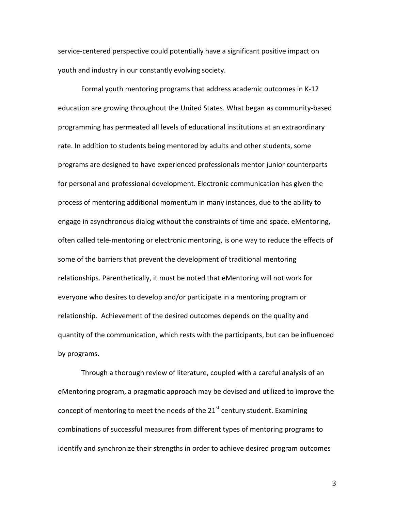service-centered perspective could potentially have a significant positive impact on youth and industry in our constantly evolving society.

Formal youth mentoring programs that address academic outcomes in K-12 education are growing throughout the United States. What began as community-based programming has permeated all levels of educational institutions at an extraordinary rate. In addition to students being mentored by adults and other students, some programs are designed to have experienced professionals mentor junior counterparts for personal and professional development. Electronic communication has given the process of mentoring additional momentum in many instances, due to the ability to engage in asynchronous dialog without the constraints of time and space. eMentoring, often called tele-mentoring or electronic mentoring, is one way to reduce the effects of some of the barriers that prevent the development of traditional mentoring relationships. Parenthetically, it must be noted that eMentoring will not work for everyone who desires to develop and/or participate in a mentoring program or relationship. Achievement of the desired outcomes depends on the quality and quantity of the communication, which rests with the participants, but can be influenced by programs.

Through a thorough review of literature, coupled with a careful analysis of an eMentoring program, a pragmatic approach may be devised and utilized to improve the concept of mentoring to meet the needs of the  $21<sup>st</sup>$  century student. Examining combinations of successful measures from different types of mentoring programs to identify and synchronize their strengths in order to achieve desired program outcomes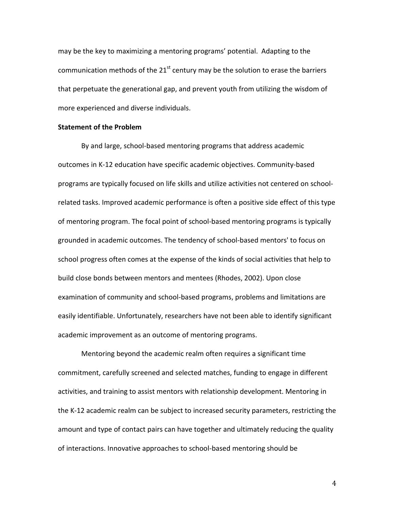may be the key to maximizing a mentoring programs' potential. Adapting to the communication methods of the  $21<sup>st</sup>$  century may be the solution to erase the barriers that perpetuate the generational gap, and prevent youth from utilizing the wisdom of more experienced and diverse individuals.

## **Statement of the Problem**

By and large, school-based mentoring programs that address academic outcomes in K-12 education have specific academic objectives. Community-based programs are typically focused on life skills and utilize activities not centered on schoolrelated tasks. Improved academic performance is often a positive side effect of this type of mentoring program. The focal point of school-based mentoring programs is typically grounded in academic outcomes. The tendency of school-based mentors' to focus on school progress often comes at the expense of the kinds of social activities that help to build close bonds between mentors and mentees (Rhodes, 2002). Upon close examination of community and school-based programs, problems and limitations are easily identifiable. Unfortunately, researchers have not been able to identify significant academic improvement as an outcome of mentoring programs.

Mentoring beyond the academic realm often requires a significant time commitment, carefully screened and selected matches, funding to engage in different activities, and training to assist mentors with relationship development. Mentoring in the K-12 academic realm can be subject to increased security parameters, restricting the amount and type of contact pairs can have together and ultimately reducing the quality of interactions. Innovative approaches to school-based mentoring should be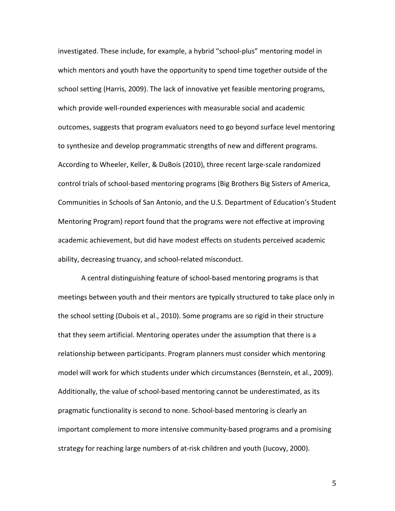investigated. These include, for example, a hybrid "school-plus" mentoring model in which mentors and youth have the opportunity to spend time together outside of the school setting (Harris, 2009). The lack of innovative yet feasible mentoring programs, which provide well-rounded experiences with measurable social and academic outcomes, suggests that program evaluators need to go beyond surface level mentoring to synthesize and develop programmatic strengths of new and different programs. According to Wheeler, Keller, & DuBois (2010), three recent large-scale randomized control trials of school-based mentoring programs (Big Brothers Big Sisters of America, Communities in Schools of San Antonio, and the U.S. Department of Education's Student Mentoring Program) report found that the programs were not effective at improving academic achievement, but did have modest effects on students perceived academic ability, decreasing truancy, and school-related misconduct.

A central distinguishing feature of school-based mentoring programs is that meetings between youth and their mentors are typically structured to take place only in the school setting (Dubois et al., 2010). Some programs are so rigid in their structure that they seem artificial. Mentoring operates under the assumption that there is a relationship between participants. Program planners must consider which mentoring model will work for which students under which circumstances (Bernstein, et al., 2009). Additionally, the value of school-based mentoring cannot be underestimated, as its pragmatic functionality is second to none. School-based mentoring is clearly an important complement to more intensive community-based programs and a promising strategy for reaching large numbers of at-risk children and youth (Jucovy, 2000).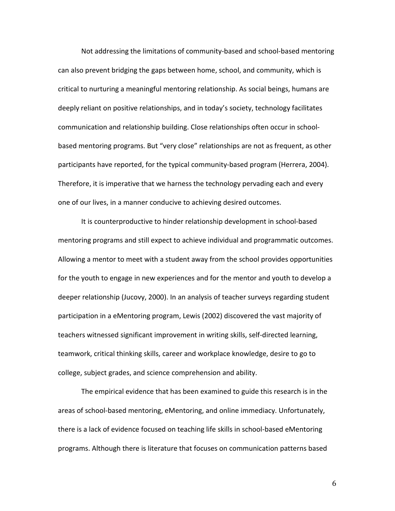Not addressing the limitations of community-based and school-based mentoring can also prevent bridging the gaps between home, school, and community, which is critical to nurturing a meaningful mentoring relationship. As social beings, humans are deeply reliant on positive relationships, and in today's society, technology facilitates communication and relationship building. Close relationships often occur in schoolbased mentoring programs. But "very close" relationships are not as frequent, as other participants have reported, for the typical community-based program (Herrera, 2004). Therefore, it is imperative that we harness the technology pervading each and every one of our lives, in a manner conducive to achieving desired outcomes.

It is counterproductive to hinder relationship development in school-based mentoring programs and still expect to achieve individual and programmatic outcomes. Allowing a mentor to meet with a student away from the school provides opportunities for the youth to engage in new experiences and for the mentor and youth to develop a deeper relationship (Jucovy, 2000). In an analysis of teacher surveys regarding student participation in a eMentoring program, Lewis (2002) discovered the vast majority of teachers witnessed significant improvement in writing skills, self-directed learning, teamwork, critical thinking skills, career and workplace knowledge, desire to go to college, subject grades, and science comprehension and ability.

The empirical evidence that has been examined to guide this research is in the areas of school-based mentoring, eMentoring, and online immediacy. Unfortunately, there is a lack of evidence focused on teaching life skills in school-based eMentoring programs. Although there is literature that focuses on communication patterns based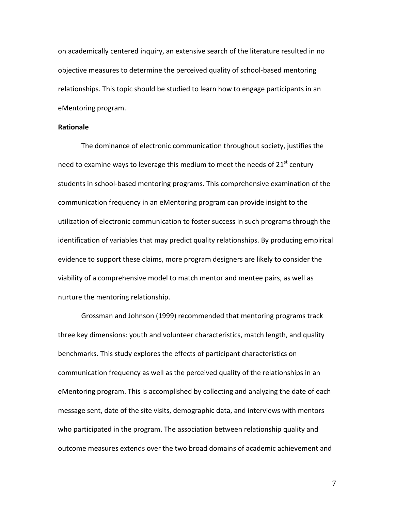on academically centered inquiry, an extensive search of the literature resulted in no objective measures to determine the perceived quality of school-based mentoring relationships. This topic should be studied to learn how to engage participants in an eMentoring program.

## **Rationale**

The dominance of electronic communication throughout society, justifies the need to examine ways to leverage this medium to meet the needs of  $21<sup>st</sup>$  century students in school-based mentoring programs. This comprehensive examination of the communication frequency in an eMentoring program can provide insight to the utilization of electronic communication to foster success in such programs through the identification of variables that may predict quality relationships. By producing empirical evidence to support these claims, more program designers are likely to consider the viability of a comprehensive model to match mentor and mentee pairs, as well as nurture the mentoring relationship.

Grossman and Johnson (1999) recommended that mentoring programs track three key dimensions: youth and volunteer characteristics, match length, and quality benchmarks. This study explores the effects of participant characteristics on communication frequency as well as the perceived quality of the relationships in an eMentoring program. This is accomplished by collecting and analyzing the date of each message sent, date of the site visits, demographic data, and interviews with mentors who participated in the program. The association between relationship quality and outcome measures extends over the two broad domains of academic achievement and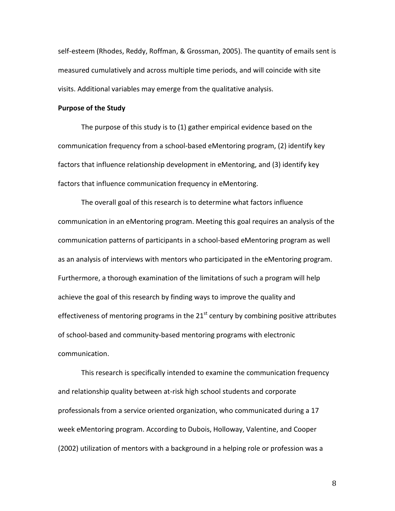self-esteem (Rhodes, Reddy, Roffman, & Grossman, 2005). The quantity of emails sent is measured cumulatively and across multiple time periods, and will coincide with site visits. Additional variables may emerge from the qualitative analysis.

## **Purpose of the Study**

The purpose of this study is to (1) gather empirical evidence based on the communication frequency from a school-based eMentoring program, (2) identify key factors that influence relationship development in eMentoring, and (3) identify key factors that influence communication frequency in eMentoring.

The overall goal of this research is to determine what factors influence communication in an eMentoring program. Meeting this goal requires an analysis of the communication patterns of participants in a school-based eMentoring program as well as an analysis of interviews with mentors who participated in the eMentoring program. Furthermore, a thorough examination of the limitations of such a program will help achieve the goal of this research by finding ways to improve the quality and effectiveness of mentoring programs in the  $21^{st}$  century by combining positive attributes of school-based and community-based mentoring programs with electronic communication.

This research is specifically intended to examine the communication frequency and relationship quality between at-risk high school students and corporate professionals from a service oriented organization, who communicated during a 17 week eMentoring program. According to Dubois, Holloway, Valentine, and Cooper (2002) utilization of mentors with a background in a helping role or profession was a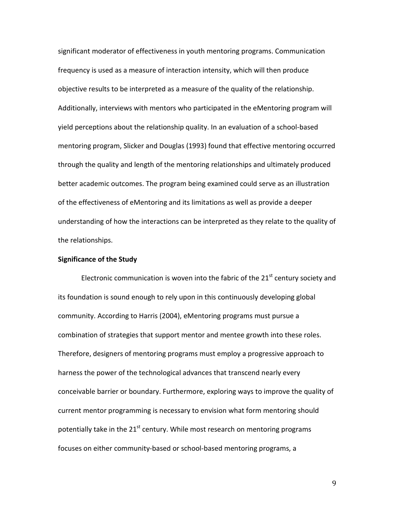significant moderator of effectiveness in youth mentoring programs. Communication frequency is used as a measure of interaction intensity, which will then produce objective results to be interpreted as a measure of the quality of the relationship. Additionally, interviews with mentors who participated in the eMentoring program will yield perceptions about the relationship quality. In an evaluation of a school-based mentoring program, Slicker and Douglas (1993) found that effective mentoring occurred through the quality and length of the mentoring relationships and ultimately produced better academic outcomes. The program being examined could serve as an illustration of the effectiveness of eMentoring and its limitations as well as provide a deeper understanding of how the interactions can be interpreted as they relate to the quality of the relationships.

### **Significance of the Study**

Electronic communication is woven into the fabric of the  $21<sup>st</sup>$  century society and its foundation is sound enough to rely upon in this continuously developing global community. According to Harris (2004), eMentoring programs must pursue a combination of strategies that support mentor and mentee growth into these roles. Therefore, designers of mentoring programs must employ a progressive approach to harness the power of the technological advances that transcend nearly every conceivable barrier or boundary. Furthermore, exploring ways to improve the quality of current mentor programming is necessary to envision what form mentoring should potentially take in the  $21^{st}$  century. While most research on mentoring programs focuses on either community-based or school-based mentoring programs, a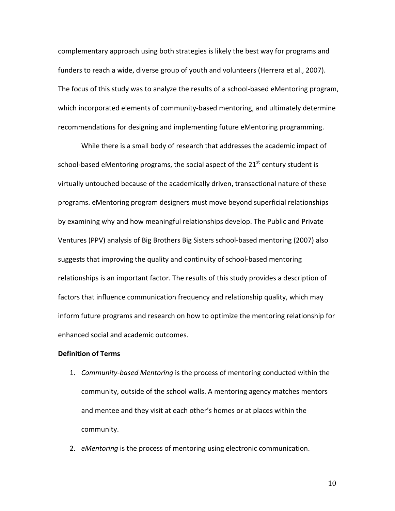complementary approach using both strategies is likely the best way for programs and funders to reach a wide, diverse group of youth and volunteers (Herrera et al., 2007). The focus of this study was to analyze the results of a school-based eMentoring program, which incorporated elements of community-based mentoring, and ultimately determine recommendations for designing and implementing future eMentoring programming.

While there is a small body of research that addresses the academic impact of school-based eMentoring programs, the social aspect of the  $21<sup>st</sup>$  century student is virtually untouched because of the academically driven, transactional nature of these programs. eMentoring program designers must move beyond superficial relationships by examining why and how meaningful relationships develop. The Public and Private Ventures (PPV) analysis of Big Brothers Big Sisters school-based mentoring (2007) also suggests that improving the quality and continuity of school-based mentoring relationships is an important factor. The results of this study provides a description of factors that influence communication frequency and relationship quality, which may inform future programs and research on how to optimize the mentoring relationship for enhanced social and academic outcomes.

### **Definition of Terms**

- 1. *Community-based Mentoring* is the process of mentoring conducted within the community, outside of the school walls. A mentoring agency matches mentors and mentee and they visit at each other's homes or at places within the community.
- 2. *eMentoring* is the process of mentoring using electronic communication.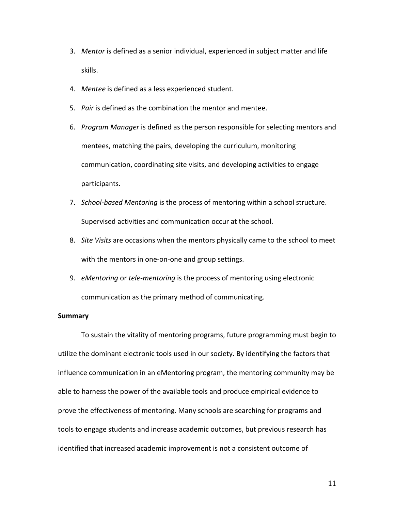- 3. *Mentor* is defined as a senior individual, experienced in subject matter and life skills.
- 4. *Mentee* is defined as a less experienced student.
- 5. *Pair* is defined as the combination the mentor and mentee.
- 6. *Program Manager* is defined as the person responsible for selecting mentors and mentees, matching the pairs, developing the curriculum, monitoring communication, coordinating site visits, and developing activities to engage participants.
- 7. *School-based Mentoring* is the process of mentoring within a school structure. Supervised activities and communication occur at the school.
- 8. *Site Visits* are occasions when the mentors physically came to the school to meet with the mentors in one-on-one and group settings.
- 9. *eMentoring* or *tele-mentoring* is the process of mentoring using electronic communication as the primary method of communicating.

## **Summary**

To sustain the vitality of mentoring programs, future programming must begin to utilize the dominant electronic tools used in our society. By identifying the factors that influence communication in an eMentoring program, the mentoring community may be able to harness the power of the available tools and produce empirical evidence to prove the effectiveness of mentoring. Many schools are searching for programs and tools to engage students and increase academic outcomes, but previous research has identified that increased academic improvement is not a consistent outcome of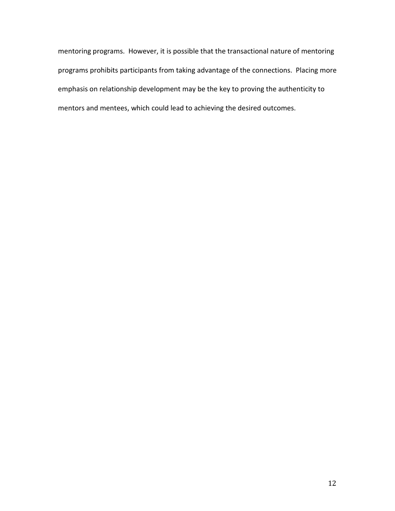mentoring programs. However, it is possible that the transactional nature of mentoring programs prohibits participants from taking advantage of the connections. Placing more emphasis on relationship development may be the key to proving the authenticity to mentors and mentees, which could lead to achieving the desired outcomes.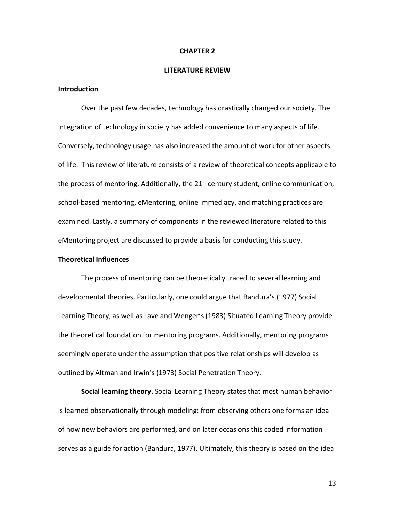#### **CHAPTER 2**

#### **LITERATURE REVIEW**

## **Introduction**

Over the past few decades, technology has drastically changed our society. The integration of technology in society has added convenience to many aspects of life. Conversely, technology usage has also increased the amount of work for other aspects of life. This review of literature consists of a review of theoretical concepts applicable to the process of mentoring. Additionally, the  $21<sup>st</sup>$  century student, online communication, school-based mentoring, eMentoring, online immediacy, and matching practices are examined. Lastly, a summary of components in the reviewed literature related to this eMentoring project are discussed to provide a basis for conducting this study.

### **Theoretical Influences**

The process of mentoring can be theoretically traced to several learning and developmental theories. Particularly, one could argue that Bandura's (1977) Social Learning Theory, as well as Lave and Wenger's (1983) Situated Learning Theory provide the theoretical foundation for mentoring programs. Additionally, mentoring programs seemingly operate under the assumption that positive relationships will develop as outlined by Altman and Irwin's (1973) Social Penetration Theory.

**Social learning theory.** Social Learning Theory states that most human behavior is learned observationally through modeling: from observing others one forms an idea of how new behaviors are performed, and on later occasions this coded information serves as a guide for action (Bandura, 1977). Ultimately, this theory is based on the idea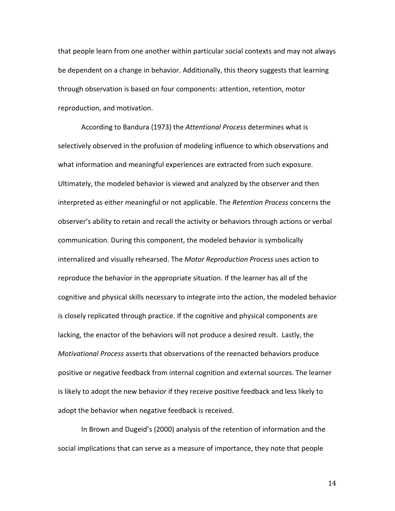that people learn from one another within particular social contexts and may not always be dependent on a change in behavior. Additionally, this theory suggests that learning through observation is based on four components: attention, retention, motor reproduction, and motivation.

According to Bandura (1973) the *Attentional Process* determines what is selectively observed in the profusion of modeling influence to which observations and what information and meaningful experiences are extracted from such exposure. Ultimately, the modeled behavior is viewed and analyzed by the observer and then interpreted as either meaningful or not applicable. The *Retention Process* concerns the observer's ability to retain and recall the activity or behaviors through actions or verbal communication. During this component, the modeled behavior is symbolically internalized and visually rehearsed. The *Motor Reproduction Process* uses action to reproduce the behavior in the appropriate situation. If the learner has all of the cognitive and physical skills necessary to integrate into the action, the modeled behavior is closely replicated through practice. If the cognitive and physical components are lacking, the enactor of the behaviors will not produce a desired result. Lastly, the *Motivational Process* asserts that observations of the reenacted behaviors produce positive or negative feedback from internal cognition and external sources. The learner is likely to adopt the new behavior if they receive positive feedback and less likely to adopt the behavior when negative feedback is received.

In Brown and Dugeid's (2000) analysis of the retention of information and the social implications that can serve as a measure of importance, they note that people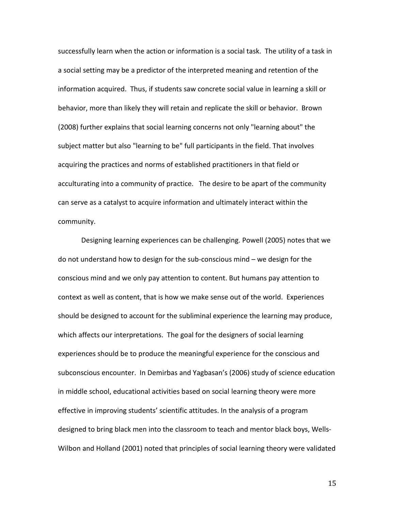successfully learn when the action or information is a social task. The utility of a task in a social setting may be a predictor of the interpreted meaning and retention of the information acquired. Thus, if students saw concrete social value in learning a skill or behavior, more than likely they will retain and replicate the skill or behavior. Brown (2008) further explains that social learning concerns not only "learning about" the subject matter but also "learning to be" full participants in the field. That involves acquiring the practices and norms of established practitioners in that field or acculturating into a community of practice. The desire to be apart of the community can serve as a catalyst to acquire information and ultimately interact within the community.

Designing learning experiences can be challenging. Powell (2005) notes that we do not understand how to design for the sub-conscious mind – we design for the conscious mind and we only pay attention to content. But humans pay attention to context as well as content, that is how we make sense out of the world. Experiences should be designed to account for the subliminal experience the learning may produce, which affects our interpretations. The goal for the designers of social learning experiences should be to produce the meaningful experience for the conscious and subconscious encounter. In Demirbas and Yagbasan's (2006) study of science education in middle school, educational activities based on social learning theory were more effective in improving students' scientific attitudes. In the analysis of a program designed to bring black men into the classroom to teach and mentor black boys, Wells-Wilbon and Holland (2001) noted that principles of social learning theory were validated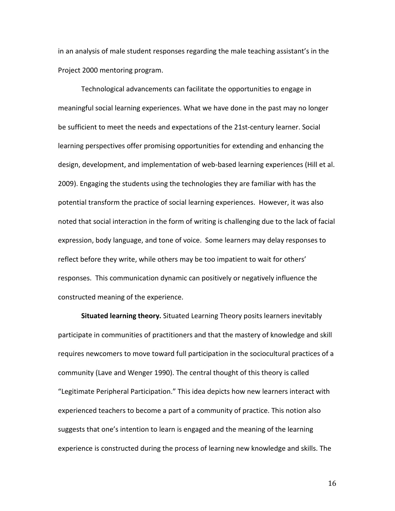in an analysis of male student responses regarding the male teaching assistant's in the Project 2000 mentoring program.

Technological advancements can facilitate the opportunities to engage in meaningful social learning experiences. What we have done in the past may no longer be sufficient to meet the needs and expectations of the 21st-century learner. Social learning perspectives offer promising opportunities for extending and enhancing the design, development, and implementation of web-based learning experiences (Hill et al. 2009). Engaging the students using the technologies they are familiar with has the potential transform the practice of social learning experiences. However, it was also noted that social interaction in the form of writing is challenging due to the lack of facial expression, body language, and tone of voice. Some learners may delay responses to reflect before they write, while others may be too impatient to wait for others' responses. This communication dynamic can positively or negatively influence the constructed meaning of the experience.

**Situated learning theory.** Situated Learning Theory posits learners inevitably participate in communities of practitioners and that the mastery of knowledge and skill requires newcomers to move toward full participation in the sociocultural practices of a community (Lave and Wenger 1990). The central thought of this theory is called "Legitimate Peripheral Participation." This idea depicts how new learners interact with experienced teachers to become a part of a community of practice. This notion also suggests that one's intention to learn is engaged and the meaning of the learning experience is constructed during the process of learning new knowledge and skills. The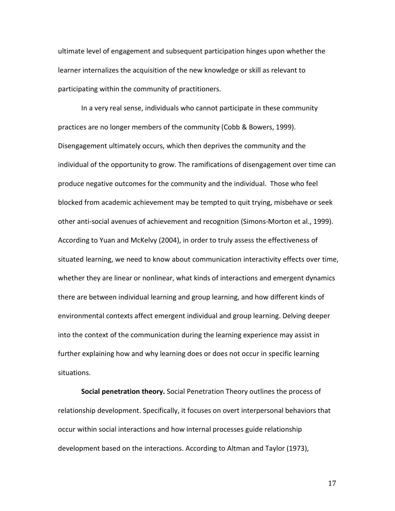ultimate level of engagement and subsequent participation hinges upon whether the learner internalizes the acquisition of the new knowledge or skill as relevant to participating within the community of practitioners.

In a very real sense, individuals who cannot participate in these community practices are no longer members of the community (Cobb & Bowers, 1999). Disengagement ultimately occurs, which then deprives the community and the individual of the opportunity to grow. The ramifications of disengagement over time can produce negative outcomes for the community and the individual. Those who feel blocked from academic achievement may be tempted to quit trying, misbehave or seek other anti-social avenues of achievement and recognition (Simons-Morton et al., 1999). According to Yuan and McKelvy (2004), in order to truly assess the effectiveness of situated learning, we need to know about communication interactivity effects over time, whether they are linear or nonlinear, what kinds of interactions and emergent dynamics there are between individual learning and group learning, and how different kinds of environmental contexts affect emergent individual and group learning. Delving deeper into the context of the communication during the learning experience may assist in further explaining how and why learning does or does not occur in specific learning situations.

**Social penetration theory.** Social Penetration Theory outlines the process of relationship development. Specifically, it focuses on overt interpersonal behaviors that occur within social interactions and how internal processes guide relationship development based on the interactions. According to Altman and Taylor (1973),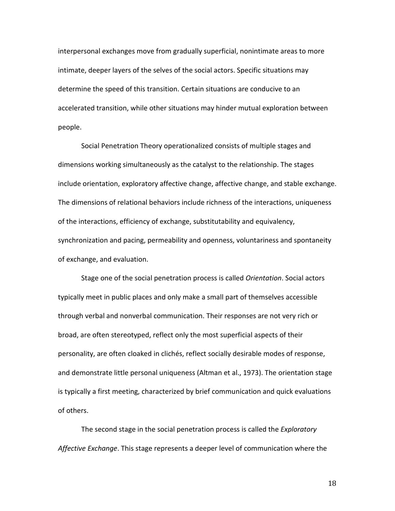interpersonal exchanges move from gradually superficial, nonintimate areas to more intimate, deeper layers of the selves of the social actors. Specific situations may determine the speed of this transition. Certain situations are conducive to an accelerated transition, while other situations may hinder mutual exploration between people.

Social Penetration Theory operationalized consists of multiple stages and dimensions working simultaneously as the catalyst to the relationship. The stages include orientation, exploratory affective change, affective change, and stable exchange. The dimensions of relational behaviors include richness of the interactions, uniqueness of the interactions, efficiency of exchange, substitutability and equivalency, synchronization and pacing, permeability and openness, voluntariness and spontaneity of exchange, and evaluation.

Stage one of the social penetration process is called *Orientation*. Social actors typically meet in public places and only make a small part of themselves accessible through verbal and nonverbal communication. Their responses are not very rich or broad, are often stereotyped, reflect only the most superficial aspects of their personality, are often cloaked in clichés, reflect socially desirable modes of response, and demonstrate little personal uniqueness (Altman et al., 1973). The orientation stage is typically a first meeting, characterized by brief communication and quick evaluations of others.

The second stage in the social penetration process is called the *Exploratory Affective Exchange*. This stage represents a deeper level of communication where the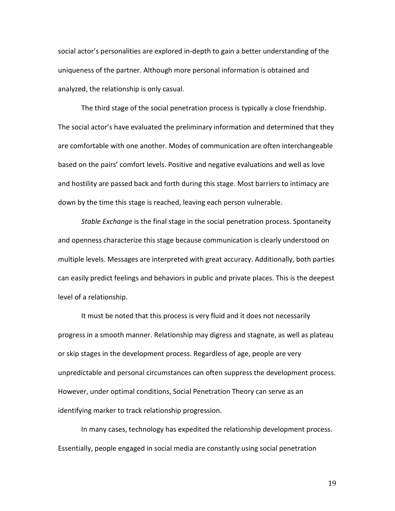social actor's personalities are explored in-depth to gain a better understanding of the uniqueness of the partner. Although more personal information is obtained and analyzed, the relationship is only casual.

The third stage of the social penetration process is typically a close friendship. The social actor's have evaluated the preliminary information and determined that they are comfortable with one another. Modes of communication are often interchangeable based on the pairs' comfort levels. Positive and negative evaluations and well as love and hostility are passed back and forth during this stage. Most barriers to intimacy are down by the time this stage is reached, leaving each person vulnerable.

*Stable Exchange* is the final stage in the social penetration process. Spontaneity and openness characterize this stage because communication is clearly understood on multiple levels. Messages are interpreted with great accuracy. Additionally, both parties can easily predict feelings and behaviors in public and private places. This is the deepest level of a relationship.

It must be noted that this process is very fluid and it does not necessarily progress in a smooth manner. Relationship may digress and stagnate, as well as plateau or skip stages in the development process. Regardless of age, people are very unpredictable and personal circumstances can often suppress the development process. However, under optimal conditions, Social Penetration Theory can serve as an identifying marker to track relationship progression.

In many cases, technology has expedited the relationship development process. Essentially, people engaged in social media are constantly using social penetration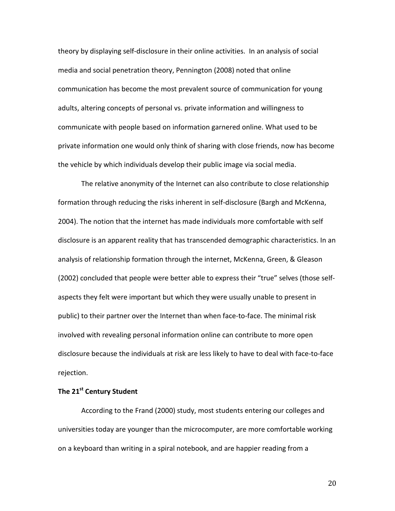theory by displaying self-disclosure in their online activities. In an analysis of social media and social penetration theory, Pennington (2008) noted that online communication has become the most prevalent source of communication for young adults, altering concepts of personal vs. private information and willingness to communicate with people based on information garnered online. What used to be private information one would only think of sharing with close friends, now has become the vehicle by which individuals develop their public image via social media.

The relative anonymity of the Internet can also contribute to close relationship formation through reducing the risks inherent in self-disclosure (Bargh and McKenna, 2004). The notion that the internet has made individuals more comfortable with self disclosure is an apparent reality that has transcended demographic characteristics. In an analysis of relationship formation through the internet, McKenna, Green, & Gleason (2002) concluded that people were better able to express their "true" selves (those selfaspects they felt were important but which they were usually unable to present in public) to their partner over the Internet than when face-to-face. The minimal risk involved with revealing personal information online can contribute to more open disclosure because the individuals at risk are less likely to have to deal with face-to-face rejection.

# **The 21st Century Student**

According to the Frand (2000) study, most students entering our colleges and universities today are younger than the microcomputer, are more comfortable working on a keyboard than writing in a spiral notebook, and are happier reading from a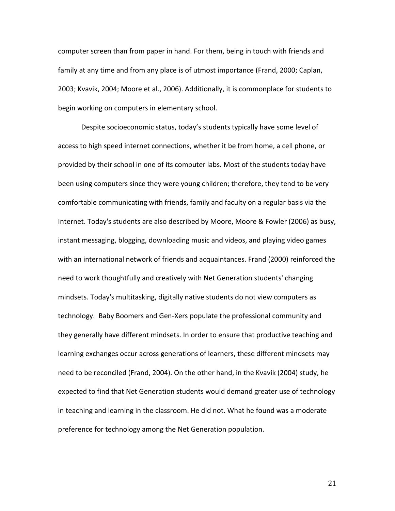computer screen than from paper in hand. For them, being in touch with friends and family at any time and from any place is of utmost importance (Frand, 2000; Caplan, 2003; Kvavik, 2004; Moore et al., 2006). Additionally, it is commonplace for students to begin working on computers in elementary school.

Despite socioeconomic status, today's students typically have some level of access to high speed internet connections, whether it be from home, a cell phone, or provided by their school in one of its computer labs. Most of the students today have been using computers since they were young children; therefore, they tend to be very comfortable communicating with friends, family and faculty on a regular basis via the Internet. Today's students are also described by Moore, Moore & Fowler (2006) as busy, instant messaging, blogging, downloading music and videos, and playing video games with an international network of friends and acquaintances. Frand (2000) reinforced the need to work thoughtfully and creatively with Net Generation students' changing mindsets. Today's multitasking, digitally native students do not view computers as technology. Baby Boomers and Gen-Xers populate the professional community and they generally have different mindsets. In order to ensure that productive teaching and learning exchanges occur across generations of learners, these different mindsets may need to be reconciled (Frand, 2004). On the other hand, in the Kvavik (2004) study, he expected to find that Net Generation students would demand greater use of technology in teaching and learning in the classroom. He did not. What he found was a moderate preference for technology among the Net Generation population.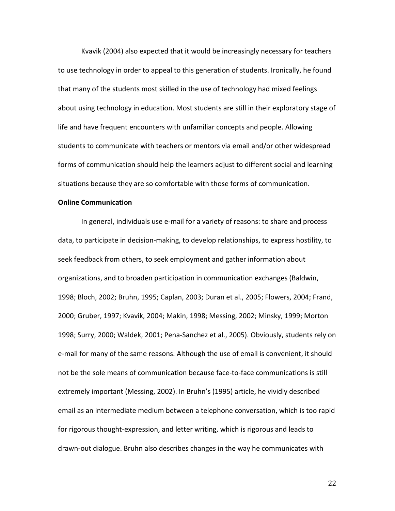Kvavik (2004) also expected that it would be increasingly necessary for teachers to use technology in order to appeal to this generation of students. Ironically, he found that many of the students most skilled in the use of technology had mixed feelings about using technology in education. Most students are still in their exploratory stage of life and have frequent encounters with unfamiliar concepts and people. Allowing students to communicate with teachers or mentors via email and/or other widespread forms of communication should help the learners adjust to different social and learning situations because they are so comfortable with those forms of communication.

### **Online Communication**

In general, individuals use e-mail for a variety of reasons: to share and process data, to participate in decision-making, to develop relationships, to express hostility, to seek feedback from others, to seek employment and gather information about organizations, and to broaden participation in communication exchanges (Baldwin, 1998; Bloch, 2002; Bruhn, 1995; Caplan, 2003; Duran et al., 2005; Flowers, 2004; Frand, 2000; Gruber, 1997; Kvavik, 2004; Makin, 1998; Messing, 2002; Minsky, 1999; Morton 1998; Surry, 2000; Waldek, 2001; Pena-Sanchez et al., 2005). Obviously, students rely on e-mail for many of the same reasons. Although the use of email is convenient, it should not be the sole means of communication because face-to-face communications is still extremely important (Messing, 2002). In Bruhn's (1995) article, he vividly described email as an intermediate medium between a telephone conversation, which is too rapid for rigorous thought-expression, and letter writing, which is rigorous and leads to drawn-out dialogue. Bruhn also describes changes in the way he communicates with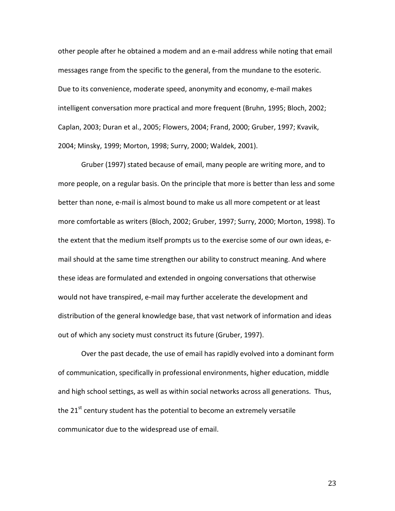other people after he obtained a modem and an e-mail address while noting that email messages range from the specific to the general, from the mundane to the esoteric. Due to its convenience, moderate speed, anonymity and economy, e-mail makes intelligent conversation more practical and more frequent (Bruhn, 1995; Bloch, 2002; Caplan, 2003; Duran et al., 2005; Flowers, 2004; Frand, 2000; Gruber, 1997; Kvavik, 2004; Minsky, 1999; Morton, 1998; Surry, 2000; Waldek, 2001).

Gruber (1997) stated because of email, many people are writing more, and to more people, on a regular basis. On the principle that more is better than less and some better than none, e-mail is almost bound to make us all more competent or at least more comfortable as writers (Bloch, 2002; Gruber, 1997; Surry, 2000; Morton, 1998). To the extent that the medium itself prompts us to the exercise some of our own ideas, email should at the same time strengthen our ability to construct meaning. And where these ideas are formulated and extended in ongoing conversations that otherwise would not have transpired, e-mail may further accelerate the development and distribution of the general knowledge base, that vast network of information and ideas out of which any society must construct its future (Gruber, 1997).

Over the past decade, the use of email has rapidly evolved into a dominant form of communication, specifically in professional environments, higher education, middle and high school settings, as well as within social networks across all generations. Thus, the 21<sup>st</sup> century student has the potential to become an extremely versatile communicator due to the widespread use of email.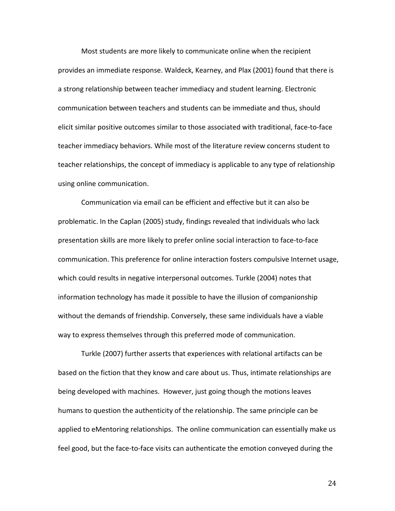Most students are more likely to communicate online when the recipient provides an immediate response. Waldeck, Kearney, and Plax (2001) found that there is a strong relationship between teacher immediacy and student learning. Electronic communication between teachers and students can be immediate and thus, should elicit similar positive outcomes similar to those associated with traditional, face-to-face teacher immediacy behaviors. While most of the literature review concerns student to teacher relationships, the concept of immediacy is applicable to any type of relationship using online communication.

Communication via email can be efficient and effective but it can also be problematic. In the Caplan (2005) study, findings revealed that individuals who lack presentation skills are more likely to prefer online social interaction to face-to-face communication. This preference for online interaction fosters compulsive Internet usage, which could results in negative interpersonal outcomes. Turkle (2004) notes that information technology has made it possible to have the illusion of companionship without the demands of friendship. Conversely, these same individuals have a viable way to express themselves through this preferred mode of communication.

Turkle (2007) further asserts that experiences with relational artifacts can be based on the fiction that they know and care about us. Thus, intimate relationships are being developed with machines. However, just going though the motions leaves humans to question the authenticity of the relationship. The same principle can be applied to eMentoring relationships. The online communication can essentially make us feel good, but the face-to-face visits can authenticate the emotion conveyed during the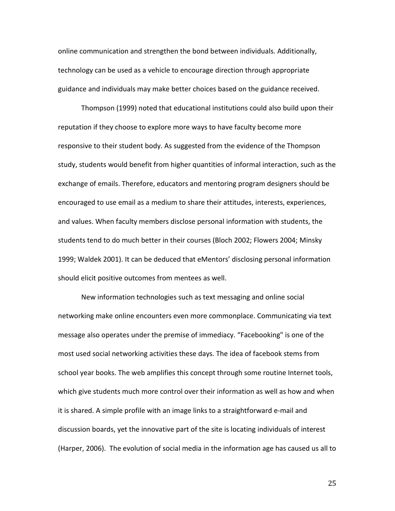online communication and strengthen the bond between individuals. Additionally, technology can be used as a vehicle to encourage direction through appropriate guidance and individuals may make better choices based on the guidance received.

Thompson (1999) noted that educational institutions could also build upon their reputation if they choose to explore more ways to have faculty become more responsive to their student body. As suggested from the evidence of the Thompson study, students would benefit from higher quantities of informal interaction, such as the exchange of emails. Therefore, educators and mentoring program designers should be encouraged to use email as a medium to share their attitudes, interests, experiences, and values. When faculty members disclose personal information with students, the students tend to do much better in their courses (Bloch 2002; Flowers 2004; Minsky 1999; Waldek 2001). It can be deduced that eMentors' disclosing personal information should elicit positive outcomes from mentees as well.

New information technologies such as text messaging and online social networking make online encounters even more commonplace. Communicating via text message also operates under the premise of immediacy. "Facebooking" is one of the most used social networking activities these days. The idea of facebook stems from school year books. The web amplifies this concept through some routine Internet tools, which give students much more control over their information as well as how and when it is shared. A simple profile with an image links to a straightforward e-mail and discussion boards, yet the innovative part of the site is locating individuals of interest (Harper, 2006). The evolution of social media in the information age has caused us all to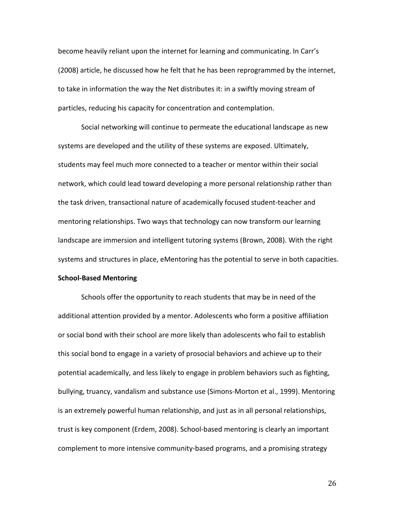become heavily reliant upon the internet for learning and communicating. In Carr's (2008) article, he discussed how he felt that he has been reprogrammed by the internet, to take in information the way the Net distributes it: in a swiftly moving stream of particles, reducing his capacity for concentration and contemplation.

Social networking will continue to permeate the educational landscape as new systems are developed and the utility of these systems are exposed. Ultimately, students may feel much more connected to a teacher or mentor within their social network, which could lead toward developing a more personal relationship rather than the task driven, transactional nature of academically focused student-teacher and mentoring relationships. Two ways that technology can now transform our learning landscape are immersion and intelligent tutoring systems (Brown, 2008). With the right systems and structures in place, eMentoring has the potential to serve in both capacities.

## **School-Based Mentoring**

Schools offer the opportunity to reach students that may be in need of the additional attention provided by a mentor. Adolescents who form a positive affiliation or social bond with their school are more likely than adolescents who fail to establish this social bond to engage in a variety of prosocial behaviors and achieve up to their potential academically, and less likely to engage in problem behaviors such as fighting, bullying, truancy, vandalism and substance use (Simons-Morton et al., 1999). Mentoring is an extremely powerful human relationship, and just as in all personal relationships, trust is key component (Erdem, 2008). School-based mentoring is clearly an important complement to more intensive community-based programs, and a promising strategy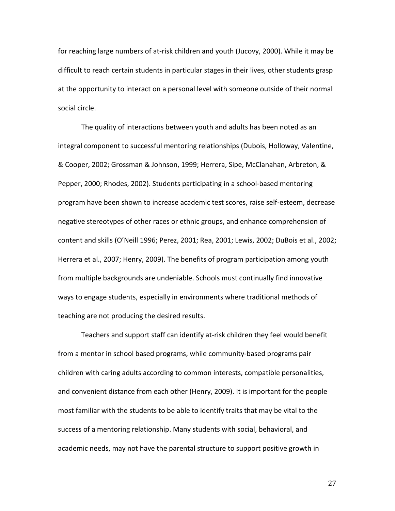for reaching large numbers of at-risk children and youth (Jucovy, 2000). While it may be difficult to reach certain students in particular stages in their lives, other students grasp at the opportunity to interact on a personal level with someone outside of their normal social circle.

The quality of interactions between youth and adults has been noted as an integral component to successful mentoring relationships (Dubois, Holloway, Valentine, & Cooper, 2002; Grossman & Johnson, 1999; Herrera, Sipe, McClanahan, Arbreton, & Pepper, 2000; Rhodes, 2002). Students participating in a school-based mentoring program have been shown to increase academic test scores, raise self-esteem, decrease negative stereotypes of other races or ethnic groups, and enhance comprehension of content and skills (O'Neill 1996; Perez, 2001; Rea, 2001; Lewis, 2002; DuBois et al., 2002; Herrera et al., 2007; Henry, 2009). The benefits of program participation among youth from multiple backgrounds are undeniable. Schools must continually find innovative ways to engage students, especially in environments where traditional methods of teaching are not producing the desired results.

Teachers and support staff can identify at-risk children they feel would benefit from a mentor in school based programs, while community-based programs pair children with caring adults according to common interests, compatible personalities, and convenient distance from each other (Henry, 2009). It is important for the people most familiar with the students to be able to identify traits that may be vital to the success of a mentoring relationship. Many students with social, behavioral, and academic needs, may not have the parental structure to support positive growth in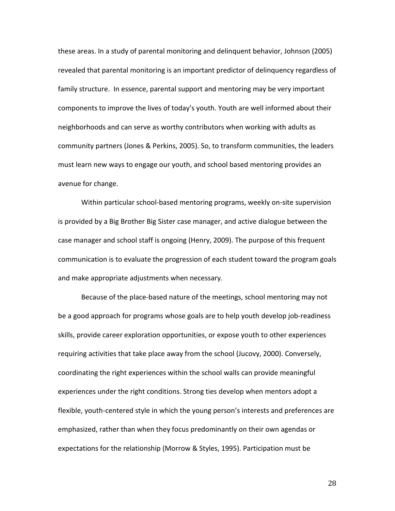these areas. In a study of parental monitoring and delinquent behavior, Johnson (2005) revealed that parental monitoring is an important predictor of delinquency regardless of family structure. In essence, parental support and mentoring may be very important components to improve the lives of today's youth. Youth are well informed about their neighborhoods and can serve as worthy contributors when working with adults as community partners (Jones & Perkins, 2005). So, to transform communities, the leaders must learn new ways to engage our youth, and school based mentoring provides an avenue for change.

Within particular school-based mentoring programs, weekly on-site supervision is provided by a Big Brother Big Sister case manager, and active dialogue between the case manager and school staff is ongoing (Henry, 2009). The purpose of this frequent communication is to evaluate the progression of each student toward the program goals and make appropriate adjustments when necessary.

Because of the place-based nature of the meetings, school mentoring may not be a good approach for programs whose goals are to help youth develop job-readiness skills, provide career exploration opportunities, or expose youth to other experiences requiring activities that take place away from the school (Jucovy, 2000). Conversely, coordinating the right experiences within the school walls can provide meaningful experiences under the right conditions. Strong ties develop when mentors adopt a flexible, youth-centered style in which the young person's interests and preferences are emphasized, rather than when they focus predominantly on their own agendas or expectations for the relationship (Morrow & Styles, 1995). Participation must be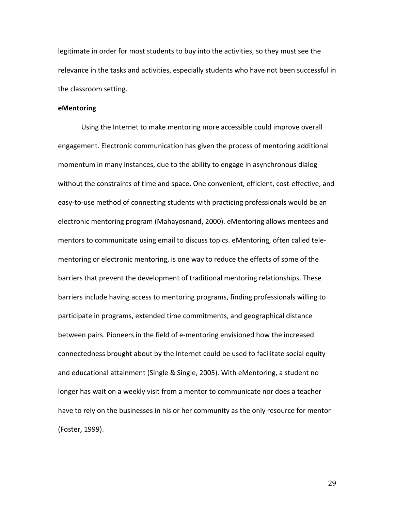legitimate in order for most students to buy into the activities, so they must see the relevance in the tasks and activities, especially students who have not been successful in the classroom setting.

#### **eMentoring**

Using the Internet to make mentoring more accessible could improve overall engagement. Electronic communication has given the process of mentoring additional momentum in many instances, due to the ability to engage in asynchronous dialog without the constraints of time and space. One convenient, efficient, cost-effective, and easy-to-use method of connecting students with practicing professionals would be an electronic mentoring program (Mahayosnand, 2000). eMentoring allows mentees and mentors to communicate using email to discuss topics. eMentoring, often called telementoring or electronic mentoring, is one way to reduce the effects of some of the barriers that prevent the development of traditional mentoring relationships. These barriers include having access to mentoring programs, finding professionals willing to participate in programs, extended time commitments, and geographical distance between pairs. Pioneers in the field of e-mentoring envisioned how the increased connectedness brought about by the Internet could be used to facilitate social equity and educational attainment (Single & Single, 2005). With eMentoring, a student no longer has wait on a weekly visit from a mentor to communicate nor does a teacher have to rely on the businesses in his or her community as the only resource for mentor (Foster, 1999).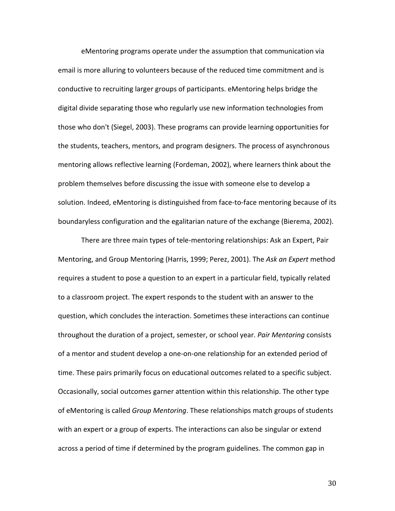eMentoring programs operate under the assumption that communication via email is more alluring to volunteers because of the reduced time commitment and is conductive to recruiting larger groups of participants. eMentoring helps bridge the digital divide separating those who regularly use new information technologies from those who don't (Siegel, 2003). These programs can provide learning opportunities for the students, teachers, mentors, and program designers. The process of asynchronous mentoring allows reflective learning (Fordeman, 2002), where learners think about the problem themselves before discussing the issue with someone else to develop a solution. Indeed, eMentoring is distinguished from face-to-face mentoring because of its boundaryless configuration and the egalitarian nature of the exchange (Bierema, 2002).

There are three main types of tele-mentoring relationships: Ask an Expert, Pair Mentoring, and Group Mentoring (Harris, 1999; Perez, 2001). The *Ask an Expert* method requires a student to pose a question to an expert in a particular field, typically related to a classroom project. The expert responds to the student with an answer to the question, which concludes the interaction. Sometimes these interactions can continue throughout the duration of a project, semester, or school year. *Pair Mentoring* consists of a mentor and student develop a one-on-one relationship for an extended period of time. These pairs primarily focus on educational outcomes related to a specific subject. Occasionally, social outcomes garner attention within this relationship. The other type of eMentoring is called *Group Mentoring*. These relationships match groups of students with an expert or a group of experts. The interactions can also be singular or extend across a period of time if determined by the program guidelines. The common gap in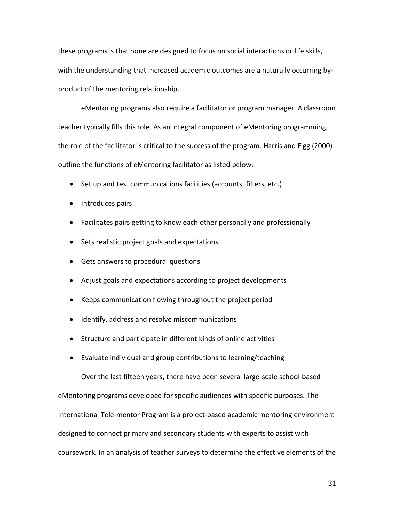these programs is that none are designed to focus on social interactions or life skills, with the understanding that increased academic outcomes are a naturally occurring byproduct of the mentoring relationship.

eMentoring programs also require a facilitator or program manager. A classroom teacher typically fills this role. As an integral component of eMentoring programming, the role of the facilitator is critical to the success of the program. Harris and Figg (2000) outline the functions of eMentoring facilitator as listed below:

- Set up and test communications facilities (accounts, filters, etc.)
- Introduces pairs
- Facilitates pairs getting to know each other personally and professionally
- Sets realistic project goals and expectations
- Gets answers to procedural questions
- Adjust goals and expectations according to project developments
- Keeps communication flowing throughout the project period
- Identify, address and resolve miscommunications
- Structure and participate in different kinds of online activities
- Evaluate individual and group contributions to learning/teaching

Over the last fifteen years, there have been several large-scale school-based

eMentoring programs developed for specific audiences with specific purposes. The International Tele-mentor Program is a project-based academic mentoring environment designed to connect primary and secondary students with experts to assist with coursework. In an analysis of teacher surveys to determine the effective elements of the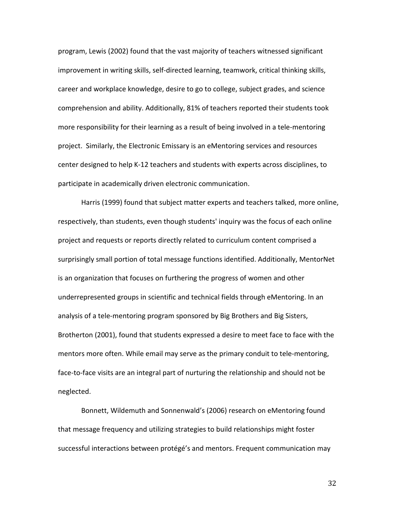program, Lewis (2002) found that the vast majority of teachers witnessed significant improvement in writing skills, self-directed learning, teamwork, critical thinking skills, career and workplace knowledge, desire to go to college, subject grades, and science comprehension and ability. Additionally, 81% of teachers reported their students took more responsibility for their learning as a result of being involved in a tele-mentoring project. Similarly, the Electronic Emissary is an eMentoring services and resources center designed to help K-12 teachers and students with experts across disciplines, to participate in academically driven electronic communication.

Harris (1999) found that subject matter experts and teachers talked, more online, respectively, than students, even though students' inquiry was the focus of each online project and requests or reports directly related to curriculum content comprised a surprisingly small portion of total message functions identified. Additionally, MentorNet is an organization that focuses on furthering the progress of women and other underrepresented groups in scientific and technical fields through eMentoring. In an analysis of a tele-mentoring program sponsored by Big Brothers and Big Sisters, Brotherton (2001), found that students expressed a desire to meet face to face with the mentors more often. While email may serve as the primary conduit to tele-mentoring, face-to-face visits are an integral part of nurturing the relationship and should not be neglected.

Bonnett, Wildemuth and Sonnenwald's (2006) research on eMentoring found that message frequency and utilizing strategies to build relationships might foster successful interactions between protégé's and mentors. Frequent communication may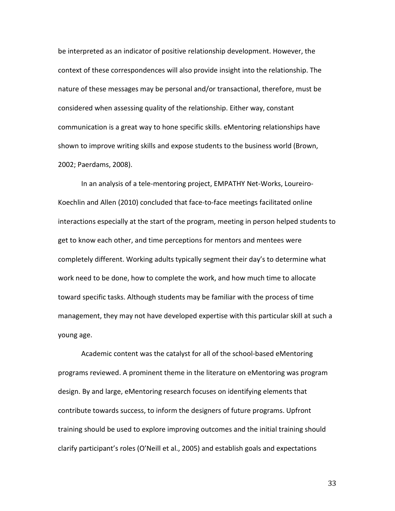be interpreted as an indicator of positive relationship development. However, the context of these correspondences will also provide insight into the relationship. The nature of these messages may be personal and/or transactional, therefore, must be considered when assessing quality of the relationship. Either way, constant communication is a great way to hone specific skills. eMentoring relationships have shown to improve writing skills and expose students to the business world (Brown, 2002; Paerdams, 2008).

In an analysis of a tele-mentoring project, EMPATHY Net-Works, Loureiro-Koechlin and Allen (2010) concluded that face-to-face meetings facilitated online interactions especially at the start of the program, meeting in person helped students to get to know each other, and time perceptions for mentors and mentees were completely different. Working adults typically segment their day's to determine what work need to be done, how to complete the work, and how much time to allocate toward specific tasks. Although students may be familiar with the process of time management, they may not have developed expertise with this particular skill at such a young age.

Academic content was the catalyst for all of the school-based eMentoring programs reviewed. A prominent theme in the literature on eMentoring was program design. By and large, eMentoring research focuses on identifying elements that contribute towards success, to inform the designers of future programs. Upfront training should be used to explore improving outcomes and the initial training should clarify participant's roles (O'Neill et al., 2005) and establish goals and expectations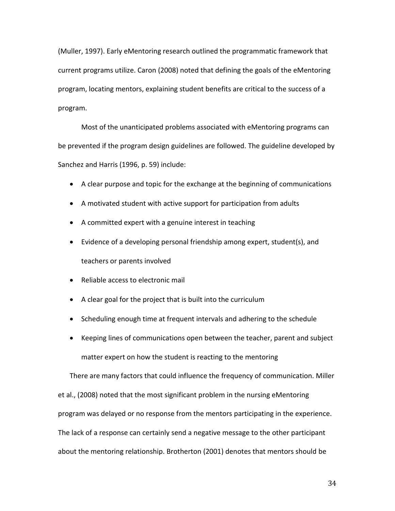(Muller, 1997). Early eMentoring research outlined the programmatic framework that current programs utilize. Caron (2008) noted that defining the goals of the eMentoring program, locating mentors, explaining student benefits are critical to the success of a program.

Most of the unanticipated problems associated with eMentoring programs can be prevented if the program design guidelines are followed. The guideline developed by Sanchez and Harris (1996, p. 59) include:

- A clear purpose and topic for the exchange at the beginning of communications
- A motivated student with active support for participation from adults
- A committed expert with a genuine interest in teaching
- Evidence of a developing personal friendship among expert, student(s), and teachers or parents involved
- Reliable access to electronic mail
- A clear goal for the project that is built into the curriculum
- Scheduling enough time at frequent intervals and adhering to the schedule
- Keeping lines of communications open between the teacher, parent and subject matter expert on how the student is reacting to the mentoring

There are many factors that could influence the frequency of communication. Miller

et al., (2008) noted that the most significant problem in the nursing eMentoring

program was delayed or no response from the mentors participating in the experience.

The lack of a response can certainly send a negative message to the other participant

about the mentoring relationship. Brotherton (2001) denotes that mentors should be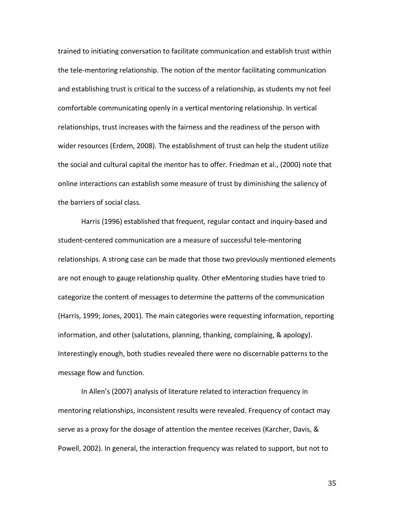trained to initiating conversation to facilitate communication and establish trust within the tele-mentoring relationship. The notion of the mentor facilitating communication and establishing trust is critical to the success of a relationship, as students my not feel comfortable communicating openly in a vertical mentoring relationship. In vertical relationships, trust increases with the fairness and the readiness of the person with wider resources (Erdem, 2008). The establishment of trust can help the student utilize the social and cultural capital the mentor has to offer. Friedman et al., (2000) note that online interactions can establish some measure of trust by diminishing the saliency of the barriers of social class.

Harris (1996) established that frequent, regular contact and inquiry-based and student-centered communication are a measure of successful tele-mentoring relationships. A strong case can be made that those two previously mentioned elements are not enough to gauge relationship quality. Other eMentoring studies have tried to categorize the content of messages to determine the patterns of the communication (Harris, 1999; Jones, 2001). The main categories were requesting information, reporting information, and other (salutations, planning, thanking, complaining, & apology). Interestingly enough, both studies revealed there were no discernable patterns to the message flow and function.

In Allen's (2007) analysis of literature related to interaction frequency in mentoring relationships, inconsistent results were revealed. Frequency of contact may serve as a proxy for the dosage of attention the mentee receives (Karcher, Davis, & Powell, 2002). In general, the interaction frequency was related to support, but not to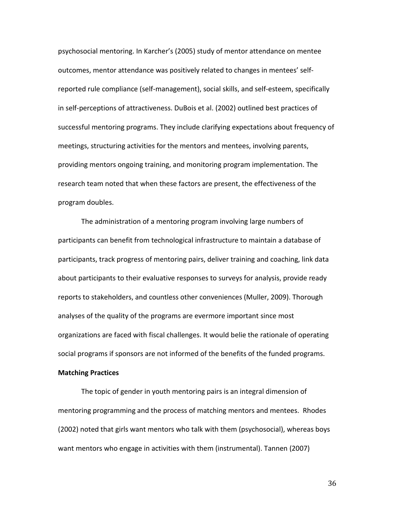psychosocial mentoring. In Karcher's (2005) study of mentor attendance on mentee outcomes, mentor attendance was positively related to changes in mentees' selfreported rule compliance (self-management), social skills, and self-esteem, specifically in self-perceptions of attractiveness. DuBois et al. (2002) outlined best practices of successful mentoring programs. They include clarifying expectations about frequency of meetings, structuring activities for the mentors and mentees, involving parents, providing mentors ongoing training, and monitoring program implementation. The research team noted that when these factors are present, the effectiveness of the program doubles.

The administration of a mentoring program involving large numbers of participants can benefit from technological infrastructure to maintain a database of participants, track progress of mentoring pairs, deliver training and coaching, link data about participants to their evaluative responses to surveys for analysis, provide ready reports to stakeholders, and countless other conveniences (Muller, 2009). Thorough analyses of the quality of the programs are evermore important since most organizations are faced with fiscal challenges. It would belie the rationale of operating social programs if sponsors are not informed of the benefits of the funded programs.

### **Matching Practices**

The topic of gender in youth mentoring pairs is an integral dimension of mentoring programming and the process of matching mentors and mentees. Rhodes (2002) noted that girls want mentors who talk with them (psychosocial), whereas boys want mentors who engage in activities with them (instrumental). Tannen (2007)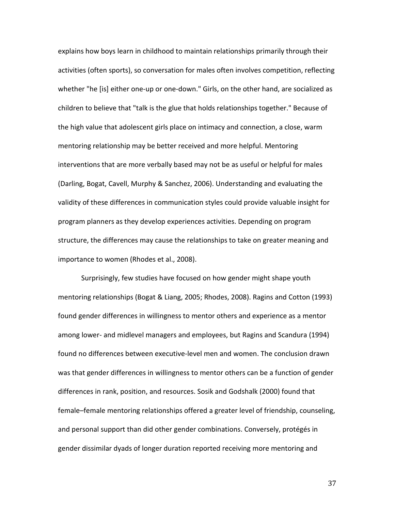explains how boys learn in childhood to maintain relationships primarily through their activities (often sports), so conversation for males often involves competition, reflecting whether "he [is] either one-up or one-down." Girls, on the other hand, are socialized as children to believe that "talk is the glue that holds relationships together." Because of the high value that adolescent girls place on intimacy and connection, a close, warm mentoring relationship may be better received and more helpful. Mentoring interventions that are more verbally based may not be as useful or helpful for males (Darling, Bogat, Cavell, Murphy & Sanchez, 2006). Understanding and evaluating the validity of these differences in communication styles could provide valuable insight for program planners as they develop experiences activities. Depending on program structure, the differences may cause the relationships to take on greater meaning and importance to women (Rhodes et al., 2008).

Surprisingly, few studies have focused on how gender might shape youth mentoring relationships (Bogat & Liang, 2005; Rhodes, 2008). Ragins and Cotton (1993) found gender differences in willingness to mentor others and experience as a mentor among lower- and midlevel managers and employees, but Ragins and Scandura (1994) found no differences between executive-level men and women. The conclusion drawn was that gender differences in willingness to mentor others can be a function of gender differences in rank, position, and resources. Sosik and Godshalk (2000) found that female–female mentoring relationships offered a greater level of friendship, counseling, and personal support than did other gender combinations. Conversely, protégés in gender dissimilar dyads of longer duration reported receiving more mentoring and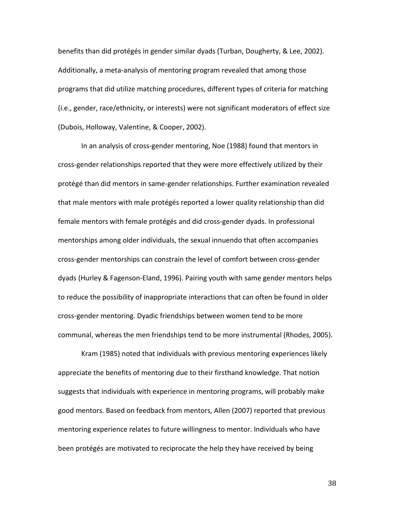benefits than did protégés in gender similar dyads (Turban, Dougherty, & Lee, 2002). Additionally, a meta-analysis of mentoring program revealed that among those programs that did utilize matching procedures, different types of criteria for matching (i.e., gender, race/ethnicity, or interests) were not significant moderators of effect size (Dubois, Holloway, Valentine, & Cooper, 2002).

In an analysis of cross-gender mentoring, Noe (1988) found that mentors in cross-gender relationships reported that they were more effectively utilized by their protégé than did mentors in same-gender relationships. Further examination revealed that male mentors with male protégés reported a lower quality relationship than did female mentors with female protégés and did cross-gender dyads. In professional mentorships among older individuals, the sexual innuendo that often accompanies cross-gender mentorships can constrain the level of comfort between cross-gender dyads (Hurley & Fagenson-Eland, 1996). Pairing youth with same gender mentors helps to reduce the possibility of inappropriate interactions that can often be found in older cross-gender mentoring. Dyadic friendships between women tend to be more communal, whereas the men friendships tend to be more instrumental (Rhodes, 2005).

Kram (1985) noted that individuals with previous mentoring experiences likely appreciate the benefits of mentoring due to their firsthand knowledge. That notion suggests that individuals with experience in mentoring programs, will probably make good mentors. Based on feedback from mentors, Allen (2007) reported that previous mentoring experience relates to future willingness to mentor. Individuals who have been protégés are motivated to reciprocate the help they have received by being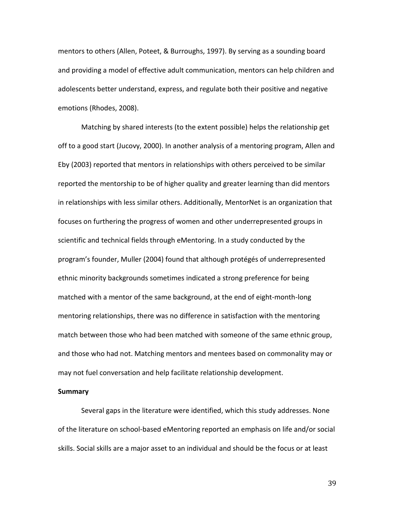mentors to others (Allen, Poteet, & Burroughs, 1997). By serving as a sounding board and providing a model of effective adult communication, mentors can help children and adolescents better understand, express, and regulate both their positive and negative emotions (Rhodes, 2008).

Matching by shared interests (to the extent possible) helps the relationship get off to a good start (Jucovy, 2000). In another analysis of a mentoring program, Allen and Eby (2003) reported that mentors in relationships with others perceived to be similar reported the mentorship to be of higher quality and greater learning than did mentors in relationships with less similar others. Additionally, MentorNet is an organization that focuses on furthering the progress of women and other underrepresented groups in scientific and technical fields through eMentoring. In a study conducted by the program's founder, Muller (2004) found that although protégés of underrepresented ethnic minority backgrounds sometimes indicated a strong preference for being matched with a mentor of the same background, at the end of eight-month-long mentoring relationships, there was no difference in satisfaction with the mentoring match between those who had been matched with someone of the same ethnic group, and those who had not. Matching mentors and mentees based on commonality may or may not fuel conversation and help facilitate relationship development.

#### **Summary**

Several gaps in the literature were identified, which this study addresses. None of the literature on school-based eMentoring reported an emphasis on life and/or social skills. Social skills are a major asset to an individual and should be the focus or at least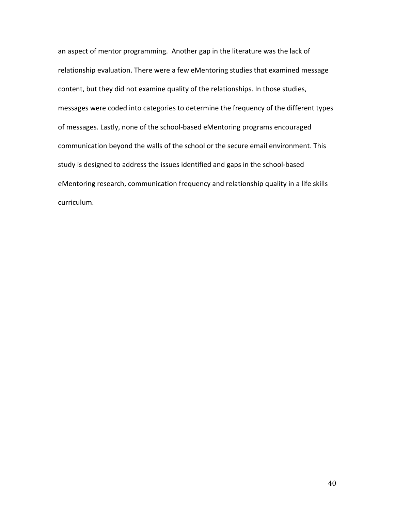an aspect of mentor programming. Another gap in the literature was the lack of relationship evaluation. There were a few eMentoring studies that examined message content, but they did not examine quality of the relationships. In those studies, messages were coded into categories to determine the frequency of the different types of messages. Lastly, none of the school-based eMentoring programs encouraged communication beyond the walls of the school or the secure email environment. This study is designed to address the issues identified and gaps in the school-based eMentoring research, communication frequency and relationship quality in a life skills curriculum.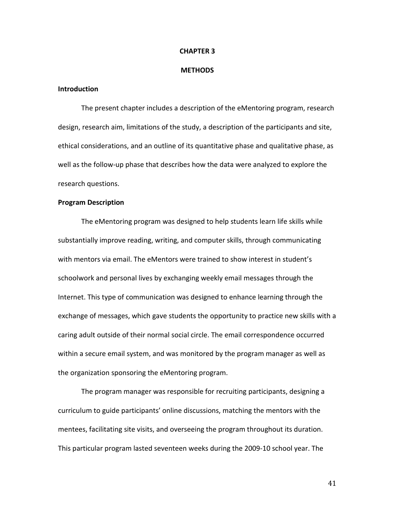#### **CHAPTER 3**

#### **METHODS**

#### **Introduction**

The present chapter includes a description of the eMentoring program, research design, research aim, limitations of the study, a description of the participants and site, ethical considerations, and an outline of its quantitative phase and qualitative phase, as well as the follow-up phase that describes how the data were analyzed to explore the research questions.

#### **Program Description**

The eMentoring program was designed to help students learn life skills while substantially improve reading, writing, and computer skills, through communicating with mentors via email. The eMentors were trained to show interest in student's schoolwork and personal lives by exchanging weekly email messages through the Internet. This type of communication was designed to enhance learning through the exchange of messages, which gave students the opportunity to practice new skills with a caring adult outside of their normal social circle. The email correspondence occurred within a secure email system, and was monitored by the program manager as well as the organization sponsoring the eMentoring program.

The program manager was responsible for recruiting participants, designing a curriculum to guide participants' online discussions, matching the mentors with the mentees, facilitating site visits, and overseeing the program throughout its duration. This particular program lasted seventeen weeks during the 2009-10 school year. The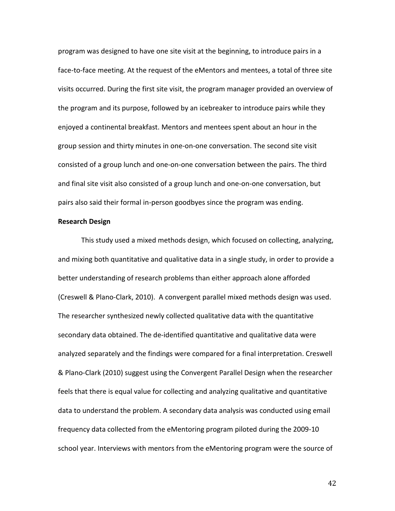program was designed to have one site visit at the beginning, to introduce pairs in a face-to-face meeting. At the request of the eMentors and mentees, a total of three site visits occurred. During the first site visit, the program manager provided an overview of the program and its purpose, followed by an icebreaker to introduce pairs while they enjoyed a continental breakfast. Mentors and mentees spent about an hour in the group session and thirty minutes in one-on-one conversation. The second site visit consisted of a group lunch and one-on-one conversation between the pairs. The third and final site visit also consisted of a group lunch and one-on-one conversation, but pairs also said their formal in-person goodbyes since the program was ending.

### **Research Design**

This study used a mixed methods design, which focused on collecting, analyzing, and mixing both quantitative and qualitative data in a single study, in order to provide a better understanding of research problems than either approach alone afforded (Creswell & Plano-Clark, 2010). A convergent parallel mixed methods design was used. The researcher synthesized newly collected qualitative data with the quantitative secondary data obtained. The de-identified quantitative and qualitative data were analyzed separately and the findings were compared for a final interpretation. Creswell & Plano-Clark (2010) suggest using the Convergent Parallel Design when the researcher feels that there is equal value for collecting and analyzing qualitative and quantitative data to understand the problem. A secondary data analysis was conducted using email frequency data collected from the eMentoring program piloted during the 2009-10 school year. Interviews with mentors from the eMentoring program were the source of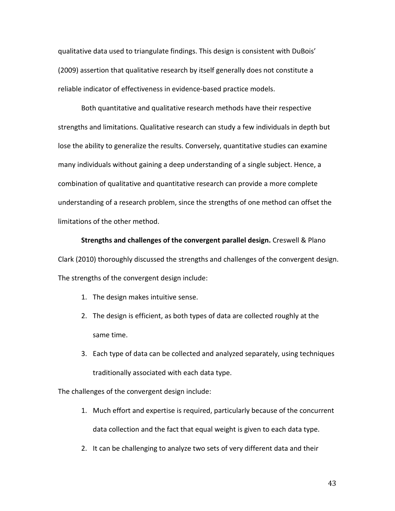qualitative data used to triangulate findings. This design is consistent with DuBois' (2009) assertion that qualitative research by itself generally does not constitute a reliable indicator of effectiveness in evidence-based practice models.

Both quantitative and qualitative research methods have their respective strengths and limitations. Qualitative research can study a few individuals in depth but lose the ability to generalize the results. Conversely, quantitative studies can examine many individuals without gaining a deep understanding of a single subject. Hence, a combination of qualitative and quantitative research can provide a more complete understanding of a research problem, since the strengths of one method can offset the limitations of the other method.

**Strengths and challenges of the convergent parallel design.** Creswell & Plano Clark (2010) thoroughly discussed the strengths and challenges of the convergent design. The strengths of the convergent design include:

- 1. The design makes intuitive sense.
- 2. The design is efficient, as both types of data are collected roughly at the same time.
- 3. Each type of data can be collected and analyzed separately, using techniques traditionally associated with each data type.

The challenges of the convergent design include:

- 1. Much effort and expertise is required, particularly because of the concurrent data collection and the fact that equal weight is given to each data type.
- 2. It can be challenging to analyze two sets of very different data and their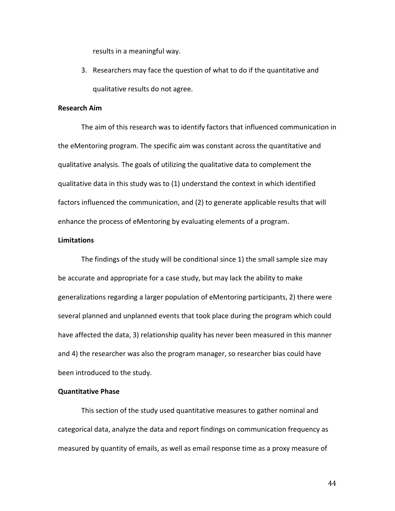results in a meaningful way.

3. Researchers may face the question of what to do if the quantitative and qualitative results do not agree.

#### **Research Aim**

The aim of this research was to identify factors that influenced communication in the eMentoring program. The specific aim was constant across the quantitative and qualitative analysis. The goals of utilizing the qualitative data to complement the qualitative data in this study was to (1) understand the context in which identified factors influenced the communication, and (2) to generate applicable results that will enhance the process of eMentoring by evaluating elements of a program.

#### **Limitations**

The findings of the study will be conditional since 1) the small sample size may be accurate and appropriate for a case study, but may lack the ability to make generalizations regarding a larger population of eMentoring participants, 2) there were several planned and unplanned events that took place during the program which could have affected the data, 3) relationship quality has never been measured in this manner and 4) the researcher was also the program manager, so researcher bias could have been introduced to the study.

## **Quantitative Phase**

This section of the study used quantitative measures to gather nominal and categorical data, analyze the data and report findings on communication frequency as measured by quantity of emails, as well as email response time as a proxy measure of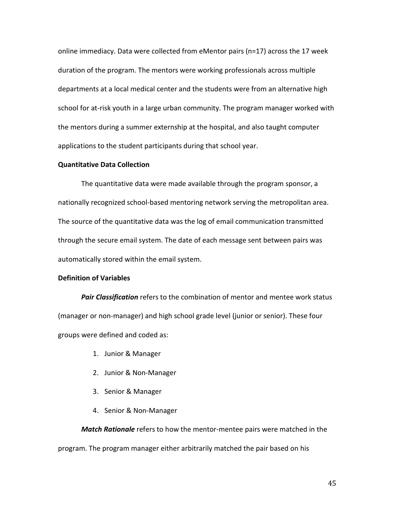online immediacy. Data were collected from eMentor pairs (n=17) across the 17 week duration of the program. The mentors were working professionals across multiple departments at a local medical center and the students were from an alternative high school for at-risk youth in a large urban community. The program manager worked with the mentors during a summer externship at the hospital, and also taught computer applications to the student participants during that school year.

### **Quantitative Data Collection**

The quantitative data were made available through the program sponsor, a nationally recognized school-based mentoring network serving the metropolitan area. The source of the quantitative data was the log of email communication transmitted through the secure email system. The date of each message sent between pairs was automatically stored within the email system.

# **Definition of Variables**

*Pair Classification* refers to the combination of mentor and mentee work status (manager or non-manager) and high school grade level (junior or senior). These four groups were defined and coded as:

- 1. Junior & Manager
- 2. Junior & Non-Manager
- 3. Senior & Manager
- 4. Senior & Non-Manager

*Match Rationale* refers to how the mentor-mentee pairs were matched in the program. The program manager either arbitrarily matched the pair based on his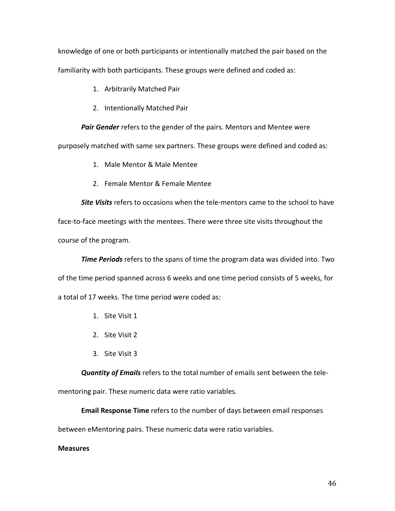knowledge of one or both participants or intentionally matched the pair based on the familiarity with both participants. These groups were defined and coded as:

1. Arbitrarily Matched Pair

2. Intentionally Matched Pair

*Pair Gender* refers to the gender of the pairs. Mentors and Mentee were purposely matched with same sex partners. These groups were defined and coded as:

1. Male Mentor & Male Mentee

2. Female Mentor & Female Mentee

*Site Visits* refers to occasions when the tele-mentors came to the school to have face-to-face meetings with the mentees. There were three site visits throughout the course of the program.

*Time Periods* refers to the spans of time the program data was divided into. Two of the time period spanned across 6 weeks and one time period consists of 5 weeks, for a total of 17 weeks. The time period were coded as:

- 1. Site Visit 1
- 2. Site Visit 2
- 3. Site Visit 3

*Quantity of Emails* refers to the total number of emails sent between the telementoring pair. These numeric data were ratio variables.

**Email Response Time** refers to the number of days between email responses between eMentoring pairs. These numeric data were ratio variables.

# **Measures**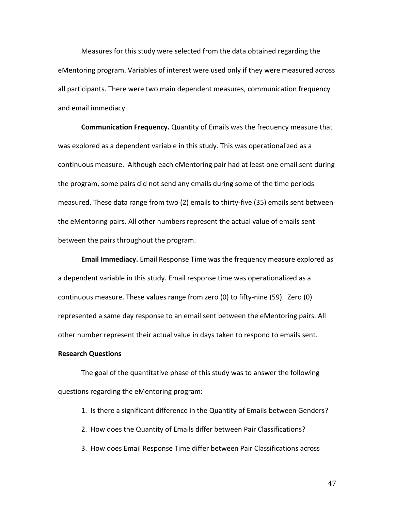Measures for this study were selected from the data obtained regarding the eMentoring program. Variables of interest were used only if they were measured across all participants. There were two main dependent measures, communication frequency and email immediacy.

**Communication Frequency.** Quantity of Emails was the frequency measure that was explored as a dependent variable in this study. This was operationalized as a continuous measure. Although each eMentoring pair had at least one email sent during the program, some pairs did not send any emails during some of the time periods measured. These data range from two (2) emails to thirty-five (35) emails sent between the eMentoring pairs. All other numbers represent the actual value of emails sent between the pairs throughout the program.

**Email Immediacy.** Email Response Time was the frequency measure explored as a dependent variable in this study. Email response time was operationalized as a continuous measure. These values range from zero (0) to fifty-nine (59). Zero (0) represented a same day response to an email sent between the eMentoring pairs. All other number represent their actual value in days taken to respond to emails sent.

#### **Research Questions**

The goal of the quantitative phase of this study was to answer the following questions regarding the eMentoring program:

- 1. Is there a significant difference in the Quantity of Emails between Genders?
- 2. How does the Quantity of Emails differ between Pair Classifications?
- 3. How does Email Response Time differ between Pair Classifications across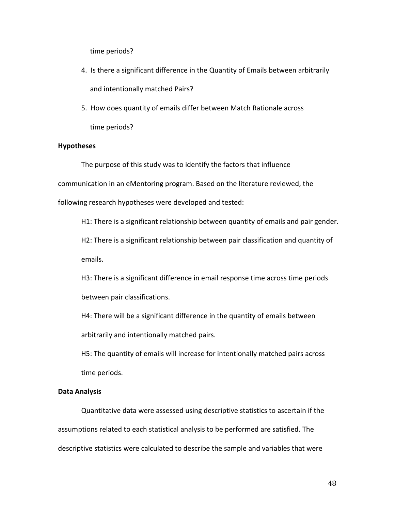time periods?

- 4. Is there a significant difference in the Quantity of Emails between arbitrarily and intentionally matched Pairs?
- 5. How does quantity of emails differ between Match Rationale across time periods?

## **Hypotheses**

The purpose of this study was to identify the factors that influence

communication in an eMentoring program. Based on the literature reviewed, the

following research hypotheses were developed and tested:

H1: There is a significant relationship between quantity of emails and pair gender.

H2: There is a significant relationship between pair classification and quantity of emails.

H3: There is a significant difference in email response time across time periods between pair classifications.

H4: There will be a significant difference in the quantity of emails between arbitrarily and intentionally matched pairs.

H5: The quantity of emails will increase for intentionally matched pairs across time periods.

## **Data Analysis**

Quantitative data were assessed using descriptive statistics to ascertain if the assumptions related to each statistical analysis to be performed are satisfied. The descriptive statistics were calculated to describe the sample and variables that were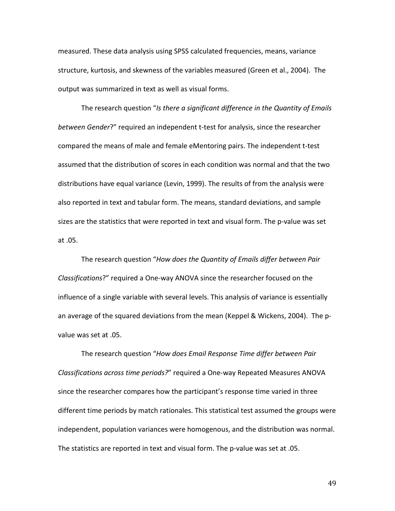measured. These data analysis using SPSS calculated frequencies, means, variance structure, kurtosis, and skewness of the variables measured (Green et al., 2004). The output was summarized in text as well as visual forms.

The research question "*Is there a significant difference in the Quantity of Emails between Gender*?" required an independent t-test for analysis, since the researcher compared the means of male and female eMentoring pairs. The independent t-test assumed that the distribution of scores in each condition was normal and that the two distributions have equal variance (Levin, 1999). The results of from the analysis were also reported in text and tabular form. The means, standard deviations, and sample sizes are the statistics that were reported in text and visual form. The p-value was set at .05.

The research question "*How does the Quantity of Emails differ between Pair Classifications*?" required a One-way ANOVA since the researcher focused on the influence of a single variable with several levels. This analysis of variance is essentially an average of the squared deviations from the mean (Keppel & Wickens, 2004). The pvalue was set at .05.

The research question "*How does Email Response Time differ between Pair Classifications across time periods?*" required a One-way Repeated Measures ANOVA since the researcher compares how the participant's response time varied in three different time periods by match rationales. This statistical test assumed the groups were independent, population variances were homogenous, and the distribution was normal. The statistics are reported in text and visual form. The p-value was set at .05.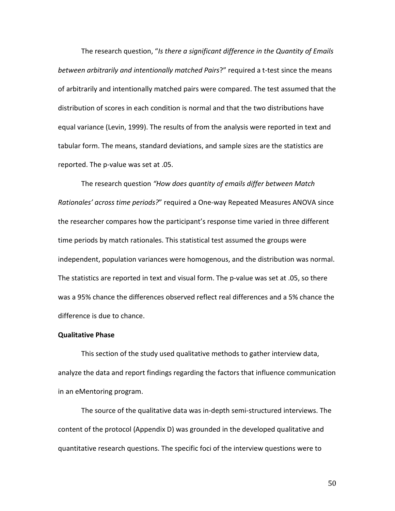The research question, "*Is there a significant difference in the Quantity of Emails between arbitrarily and intentionally matched Pairs*?" required a t-test since the means of arbitrarily and intentionally matched pairs were compared. The test assumed that the distribution of scores in each condition is normal and that the two distributions have equal variance (Levin, 1999). The results of from the analysis were reported in text and tabular form. The means, standard deviations, and sample sizes are the statistics are reported. The p-value was set at .05.

The research question *"How does quantity of emails differ between Match Rationales' across time periods?*" required a One-way Repeated Measures ANOVA since the researcher compares how the participant's response time varied in three different time periods by match rationales. This statistical test assumed the groups were independent, population variances were homogenous, and the distribution was normal. The statistics are reported in text and visual form. The p-value was set at .05, so there was a 95% chance the differences observed reflect real differences and a 5% chance the difference is due to chance.

#### **Qualitative Phase**

This section of the study used qualitative methods to gather interview data, analyze the data and report findings regarding the factors that influence communication in an eMentoring program.

The source of the qualitative data was in-depth semi-structured interviews. The content of the protocol (Appendix D) was grounded in the developed qualitative and quantitative research questions. The specific foci of the interview questions were to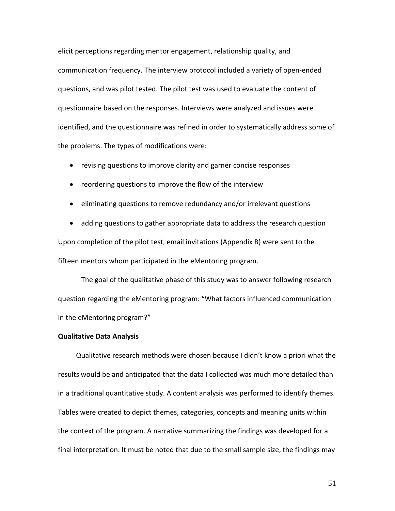elicit perceptions regarding mentor engagement, relationship quality, and communication frequency. The interview protocol included a variety of open-ended questions, and was pilot tested. The pilot test was used to evaluate the content of questionnaire based on the responses. Interviews were analyzed and issues were identified, and the questionnaire was refined in order to systematically address some of the problems. The types of modifications were:

- revising questions to improve clarity and garner concise responses
- reordering questions to improve the flow of the interview
- eliminating questions to remove redundancy and/or irrelevant questions

• adding questions to gather appropriate data to address the research question Upon completion of the pilot test, email invitations (Appendix B) were sent to the fifteen mentors whom participated in the eMentoring program.

The goal of the qualitative phase of this study was to answer following research question regarding the eMentoring program: "What factors influenced communication in the eMentoring program?"

#### **Qualitative Data Analysis**

Qualitative research methods were chosen because I didn't know a priori what the results would be and anticipated that the data I collected was much more detailed than in a traditional quantitative study. A content analysis was performed to identify themes. Tables were created to depict themes, categories, concepts and meaning units within the context of the program. A narrative summarizing the findings was developed for a final interpretation. It must be noted that due to the small sample size, the findings may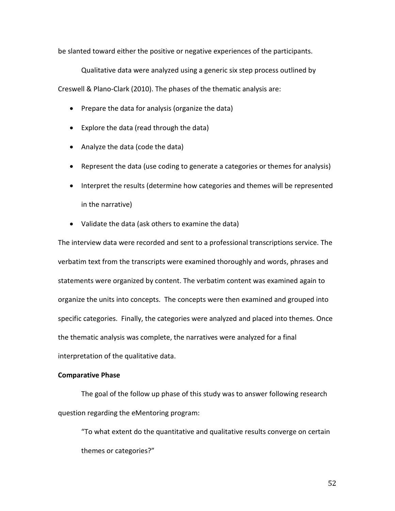be slanted toward either the positive or negative experiences of the participants.

Qualitative data were analyzed using a generic six step process outlined by

Creswell & Plano-Clark (2010). The phases of the thematic analysis are:

- Prepare the data for analysis (organize the data)
- Explore the data (read through the data)
- Analyze the data (code the data)
- Represent the data (use coding to generate a categories or themes for analysis)
- Interpret the results (determine how categories and themes will be represented in the narrative)
- Validate the data (ask others to examine the data)

The interview data were recorded and sent to a professional transcriptions service. The verbatim text from the transcripts were examined thoroughly and words, phrases and statements were organized by content. The verbatim content was examined again to organize the units into concepts. The concepts were then examined and grouped into specific categories. Finally, the categories were analyzed and placed into themes. Once the thematic analysis was complete, the narratives were analyzed for a final interpretation of the qualitative data.

#### **Comparative Phase**

The goal of the follow up phase of this study was to answer following research question regarding the eMentoring program:

"To what extent do the quantitative and qualitative results converge on certain themes or categories?"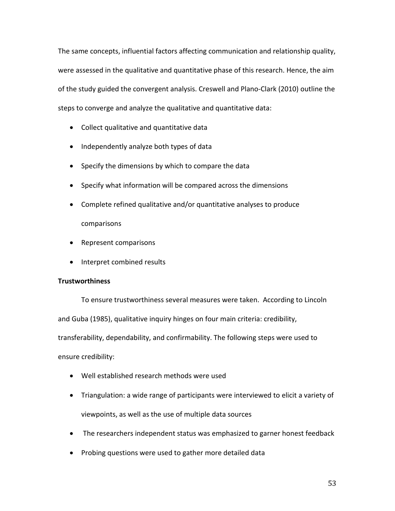The same concepts, influential factors affecting communication and relationship quality, were assessed in the qualitative and quantitative phase of this research. Hence, the aim of the study guided the convergent analysis. Creswell and Plano-Clark (2010) outline the steps to converge and analyze the qualitative and quantitative data:

- Collect qualitative and quantitative data
- Independently analyze both types of data
- Specify the dimensions by which to compare the data
- Specify what information will be compared across the dimensions
- Complete refined qualitative and/or quantitative analyses to produce comparisons
- Represent comparisons
- Interpret combined results

# **Trustworthiness**

To ensure trustworthiness several measures were taken. According to Lincoln and Guba (1985), qualitative inquiry hinges on four main criteria: credibility, transferability, dependability, and confirmability. The following steps were used to ensure credibility:

- Well established research methods were used
- Triangulation: a wide range of participants were interviewed to elicit a variety of viewpoints, as well as the use of multiple data sources
- The researchers independent status was emphasized to garner honest feedback
- Probing questions were used to gather more detailed data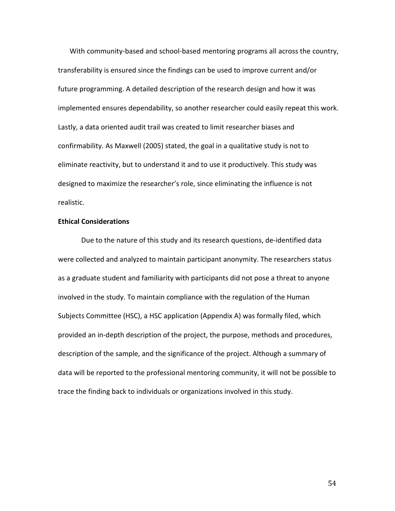With community-based and school-based mentoring programs all across the country, transferability is ensured since the findings can be used to improve current and/or future programming. A detailed description of the research design and how it was implemented ensures dependability, so another researcher could easily repeat this work. Lastly, a data oriented audit trail was created to limit researcher biases and confirmability. As Maxwell (2005) stated, the goal in a qualitative study is not to eliminate reactivity, but to understand it and to use it productively. This study was designed to maximize the researcher's role, since eliminating the influence is not realistic.

## **Ethical Considerations**

Due to the nature of this study and its research questions, de-identified data were collected and analyzed to maintain participant anonymity. The researchers status as a graduate student and familiarity with participants did not pose a threat to anyone involved in the study. To maintain compliance with the regulation of the Human Subjects Committee (HSC), a HSC application (Appendix A) was formally filed, which provided an in-depth description of the project, the purpose, methods and procedures, description of the sample, and the significance of the project. Although a summary of data will be reported to the professional mentoring community, it will not be possible to trace the finding back to individuals or organizations involved in this study.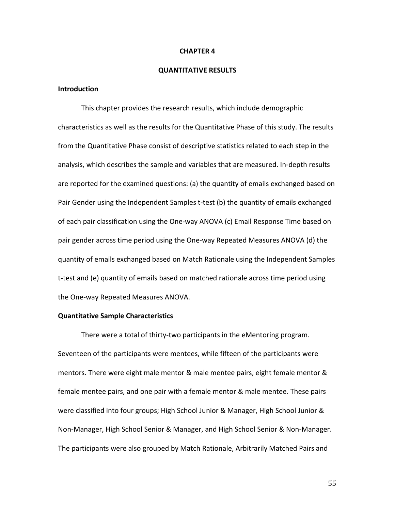#### **CHAPTER 4**

#### **QUANTITATIVE RESULTS**

#### **Introduction**

This chapter provides the research results, which include demographic characteristics as well as the results for the Quantitative Phase of this study. The results from the Quantitative Phase consist of descriptive statistics related to each step in the analysis, which describes the sample and variables that are measured. In-depth results are reported for the examined questions: (a) the quantity of emails exchanged based on Pair Gender using the Independent Samples t-test (b) the quantity of emails exchanged of each pair classification using the One-way ANOVA (c) Email Response Time based on pair gender across time period using the One-way Repeated Measures ANOVA (d) the quantity of emails exchanged based on Match Rationale using the Independent Samples t-test and (e) quantity of emails based on matched rationale across time period using the One-way Repeated Measures ANOVA.

### **Quantitative Sample Characteristics**

There were a total of thirty-two participants in the eMentoring program. Seventeen of the participants were mentees, while fifteen of the participants were mentors. There were eight male mentor & male mentee pairs, eight female mentor & female mentee pairs, and one pair with a female mentor & male mentee. These pairs were classified into four groups; High School Junior & Manager, High School Junior & Non-Manager, High School Senior & Manager, and High School Senior & Non-Manager. The participants were also grouped by Match Rationale, Arbitrarily Matched Pairs and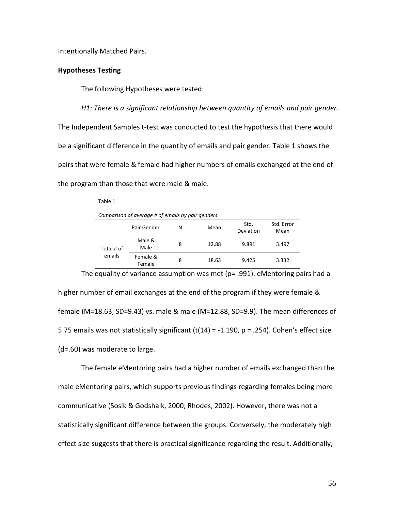Intentionally Matched Pairs.

#### **Hypotheses Testing**

The following Hypotheses were tested:

*H1: There is a significant relationship between quantity of emails and pair gender.* The Independent Samples t-test was conducted to test the hypothesis that there would be a significant difference in the quantity of emails and pair gender. Table 1 shows the pairs that were female & female had higher numbers of emails exchanged at the end of the program than those that were male & male.

| . .<br>× | н<br>٩<br>× |  |
|----------|-------------|--|
|----------|-------------|--|

| Comparison of average # of emails by pair genders |                    |            |       |                   |                    |
|---------------------------------------------------|--------------------|------------|-------|-------------------|--------------------|
|                                                   | Pair Gender        | N          | Mean  | Std.<br>Deviation | Std. Error<br>Mean |
| Total # of                                        | Male &<br>Male     | 12.88<br>8 |       | 9.891             | 3.497              |
| emails                                            | Female &<br>Female | 8          | 18.63 | 9.425             | 3.332              |

The equality of variance assumption was met ( $p=$  .991). eMentoring pairs had a higher number of email exchanges at the end of the program if they were female & female (M=18.63, SD=9.43) vs. male & male (M=12.88, SD=9.9). The mean differences of 5.75 emails was not statistically significant (t(14) =  $-1.190$ , p = .254). Cohen's effect size (d=.60) was moderate to large.

The female eMentoring pairs had a higher number of emails exchanged than the male eMentoring pairs, which supports previous findings regarding females being more communicative (Sosik & Godshalk, 2000; Rhodes, 2002). However, there was not a statistically significant difference between the groups. Conversely, the moderately high effect size suggests that there is practical significance regarding the result. Additionally,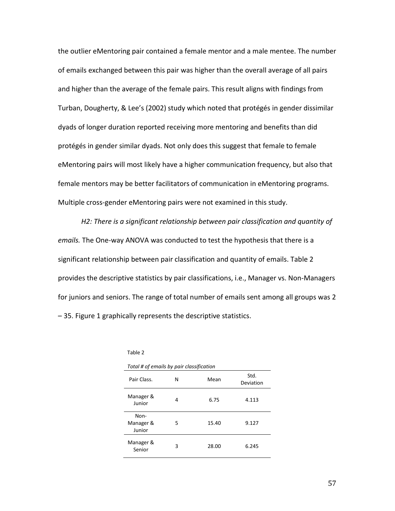the outlier eMentoring pair contained a female mentor and a male mentee. The number of emails exchanged between this pair was higher than the overall average of all pairs and higher than the average of the female pairs. This result aligns with findings from Turban, Dougherty, & Lee's (2002) study which noted that protégés in gender dissimilar dyads of longer duration reported receiving more mentoring and benefits than did protégés in gender similar dyads. Not only does this suggest that female to female eMentoring pairs will most likely have a higher communication frequency, but also that female mentors may be better facilitators of communication in eMentoring programs. Multiple cross-gender eMentoring pairs were not examined in this study.

*H2: There is a significant relationship between pair classification and quantity of emails.* The One-way ANOVA was conducted to test the hypothesis that there is a significant relationship between pair classification and quantity of emails. Table 2 provides the descriptive statistics by pair classifications, i.e., Manager vs. Non-Managers for juniors and seniors. The range of total number of emails sent among all groups was 2 – 35. Figure 1 graphically represents the descriptive statistics.

| Total # of emails by pair classification |   |       |                   |
|------------------------------------------|---|-------|-------------------|
| Pair Class.                              | N | Mean  | Std.<br>Deviation |
| Manager &<br>Junior                      | 4 | 6.75  | 4.113             |
| Non-<br>Manager &<br>Junior              | 5 | 15.40 | 9.127             |
| Manager &<br>Senior                      | 3 | 28.00 | 6.245             |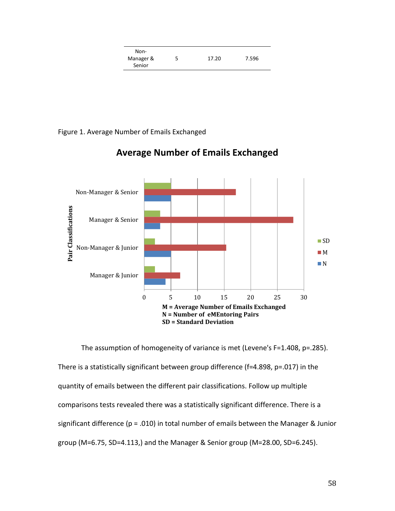| Non-      |   |       |       |
|-----------|---|-------|-------|
| Manager & | 5 | 17.20 | 7.596 |
| Senior    |   |       |       |

# Figure 1. Average Number of Emails Exchanged



# **Average Number of Emails Exchanged**

The assumption of homogeneity of variance is met (Levene's F=1.408, p=.285). There is a statistically significant between group difference (f=4.898, p=.017) in the quantity of emails between the different pair classifications. Follow up multiple comparisons tests revealed there was a statistically significant difference. There is a significant difference ( $p = .010$ ) in total number of emails between the Manager & Junior group (M=6.75, SD=4.113,) and the Manager & Senior group (M=28.00, SD=6.245).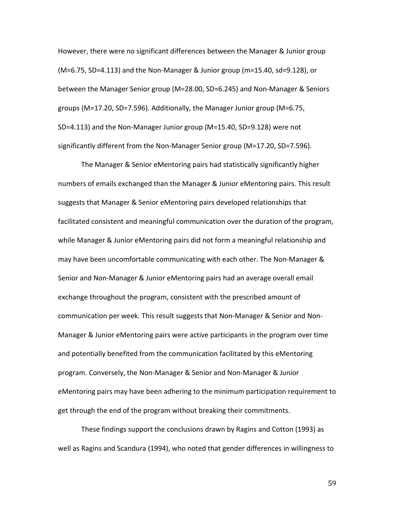However, there were no significant differences between the Manager & Junior group (M=6.75, SD=4.113) and the Non-Manager & Junior group (m=15.40, sd=9.128), or between the Manager Senior group (M=28.00, SD=6.245) and Non-Manager & Seniors groups (M=17.20, SD=7.596). Additionally, the Manager Junior group (M=6.75, SD=4.113) and the Non-Manager Junior group (M=15.40, SD=9.128) were not significantly different from the Non-Manager Senior group (M=17.20, SD=7.596).

The Manager & Senior eMentoring pairs had statistically significantly higher numbers of emails exchanged than the Manager & Junior eMentoring pairs. This result suggests that Manager & Senior eMentoring pairs developed relationships that facilitated consistent and meaningful communication over the duration of the program, while Manager & Junior eMentoring pairs did not form a meaningful relationship and may have been uncomfortable communicating with each other. The Non-Manager & Senior and Non-Manager & Junior eMentoring pairs had an average overall email exchange throughout the program, consistent with the prescribed amount of communication per week. This result suggests that Non-Manager & Senior and Non-Manager & Junior eMentoring pairs were active participants in the program over time and potentially benefited from the communication facilitated by this eMentoring program. Conversely, the Non-Manager & Senior and Non-Manager & Junior eMentoring pairs may have been adhering to the minimum participation requirement to get through the end of the program without breaking their commitments.

These findings support the conclusions drawn by Ragins and Cotton (1993) as well as Ragins and Scandura (1994), who noted that gender differences in willingness to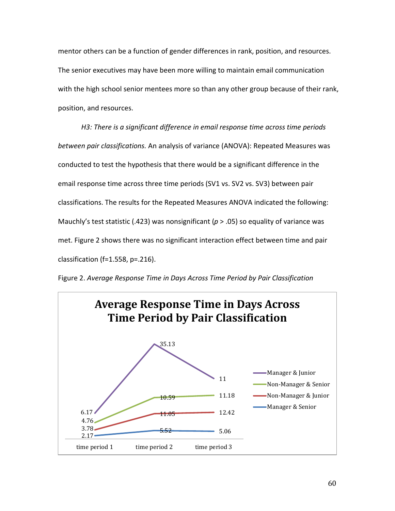mentor others can be a function of gender differences in rank, position, and resources. The senior executives may have been more willing to maintain email communication with the high school senior mentees more so than any other group because of their rank, position, and resources.

*H3: There is a significant difference in email response time across time periods between pair classifications.* An analysis of variance (ANOVA): Repeated Measures was conducted to test the hypothesis that there would be a significant difference in the email response time across three time periods (SV1 vs. SV2 vs. SV3) between pair classifications. The results for the Repeated Measures ANOVA indicated the following: Mauchly's test statistic (.423) was nonsignificant (*p* > .05) so equality of variance was met. Figure 2 shows there was no significant interaction effect between time and pair classification (f=1.558, p=.216).



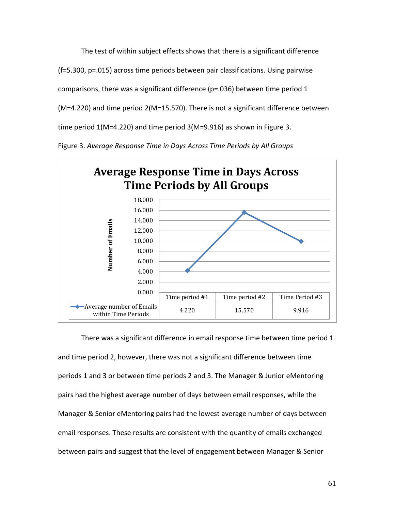The test of within subject effects shows that there is a significant difference

(f=5.300, p=.015) across time periods between pair classifications. Using pairwise

comparisons, there was a significant difference ( $p = .036$ ) between time period 1

(M=4.220) and time period 2(M=15.570). There is not a significant difference between

time period 1(M=4.220) and time period 3(M=9.916) as shown in Figure 3.

Figure 3. *Average Response Time in Days Across Time Periods by All Groups*



There was a significant difference in email response time between time period 1 and time period 2, however, there was not a significant difference between time periods 1 and 3 or between time periods 2 and 3. The Manager & Junior eMentoring pairs had the highest average number of days between email responses, while the Manager & Senior eMentoring pairs had the lowest average number of days between email responses. These results are consistent with the quantity of emails exchanged between pairs and suggest that the level of engagement between Manager & Senior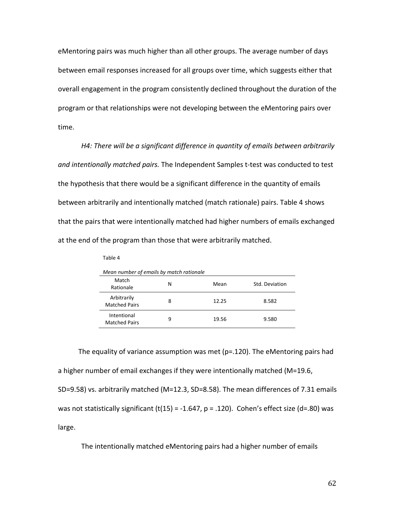eMentoring pairs was much higher than all other groups. The average number of days between email responses increased for all groups over time, which suggests either that overall engagement in the program consistently declined throughout the duration of the program or that relationships were not developing between the eMentoring pairs over time.

*H4: There will be a significant difference in quantity of emails between arbitrarily and intentionally matched pairs.* The Independent Samples t-test was conducted to test the hypothesis that there would be a significant difference in the quantity of emails between arbitrarily and intentionally matched (match rationale) pairs. Table 4 shows that the pairs that were intentionally matched had higher numbers of emails exchanged at the end of the program than those that were arbitrarily matched.

| Mean number of emails by match rationale |   |       |                |
|------------------------------------------|---|-------|----------------|
| Match<br>Rationale                       | N | Mean  | Std. Deviation |
| Arbitrarily<br><b>Matched Pairs</b>      | 8 | 12.25 | 8.582          |
| Intentional<br><b>Matched Pairs</b>      | 9 | 19.56 | 9.580          |

Table 4

The equality of variance assumption was met ( $p=120$ ). The eMentoring pairs had a higher number of email exchanges if they were intentionally matched (M=19.6, SD=9.58) vs. arbitrarily matched (M=12.3, SD=8.58). The mean differences of 7.31 emails was not statistically significant  $(t(15) = -1.647, p = .120)$ . Cohen's effect size (d=.80) was large.

The intentionally matched eMentoring pairs had a higher number of emails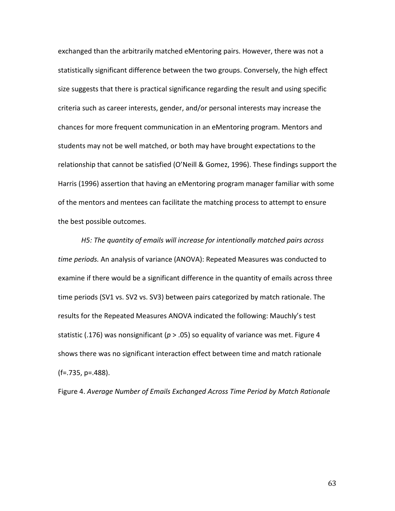exchanged than the arbitrarily matched eMentoring pairs. However, there was not a statistically significant difference between the two groups. Conversely, the high effect size suggests that there is practical significance regarding the result and using specific criteria such as career interests, gender, and/or personal interests may increase the chances for more frequent communication in an eMentoring program. Mentors and students may not be well matched, or both may have brought expectations to the relationship that cannot be satisfied (O'Neill & Gomez, 1996). These findings support the Harris (1996) assertion that having an eMentoring program manager familiar with some of the mentors and mentees can facilitate the matching process to attempt to ensure the best possible outcomes.

*H5: The quantity of emails will increase for intentionally matched pairs across time periods.* An analysis of variance (ANOVA): Repeated Measures was conducted to examine if there would be a significant difference in the quantity of emails across three time periods (SV1 vs. SV2 vs. SV3) between pairs categorized by match rationale. The results for the Repeated Measures ANOVA indicated the following: Mauchly's test statistic (.176) was nonsignificant (*p* > .05) so equality of variance was met. Figure 4 shows there was no significant interaction effect between time and match rationale (f=.735, p=.488).

Figure 4. *Average Number of Emails Exchanged Across Time Period by Match Rationale*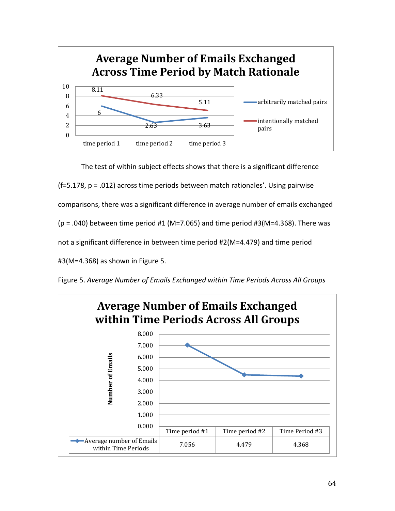

The test of within subject effects shows that there is a significant difference (f=5.178,  $p = .012$ ) across time periods between match rationales'. Using pairwise comparisons, there was a significant difference in average number of emails exchanged  $(p = .040)$  between time period #1 (M=7.065) and time period #3(M=4.368). There was not a significant difference in between time period #2(M=4.479) and time period #3(M=4.368) as shown in Figure 5.



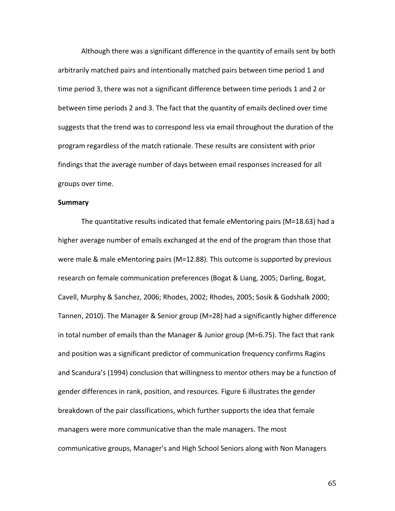Although there was a significant difference in the quantity of emails sent by both arbitrarily matched pairs and intentionally matched pairs between time period 1 and time period 3, there was not a significant difference between time periods 1 and 2 or between time periods 2 and 3. The fact that the quantity of emails declined over time suggests that the trend was to correspond less via email throughout the duration of the program regardless of the match rationale. These results are consistent with prior findings that the average number of days between email responses increased for all groups over time.

#### **Summary**

The quantitative results indicated that female eMentoring pairs (M=18.63) had a higher average number of emails exchanged at the end of the program than those that were male & male eMentoring pairs (M=12.88). This outcome is supported by previous research on female communication preferences (Bogat & Liang, 2005; Darling, Bogat, Cavell, Murphy & Sanchez, 2006; Rhodes, 2002; Rhodes, 2005; Sosik & Godshalk 2000; Tannen, 2010). The Manager & Senior group (M=28) had a significantly higher difference in total number of emails than the Manager & Junior group (M=6.75). The fact that rank and position was a significant predictor of communication frequency confirms Ragins and Scandura's (1994) conclusion that willingness to mentor others may be a function of gender differences in rank, position, and resources. Figure 6 illustrates the gender breakdown of the pair classifications, which further supports the idea that female managers were more communicative than the male managers. The most communicative groups, Manager's and High School Seniors along with Non Managers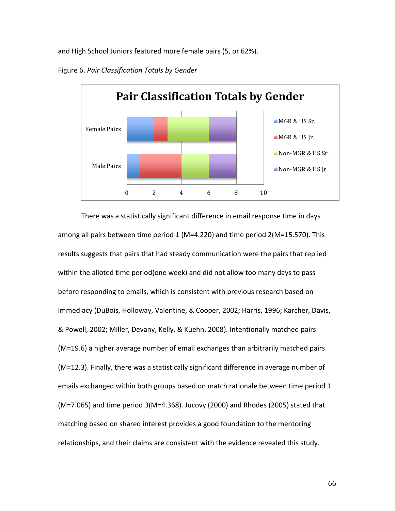and High School Juniors featured more female pairs (5, or 62%).



Figure 6. *Pair Classification Totals by Gender*

There was a statistically significant difference in email response time in days among all pairs between time period 1 (M=4.220) and time period 2(M=15.570). This results suggests that pairs that had steady communication were the pairs that replied within the alloted time period(one week) and did not allow too many days to pass before responding to emails, which is consistent with previous research based on immediacy (DuBois, Holloway, Valentine, & Cooper, 2002; Harris, 1996; Karcher, Davis, & Powell, 2002; Miller, Devany, Kelly, & Kuehn, 2008). Intentionally matched pairs (M=19.6) a higher average number of email exchanges than arbitrarily matched pairs (M=12.3). Finally, there was a statistically significant difference in average number of emails exchanged within both groups based on match rationale between time period 1 (M=7.065) and time period 3(M=4.368). Jucovy (2000) and Rhodes (2005) stated that matching based on shared interest provides a good foundation to the mentoring relationships, and their claims are consistent with the evidence revealed this study.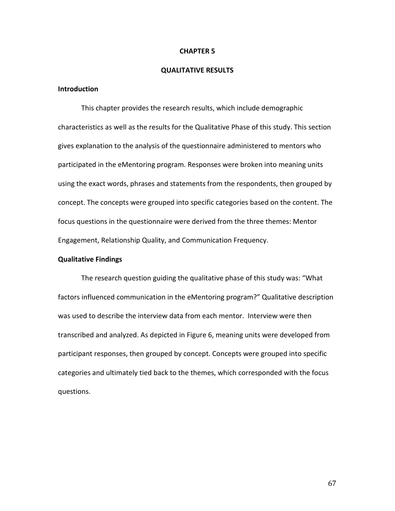#### **CHAPTER 5**

#### **QUALITATIVE RESULTS**

# **Introduction**

This chapter provides the research results, which include demographic characteristics as well as the results for the Qualitative Phase of this study. This section gives explanation to the analysis of the questionnaire administered to mentors who participated in the eMentoring program. Responses were broken into meaning units using the exact words, phrases and statements from the respondents, then grouped by concept. The concepts were grouped into specific categories based on the content. The focus questions in the questionnaire were derived from the three themes: Mentor Engagement, Relationship Quality, and Communication Frequency.

### **Qualitative Findings**

The research question guiding the qualitative phase of this study was: "What factors influenced communication in the eMentoring program?" Qualitative description was used to describe the interview data from each mentor. Interview were then transcribed and analyzed. As depicted in Figure 6, meaning units were developed from participant responses, then grouped by concept. Concepts were grouped into specific categories and ultimately tied back to the themes, which corresponded with the focus questions.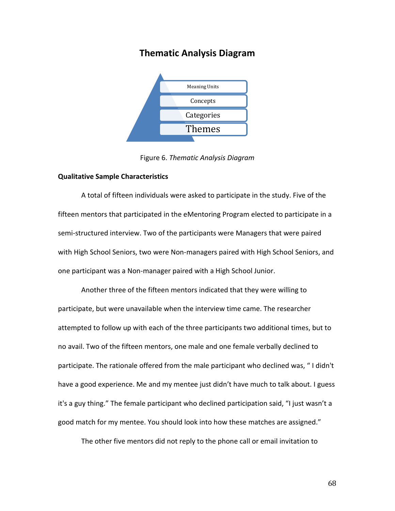# **Thematic Analysis Diagram**



Figure 6. *Thematic Analysis Diagram*

# **Qualitative Sample Characteristics**

A total of fifteen individuals were asked to participate in the study. Five of the fifteen mentors that participated in the eMentoring Program elected to participate in a semi-structured interview. Two of the participants were Managers that were paired with High School Seniors, two were Non-managers paired with High School Seniors, and one participant was a Non-manager paired with a High School Junior.

Another three of the fifteen mentors indicated that they were willing to participate, but were unavailable when the interview time came. The researcher attempted to follow up with each of the three participants two additional times, but to no avail. Two of the fifteen mentors, one male and one female verbally declined to participate. The rationale offered from the male participant who declined was, " I didn't have a good experience. Me and my mentee just didn't have much to talk about. I guess it's a guy thing." The female participant who declined participation said, "I just wasn't a good match for my mentee. You should look into how these matches are assigned."

The other five mentors did not reply to the phone call or email invitation to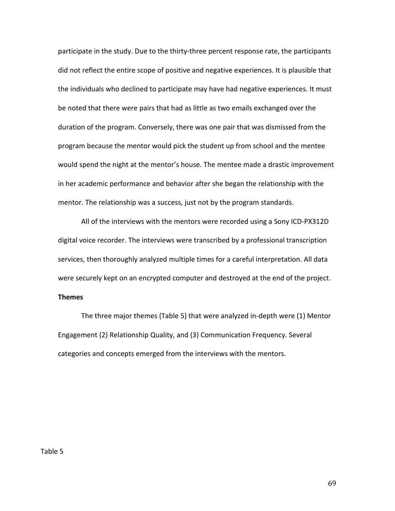participate in the study. Due to the thirty-three percent response rate, the participants did not reflect the entire scope of positive and negative experiences. It is plausible that the individuals who declined to participate may have had negative experiences. It must be noted that there were pairs that had as little as two emails exchanged over the duration of the program. Conversely, there was one pair that was dismissed from the program because the mentor would pick the student up from school and the mentee would spend the night at the mentor's house. The mentee made a drastic improvement in her academic performance and behavior after she began the relationship with the mentor. The relationship was a success, just not by the program standards.

All of the interviews with the mentors were recorded using a Sony ICD-PX312D digital voice recorder. The interviews were transcribed by a professional transcription services, then thoroughly analyzed multiple times for a careful interpretation. All data were securely kept on an encrypted computer and destroyed at the end of the project.

# **Themes**

The three major themes (Table 5) that were analyzed in-depth were (1) Mentor Engagement (2) Relationship Quality, and (3) Communication Frequency. Several categories and concepts emerged from the interviews with the mentors.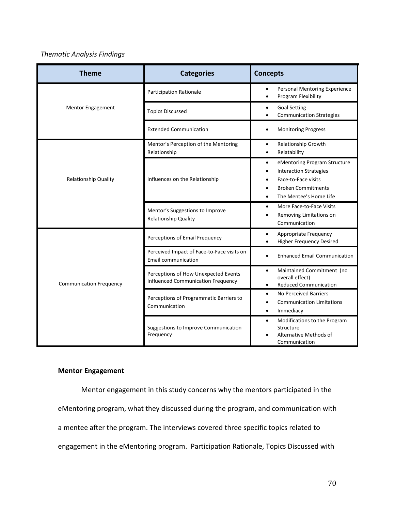# *Thematic Analysis Findings*

| <b>Theme</b>                   | <b>Categories</b>                                                                 | <b>Concepts</b>                                                                                                                                                       |
|--------------------------------|-----------------------------------------------------------------------------------|-----------------------------------------------------------------------------------------------------------------------------------------------------------------------|
| Mentor Engagement              | <b>Participation Rationale</b>                                                    | Personal Mentoring Experience<br>Program Flexibility                                                                                                                  |
|                                | <b>Topics Discussed</b>                                                           | <b>Goal Setting</b><br>$\bullet$<br><b>Communication Strategies</b>                                                                                                   |
|                                | <b>Extended Communication</b>                                                     | <b>Monitoring Progress</b><br>$\bullet$                                                                                                                               |
| <b>Relationship Quality</b>    | Mentor's Perception of the Mentoring<br>Relationship                              | Relationship Growth<br>$\bullet$<br>Relatability<br>$\bullet$                                                                                                         |
|                                | Influences on the Relationship                                                    | eMentoring Program Structure<br>$\bullet$<br><b>Interaction Strategies</b><br>$\bullet$<br>Face-to-Face visits<br><b>Broken Commitments</b><br>The Mentee's Home Life |
|                                | Mentor's Suggestions to Improve<br><b>Relationship Quality</b>                    | More Face-to-Face Visits<br>$\bullet$<br>Removing Limitations on<br>$\bullet$<br>Communication                                                                        |
| <b>Communication Frequency</b> | Perceptions of Email Frequency                                                    | Appropriate Frequency<br>$\bullet$<br><b>Higher Frequency Desired</b><br>$\bullet$                                                                                    |
|                                | Perceived Impact of Face-to-Face visits on<br><b>Email communication</b>          | <b>Enhanced Email Communication</b>                                                                                                                                   |
|                                | Perceptions of How Unexpected Events<br><b>Influenced Communication Frequency</b> | Maintained Commitment (no<br>$\bullet$<br>overall effect)<br><b>Reduced Communication</b><br>$\bullet$                                                                |
|                                | Perceptions of Programmatic Barriers to<br>Communication                          | No Perceived Barriers<br>$\bullet$<br><b>Communication Limitations</b><br>$\bullet$<br>Immediacy<br>$\bullet$                                                         |
|                                | Suggestions to Improve Communication<br>Frequency                                 | Modifications to the Program<br>$\bullet$<br>Structure<br>Alternative Methods of<br>Communication                                                                     |

# **Mentor Engagement**

Mentor engagement in this study concerns why the mentors participated in the eMentoring program, what they discussed during the program, and communication with a mentee after the program. The interviews covered three specific topics related to engagement in the eMentoring program. Participation Rationale, Topics Discussed with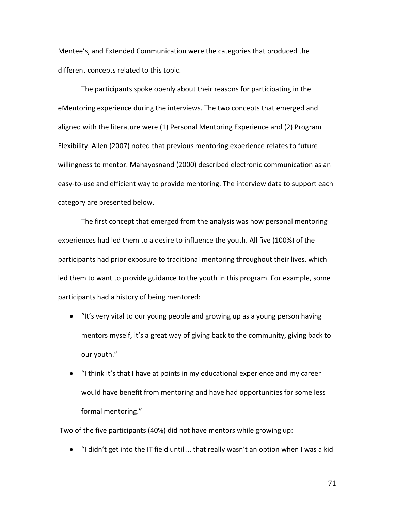Mentee's, and Extended Communication were the categories that produced the different concepts related to this topic.

The participants spoke openly about their reasons for participating in the eMentoring experience during the interviews. The two concepts that emerged and aligned with the literature were (1) Personal Mentoring Experience and (2) Program Flexibility. Allen (2007) noted that previous mentoring experience relates to future willingness to mentor. Mahayosnand (2000) described electronic communication as an easy-to-use and efficient way to provide mentoring. The interview data to support each category are presented below.

The first concept that emerged from the analysis was how personal mentoring experiences had led them to a desire to influence the youth. All five (100%) of the participants had prior exposure to traditional mentoring throughout their lives, which led them to want to provide guidance to the youth in this program. For example, some participants had a history of being mentored:

- "It's very vital to our young people and growing up as a young person having mentors myself, it's a great way of giving back to the community, giving back to our youth."
- "I think it's that I have at points in my educational experience and my career would have benefit from mentoring and have had opportunities for some less formal mentoring."

Two of the five participants (40%) did not have mentors while growing up:

• "I didn't get into the IT field until … that really wasn't an option when I was a kid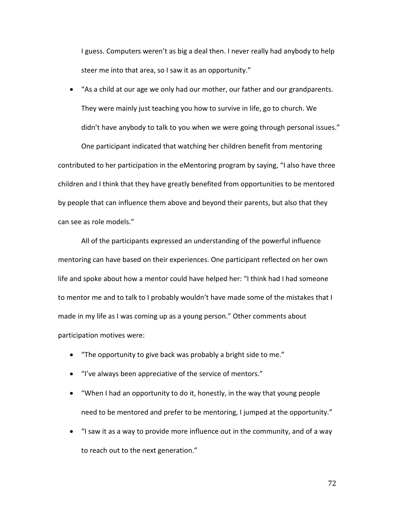I guess. Computers weren't as big a deal then. I never really had anybody to help steer me into that area, so I saw it as an opportunity."

• "As a child at our age we only had our mother, our father and our grandparents. They were mainly just teaching you how to survive in life, go to church. We didn't have anybody to talk to you when we were going through personal issues." One participant indicated that watching her children benefit from mentoring contributed to her participation in the eMentoring program by saying, "I also have three children and I think that they have greatly benefited from opportunities to be mentored by people that can influence them above and beyond their parents, but also that they can see as role models."

All of the participants expressed an understanding of the powerful influence mentoring can have based on their experiences. One participant reflected on her own life and spoke about how a mentor could have helped her: "I think had I had someone to mentor me and to talk to I probably wouldn't have made some of the mistakes that I made in my life as I was coming up as a young person." Other comments about participation motives were:

- "The opportunity to give back was probably a bright side to me."
- "I've always been appreciative of the service of mentors."
- "When I had an opportunity to do it, honestly, in the way that young people need to be mentored and prefer to be mentoring, I jumped at the opportunity."
- "I saw it as a way to provide more influence out in the community, and of a way to reach out to the next generation."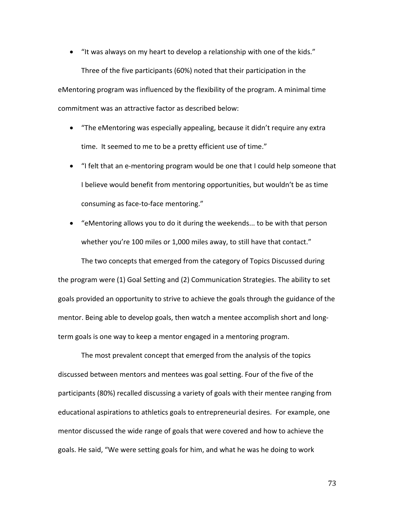- "It was always on my heart to develop a relationship with one of the kids." Three of the five participants (60%) noted that their participation in the eMentoring program was influenced by the flexibility of the program. A minimal time commitment was an attractive factor as described below:
	- "The eMentoring was especially appealing, because it didn't require any extra time. It seemed to me to be a pretty efficient use of time."
	- "I felt that an e-mentoring program would be one that I could help someone that I believe would benefit from mentoring opportunities, but wouldn't be as time consuming as face-to-face mentoring."
	- "eMentoring allows you to do it during the weekends... to be with that person whether you're 100 miles or 1,000 miles away, to still have that contact."

The two concepts that emerged from the category of Topics Discussed during the program were (1) Goal Setting and (2) Communication Strategies. The ability to set goals provided an opportunity to strive to achieve the goals through the guidance of the mentor. Being able to develop goals, then watch a mentee accomplish short and longterm goals is one way to keep a mentor engaged in a mentoring program.

The most prevalent concept that emerged from the analysis of the topics discussed between mentors and mentees was goal setting. Four of the five of the participants (80%) recalled discussing a variety of goals with their mentee ranging from educational aspirations to athletics goals to entrepreneurial desires. For example, one mentor discussed the wide range of goals that were covered and how to achieve the goals. He said, "We were setting goals for him, and what he was he doing to work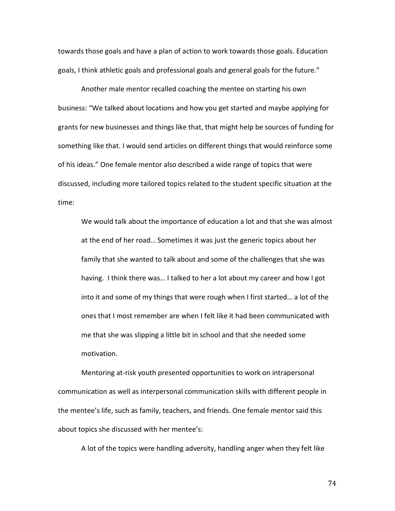towards those goals and have a plan of action to work towards those goals. Education goals, I think athletic goals and professional goals and general goals for the future."

Another male mentor recalled coaching the mentee on starting his own business: "We talked about locations and how you get started and maybe applying for grants for new businesses and things like that, that might help be sources of funding for something like that. I would send articles on different things that would reinforce some of his ideas." One female mentor also described a wide range of topics that were discussed, including more tailored topics related to the student specific situation at the time:

We would talk about the importance of education a lot and that she was almost at the end of her road… Sometimes it was just the generic topics about her family that she wanted to talk about and some of the challenges that she was having. I think there was… I talked to her a lot about my career and how I got into it and some of my things that were rough when I first started… a lot of the ones that I most remember are when I felt like it had been communicated with me that she was slipping a little bit in school and that she needed some motivation.

Mentoring at-risk youth presented opportunities to work on intrapersonal communication as well as interpersonal communication skills with different people in the mentee's life, such as family, teachers, and friends. One female mentor said this about topics she discussed with her mentee's:

A lot of the topics were handling adversity, handling anger when they felt like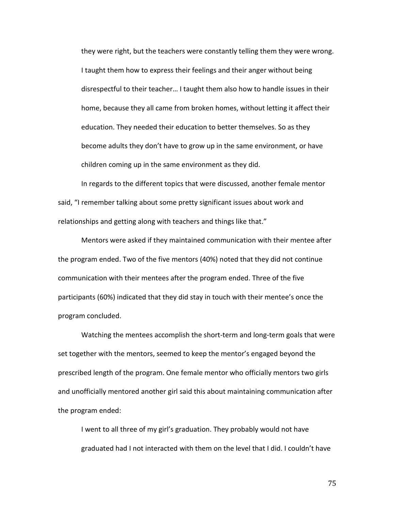they were right, but the teachers were constantly telling them they were wrong. I taught them how to express their feelings and their anger without being disrespectful to their teacher… I taught them also how to handle issues in their home, because they all came from broken homes, without letting it affect their education. They needed their education to better themselves. So as they become adults they don't have to grow up in the same environment, or have children coming up in the same environment as they did.

In regards to the different topics that were discussed, another female mentor said, "I remember talking about some pretty significant issues about work and relationships and getting along with teachers and things like that."

Mentors were asked if they maintained communication with their mentee after the program ended. Two of the five mentors (40%) noted that they did not continue communication with their mentees after the program ended. Three of the five participants (60%) indicated that they did stay in touch with their mentee's once the program concluded.

Watching the mentees accomplish the short-term and long-term goals that were set together with the mentors, seemed to keep the mentor's engaged beyond the prescribed length of the program. One female mentor who officially mentors two girls and unofficially mentored another girl said this about maintaining communication after the program ended:

I went to all three of my girl's graduation. They probably would not have graduated had I not interacted with them on the level that I did. I couldn't have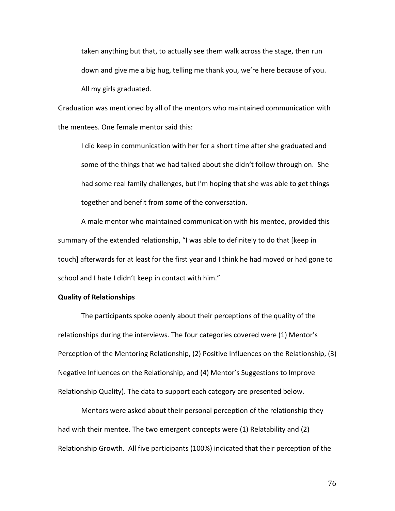taken anything but that, to actually see them walk across the stage, then run down and give me a big hug, telling me thank you, we're here because of you. All my girls graduated.

Graduation was mentioned by all of the mentors who maintained communication with the mentees. One female mentor said this:

I did keep in communication with her for a short time after she graduated and some of the things that we had talked about she didn't follow through on. She had some real family challenges, but I'm hoping that she was able to get things together and benefit from some of the conversation.

A male mentor who maintained communication with his mentee, provided this summary of the extended relationship, "I was able to definitely to do that [keep in touch] afterwards for at least for the first year and I think he had moved or had gone to school and I hate I didn't keep in contact with him."

# **Quality of Relationships**

The participants spoke openly about their perceptions of the quality of the relationships during the interviews. The four categories covered were (1) Mentor's Perception of the Mentoring Relationship, (2) Positive Influences on the Relationship, (3) Negative Influences on the Relationship, and (4) Mentor's Suggestions to Improve Relationship Quality). The data to support each category are presented below.

Mentors were asked about their personal perception of the relationship they had with their mentee. The two emergent concepts were (1) Relatability and (2) Relationship Growth. All five participants (100%) indicated that their perception of the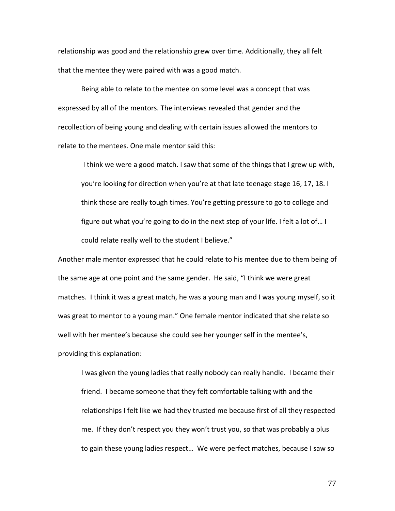relationship was good and the relationship grew over time. Additionally, they all felt that the mentee they were paired with was a good match.

Being able to relate to the mentee on some level was a concept that was expressed by all of the mentors. The interviews revealed that gender and the recollection of being young and dealing with certain issues allowed the mentors to relate to the mentees. One male mentor said this:

I think we were a good match. I saw that some of the things that I grew up with, you're looking for direction when you're at that late teenage stage 16, 17, 18. I think those are really tough times. You're getting pressure to go to college and figure out what you're going to do in the next step of your life. I felt a lot of… I could relate really well to the student I believe."

Another male mentor expressed that he could relate to his mentee due to them being of the same age at one point and the same gender. He said, "I think we were great matches. I think it was a great match, he was a young man and I was young myself, so it was great to mentor to a young man." One female mentor indicated that she relate so well with her mentee's because she could see her younger self in the mentee's, providing this explanation:

I was given the young ladies that really nobody can really handle. I became their friend. I became someone that they felt comfortable talking with and the relationships I felt like we had they trusted me because first of all they respected me. If they don't respect you they won't trust you, so that was probably a plus to gain these young ladies respect… We were perfect matches, because I saw so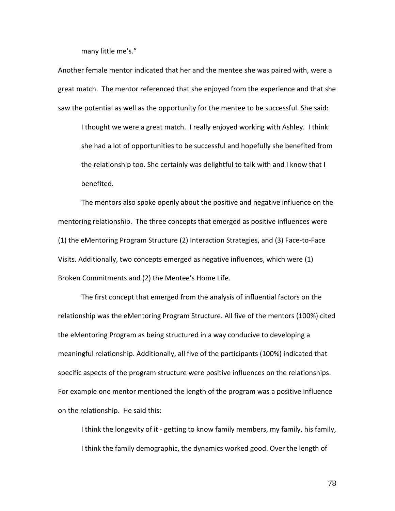many little me's."

Another female mentor indicated that her and the mentee she was paired with, were a great match. The mentor referenced that she enjoyed from the experience and that she saw the potential as well as the opportunity for the mentee to be successful. She said:

I thought we were a great match. I really enjoyed working with Ashley. I think she had a lot of opportunities to be successful and hopefully she benefited from the relationship too. She certainly was delightful to talk with and I know that I benefited.

The mentors also spoke openly about the positive and negative influence on the mentoring relationship. The three concepts that emerged as positive influences were (1) the eMentoring Program Structure (2) Interaction Strategies, and (3) Face-to-Face Visits. Additionally, two concepts emerged as negative influences, which were (1) Broken Commitments and (2) the Mentee's Home Life.

The first concept that emerged from the analysis of influential factors on the relationship was the eMentoring Program Structure. All five of the mentors (100%) cited the eMentoring Program as being structured in a way conducive to developing a meaningful relationship. Additionally, all five of the participants (100%) indicated that specific aspects of the program structure were positive influences on the relationships. For example one mentor mentioned the length of the program was a positive influence on the relationship. He said this:

I think the longevity of it - getting to know family members, my family, his family, I think the family demographic, the dynamics worked good. Over the length of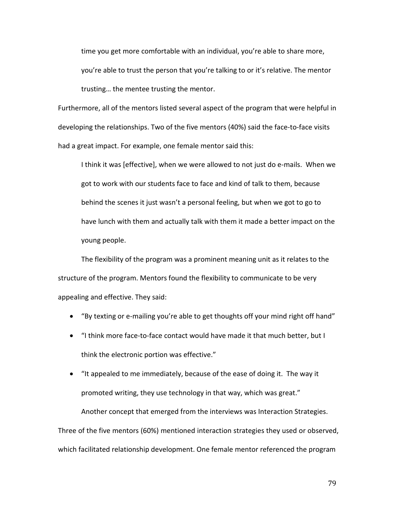time you get more comfortable with an individual, you're able to share more, you're able to trust the person that you're talking to or it's relative. The mentor trusting… the mentee trusting the mentor.

Furthermore, all of the mentors listed several aspect of the program that were helpful in developing the relationships. Two of the five mentors (40%) said the face-to-face visits had a great impact. For example, one female mentor said this:

I think it was [effective], when we were allowed to not just do e-mails. When we got to work with our students face to face and kind of talk to them, because behind the scenes it just wasn't a personal feeling, but when we got to go to have lunch with them and actually talk with them it made a better impact on the young people.

The flexibility of the program was a prominent meaning unit as it relates to the structure of the program. Mentors found the flexibility to communicate to be very appealing and effective. They said:

- "By texting or e-mailing you're able to get thoughts off your mind right off hand"
- "I think more face-to-face contact would have made it that much better, but I think the electronic portion was effective."
- "It appealed to me immediately, because of the ease of doing it. The way it promoted writing, they use technology in that way, which was great."

Another concept that emerged from the interviews was Interaction Strategies. Three of the five mentors (60%) mentioned interaction strategies they used or observed, which facilitated relationship development. One female mentor referenced the program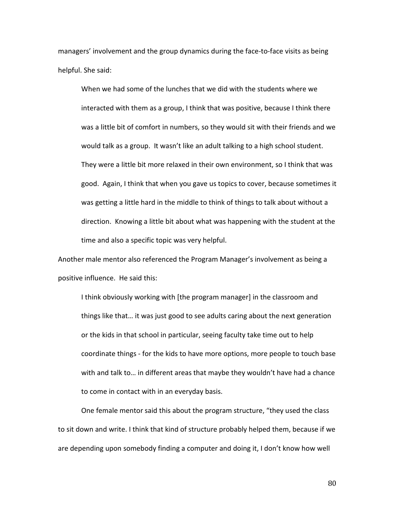managers' involvement and the group dynamics during the face-to-face visits as being helpful. She said:

When we had some of the lunches that we did with the students where we interacted with them as a group, I think that was positive, because I think there was a little bit of comfort in numbers, so they would sit with their friends and we would talk as a group. It wasn't like an adult talking to a high school student. They were a little bit more relaxed in their own environment, so I think that was good. Again, I think that when you gave us topics to cover, because sometimes it was getting a little hard in the middle to think of things to talk about without a direction. Knowing a little bit about what was happening with the student at the time and also a specific topic was very helpful.

Another male mentor also referenced the Program Manager's involvement as being a positive influence. He said this:

I think obviously working with [the program manager] in the classroom and things like that… it was just good to see adults caring about the next generation or the kids in that school in particular, seeing faculty take time out to help coordinate things - for the kids to have more options, more people to touch base with and talk to… in different areas that maybe they wouldn't have had a chance to come in contact with in an everyday basis.

One female mentor said this about the program structure, "they used the class to sit down and write. I think that kind of structure probably helped them, because if we are depending upon somebody finding a computer and doing it, I don't know how well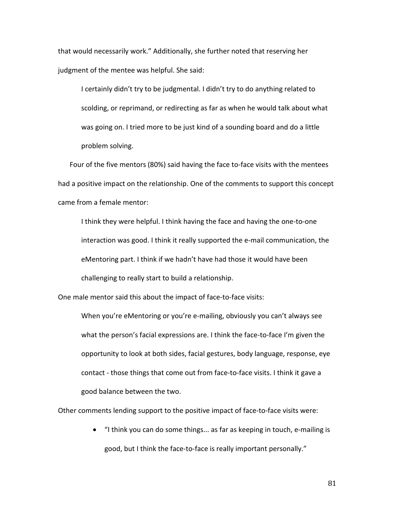that would necessarily work." Additionally, she further noted that reserving her judgment of the mentee was helpful. She said:

I certainly didn't try to be judgmental. I didn't try to do anything related to scolding, or reprimand, or redirecting as far as when he would talk about what was going on. I tried more to be just kind of a sounding board and do a little problem solving.

Four of the five mentors (80%) said having the face to-face visits with the mentees had a positive impact on the relationship. One of the comments to support this concept came from a female mentor:

I think they were helpful. I think having the face and having the one-to-one interaction was good. I think it really supported the e-mail communication, the eMentoring part. I think if we hadn't have had those it would have been challenging to really start to build a relationship.

One male mentor said this about the impact of face-to-face visits:

When you're eMentoring or you're e-mailing, obviously you can't always see what the person's facial expressions are. I think the face-to-face I'm given the opportunity to look at both sides, facial gestures, body language, response, eye contact - those things that come out from face-to-face visits. I think it gave a good balance between the two.

Other comments lending support to the positive impact of face-to-face visits were:

• "I think you can do some things... as far as keeping in touch, e-mailing is good, but I think the face-to-face is really important personally."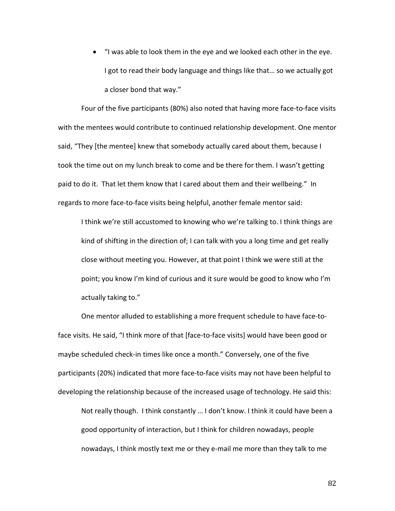• "I was able to look them in the eye and we looked each other in the eye. I got to read their body language and things like that… so we actually got a closer bond that way."

Four of the five participants (80%) also noted that having more face-to-face visits with the mentees would contribute to continued relationship development. One mentor said, "They [the mentee] knew that somebody actually cared about them, because I took the time out on my lunch break to come and be there for them. I wasn't getting paid to do it. That let them know that I cared about them and their wellbeing." In regards to more face-to-face visits being helpful, another female mentor said:

I think we're still accustomed to knowing who we're talking to. I think things are kind of shifting in the direction of; I can talk with you a long time and get really close without meeting you. However, at that point I think we were still at the point; you know I'm kind of curious and it sure would be good to know who I'm actually taking to."

One mentor alluded to establishing a more frequent schedule to have face-toface visits. He said, "I think more of that [face-to-face visits] would have been good or maybe scheduled check-in times like once a month." Conversely, one of the five participants (20%) indicated that more face-to-face visits may not have been helpful to developing the relationship because of the increased usage of technology. He said this:

Not really though. I think constantly … I don't know. I think it could have been a good opportunity of interaction, but I think for children nowadays, people nowadays, I think mostly text me or they e-mail me more than they talk to me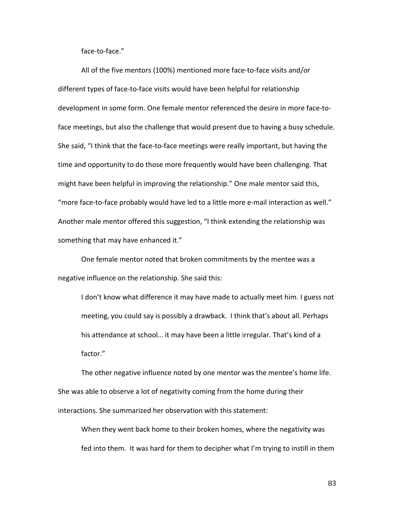face-to-face."

All of the five mentors (100%) mentioned more face-to-face visits and/or different types of face-to-face visits would have been helpful for relationship development in some form. One female mentor referenced the desire in more face-toface meetings, but also the challenge that would present due to having a busy schedule. She said, "I think that the face-to-face meetings were really important, but having the time and opportunity to do those more frequently would have been challenging. That might have been helpful in improving the relationship." One male mentor said this, "more face-to-face probably would have led to a little more e-mail interaction as well." Another male mentor offered this suggestion, "I think extending the relationship was something that may have enhanced it."

One female mentor noted that broken commitments by the mentee was a negative influence on the relationship. She said this:

I don't know what difference it may have made to actually meet him. I guess not meeting, you could say is possibly a drawback. I think that's about all. Perhaps his attendance at school… it may have been a little irregular. That's kind of a factor."

The other negative influence noted by one mentor was the mentee's home life. She was able to observe a lot of negativity coming from the home during their interactions. She summarized her observation with this statement:

When they went back home to their broken homes, where the negativity was fed into them. It was hard for them to decipher what I'm trying to instill in them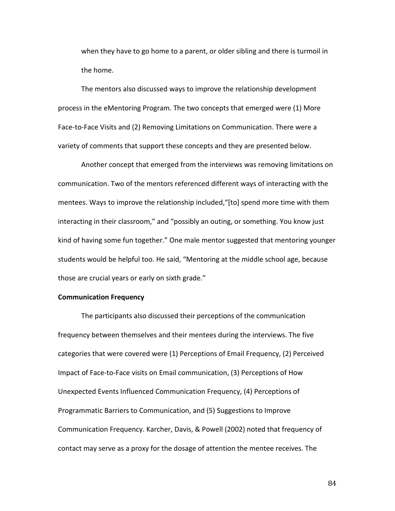when they have to go home to a parent, or older sibling and there is turmoil in the home.

The mentors also discussed ways to improve the relationship development process in the eMentoring Program. The two concepts that emerged were (1) More Face-to-Face Visits and (2) Removing Limitations on Communication. There were a variety of comments that support these concepts and they are presented below.

Another concept that emerged from the interviews was removing limitations on communication. Two of the mentors referenced different ways of interacting with the mentees. Ways to improve the relationship included,"[to] spend more time with them interacting in their classroom," and "possibly an outing, or something. You know just kind of having some fun together." One male mentor suggested that mentoring younger students would be helpful too. He said, "Mentoring at the middle school age, because those are crucial years or early on sixth grade."

# **Communication Frequency**

The participants also discussed their perceptions of the communication frequency between themselves and their mentees during the interviews. The five categories that were covered were (1) Perceptions of Email Frequency, (2) Perceived Impact of Face-to-Face visits on Email communication, (3) Perceptions of How Unexpected Events Influenced Communication Frequency, (4) Perceptions of Programmatic Barriers to Communication, and (5) Suggestions to Improve Communication Frequency. Karcher, Davis, & Powell (2002) noted that frequency of contact may serve as a proxy for the dosage of attention the mentee receives. The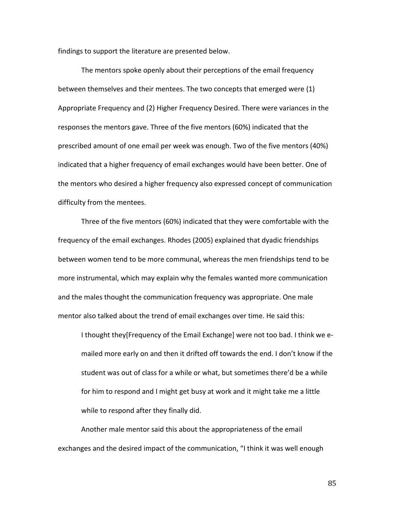findings to support the literature are presented below.

The mentors spoke openly about their perceptions of the email frequency between themselves and their mentees. The two concepts that emerged were (1) Appropriate Frequency and (2) Higher Frequency Desired. There were variances in the responses the mentors gave. Three of the five mentors (60%) indicated that the prescribed amount of one email per week was enough. Two of the five mentors (40%) indicated that a higher frequency of email exchanges would have been better. One of the mentors who desired a higher frequency also expressed concept of communication difficulty from the mentees.

Three of the five mentors (60%) indicated that they were comfortable with the frequency of the email exchanges. Rhodes (2005) explained that dyadic friendships between women tend to be more communal, whereas the men friendships tend to be more instrumental, which may explain why the females wanted more communication and the males thought the communication frequency was appropriate. One male mentor also talked about the trend of email exchanges over time. He said this:

I thought they[Frequency of the Email Exchange] were not too bad. I think we emailed more early on and then it drifted off towards the end. I don't know if the student was out of class for a while or what, but sometimes there'd be a while for him to respond and I might get busy at work and it might take me a little while to respond after they finally did.

Another male mentor said this about the appropriateness of the email exchanges and the desired impact of the communication, "I think it was well enough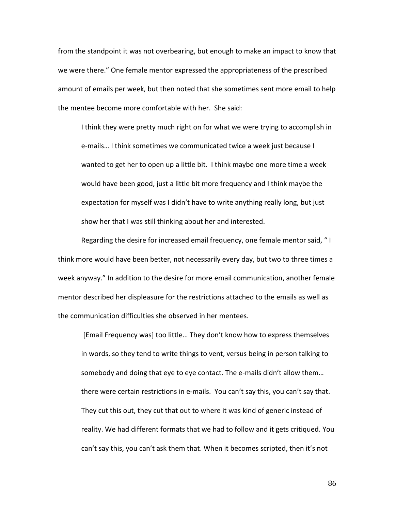from the standpoint it was not overbearing, but enough to make an impact to know that we were there." One female mentor expressed the appropriateness of the prescribed amount of emails per week, but then noted that she sometimes sent more email to help the mentee become more comfortable with her. She said:

I think they were pretty much right on for what we were trying to accomplish in e-mails… I think sometimes we communicated twice a week just because I wanted to get her to open up a little bit. I think maybe one more time a week would have been good, just a little bit more frequency and I think maybe the expectation for myself was I didn't have to write anything really long, but just show her that I was still thinking about her and interested.

Regarding the desire for increased email frequency, one female mentor said, " I think more would have been better, not necessarily every day, but two to three times a week anyway." In addition to the desire for more email communication, another female mentor described her displeasure for the restrictions attached to the emails as well as the communication difficulties she observed in her mentees.

[Email Frequency was] too little… They don't know how to express themselves in words, so they tend to write things to vent, versus being in person talking to somebody and doing that eye to eye contact. The e-mails didn't allow them… there were certain restrictions in e-mails. You can't say this, you can't say that. They cut this out, they cut that out to where it was kind of generic instead of reality. We had different formats that we had to follow and it gets critiqued. You can't say this, you can't ask them that. When it becomes scripted, then it's not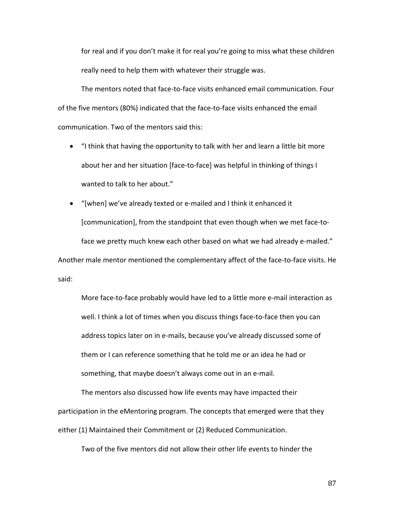for real and if you don't make it for real you're going to miss what these children really need to help them with whatever their struggle was.

The mentors noted that face-to-face visits enhanced email communication. Four of the five mentors (80%) indicated that the face-to-face visits enhanced the email communication. Two of the mentors said this:

• "I think that having the opportunity to talk with her and learn a little bit more about her and her situation [face-to-face] was helpful in thinking of things I wanted to talk to her about."

• "[when] we've already texted or e-mailed and I think it enhanced it [communication], from the standpoint that even though when we met face-toface we pretty much knew each other based on what we had already e-mailed." Another male mentor mentioned the complementary affect of the face-to-face visits. He said:

More face-to-face probably would have led to a little more e-mail interaction as well. I think a lot of times when you discuss things face-to-face then you can address topics later on in e-mails, because you've already discussed some of them or I can reference something that he told me or an idea he had or something, that maybe doesn't always come out in an e-mail.

The mentors also discussed how life events may have impacted their participation in the eMentoring program. The concepts that emerged were that they either (1) Maintained their Commitment or (2) Reduced Communication.

Two of the five mentors did not allow their other life events to hinder the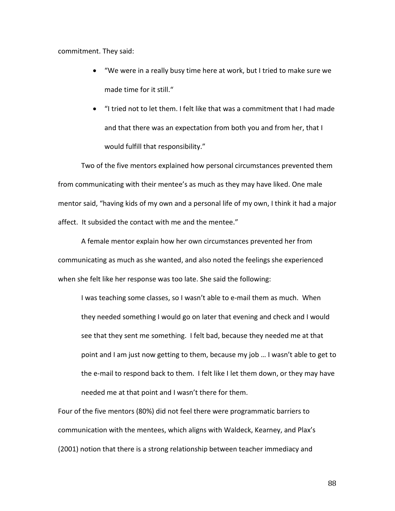commitment. They said:

- "We were in a really busy time here at work, but I tried to make sure we made time for it still."
- "I tried not to let them. I felt like that was a commitment that I had made and that there was an expectation from both you and from her, that I would fulfill that responsibility."

Two of the five mentors explained how personal circumstances prevented them from communicating with their mentee's as much as they may have liked. One male mentor said, "having kids of my own and a personal life of my own, I think it had a major affect. It subsided the contact with me and the mentee."

A female mentor explain how her own circumstances prevented her from communicating as much as she wanted, and also noted the feelings she experienced when she felt like her response was too late. She said the following:

I was teaching some classes, so I wasn't able to e-mail them as much. When they needed something I would go on later that evening and check and I would see that they sent me something. I felt bad, because they needed me at that point and I am just now getting to them, because my job … I wasn't able to get to the e-mail to respond back to them. I felt like I let them down, or they may have needed me at that point and I wasn't there for them.

Four of the five mentors (80%) did not feel there were programmatic barriers to communication with the mentees, which aligns with Waldeck, Kearney, and Plax's (2001) notion that there is a strong relationship between teacher immediacy and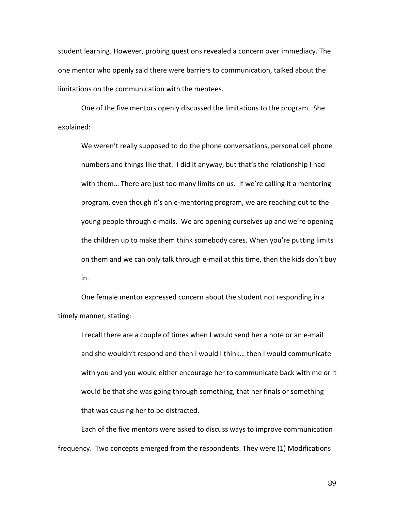student learning. However, probing questions revealed a concern over immediacy. The one mentor who openly said there were barriers to communication, talked about the limitations on the communication with the mentees.

One of the five mentors openly discussed the limitations to the program. She explained:

We weren't really supposed to do the phone conversations, personal cell phone numbers and things like that. I did it anyway, but that's the relationship I had with them… There are just too many limits on us. If we're calling it a mentoring program, even though it's an e-mentoring program, we are reaching out to the young people through e-mails. We are opening ourselves up and we're opening the children up to make them think somebody cares. When you're putting limits on them and we can only talk through e-mail at this time, then the kids don't buy in.

One female mentor expressed concern about the student not responding in a timely manner, stating:

I recall there are a couple of times when I would send her a note or an e-mail and she wouldn't respond and then I would I think… then I would communicate with you and you would either encourage her to communicate back with me or it would be that she was going through something, that her finals or something that was causing her to be distracted.

Each of the five mentors were asked to discuss ways to improve communication frequency. Two concepts emerged from the respondents. They were (1) Modifications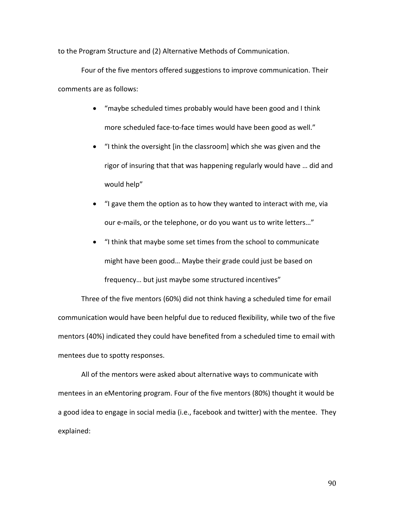to the Program Structure and (2) Alternative Methods of Communication.

Four of the five mentors offered suggestions to improve communication. Their comments are as follows:

- "maybe scheduled times probably would have been good and I think more scheduled face-to-face times would have been good as well."
- "I think the oversight [in the classroom] which she was given and the rigor of insuring that that was happening regularly would have … did and would help"
- "I gave them the option as to how they wanted to interact with me, via our e-mails, or the telephone, or do you want us to write letters…"
- "I think that maybe some set times from the school to communicate might have been good… Maybe their grade could just be based on frequency… but just maybe some structured incentives"

Three of the five mentors (60%) did not think having a scheduled time for email communication would have been helpful due to reduced flexibility, while two of the five mentors (40%) indicated they could have benefited from a scheduled time to email with mentees due to spotty responses.

All of the mentors were asked about alternative ways to communicate with mentees in an eMentoring program. Four of the five mentors (80%) thought it would be a good idea to engage in social media (i.e., facebook and twitter) with the mentee. They explained: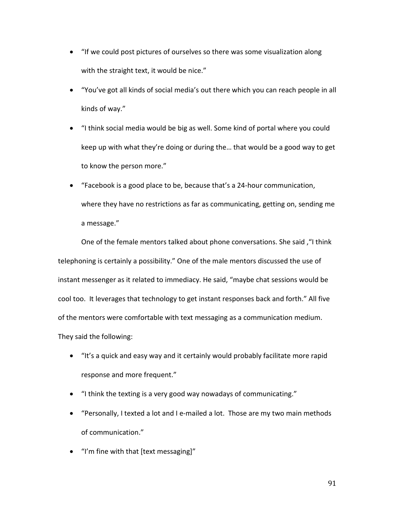- "If we could post pictures of ourselves so there was some visualization along with the straight text, it would be nice."
- "You've got all kinds of social media's out there which you can reach people in all kinds of way."
- "I think social media would be big as well. Some kind of portal where you could keep up with what they're doing or during the… that would be a good way to get to know the person more."
- "Facebook is a good place to be, because that's a 24-hour communication, where they have no restrictions as far as communicating, getting on, sending me a message."

One of the female mentors talked about phone conversations. She said ,"I think telephoning is certainly a possibility." One of the male mentors discussed the use of instant messenger as it related to immediacy. He said, "maybe chat sessions would be cool too. It leverages that technology to get instant responses back and forth." All five of the mentors were comfortable with text messaging as a communication medium. They said the following:

- "It's a quick and easy way and it certainly would probably facilitate more rapid response and more frequent."
- "I think the texting is a very good way nowadays of communicating."
- "Personally, I texted a lot and I e-mailed a lot. Those are my two main methods of communication."
- "I'm fine with that [text messaging]"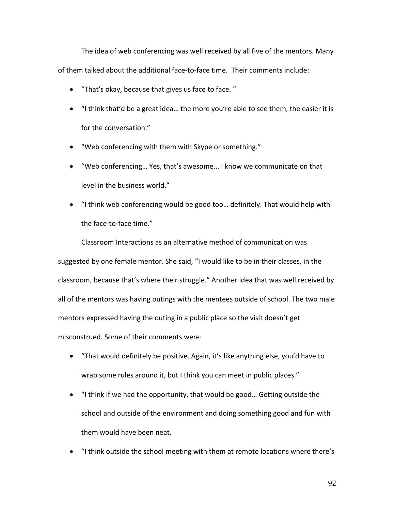The idea of web conferencing was well received by all five of the mentors. Many of them talked about the additional face-to-face time. Their comments include:

- "That's okay, because that gives us face to face. "
- "I think that'd be a great idea… the more you're able to see them, the easier it is for the conversation."
- "Web conferencing with them with Skype or something."
- "Web conferencing… Yes, that's awesome... I know we communicate on that level in the business world."
- "I think web conferencing would be good too… definitely. That would help with the face-to-face time."

Classroom Interactions as an alternative method of communication was suggested by one female mentor. She said, "I would like to be in their classes, in the classroom, because that's where their struggle." Another idea that was well received by all of the mentors was having outings with the mentees outside of school. The two male mentors expressed having the outing in a public place so the visit doesn't get misconstrued. Some of their comments were:

- "That would definitely be positive. Again, it's like anything else, you'd have to wrap some rules around it, but I think you can meet in public places."
- "I think if we had the opportunity, that would be good… Getting outside the school and outside of the environment and doing something good and fun with them would have been neat.
- "I think outside the school meeting with them at remote locations where there's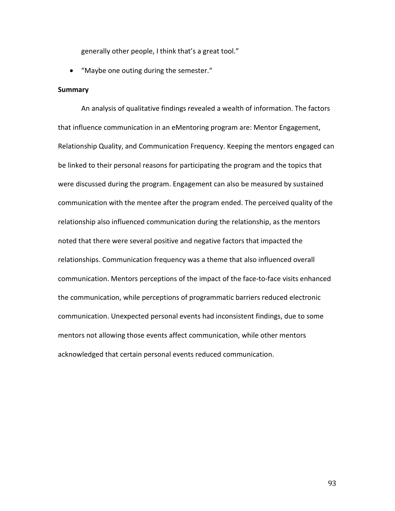generally other people, I think that's a great tool."

• "Maybe one outing during the semester."

### **Summary**

An analysis of qualitative findings revealed a wealth of information. The factors that influence communication in an eMentoring program are: Mentor Engagement, Relationship Quality, and Communication Frequency. Keeping the mentors engaged can be linked to their personal reasons for participating the program and the topics that were discussed during the program. Engagement can also be measured by sustained communication with the mentee after the program ended. The perceived quality of the relationship also influenced communication during the relationship, as the mentors noted that there were several positive and negative factors that impacted the relationships. Communication frequency was a theme that also influenced overall communication. Mentors perceptions of the impact of the face-to-face visits enhanced the communication, while perceptions of programmatic barriers reduced electronic communication. Unexpected personal events had inconsistent findings, due to some mentors not allowing those events affect communication, while other mentors acknowledged that certain personal events reduced communication.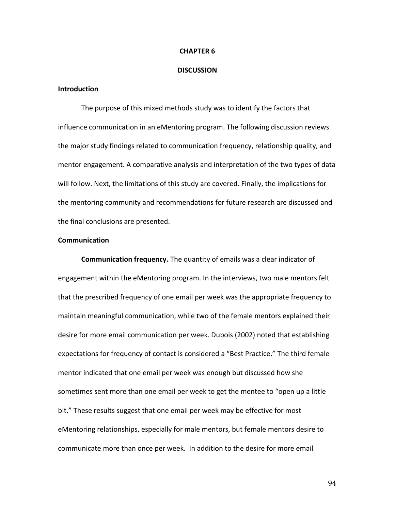#### **CHAPTER 6**

#### **DISCUSSION**

# **Introduction**

The purpose of this mixed methods study was to identify the factors that influence communication in an eMentoring program. The following discussion reviews the major study findings related to communication frequency, relationship quality, and mentor engagement. A comparative analysis and interpretation of the two types of data will follow. Next, the limitations of this study are covered. Finally, the implications for the mentoring community and recommendations for future research are discussed and the final conclusions are presented.

### **Communication**

**Communication frequency.** The quantity of emails was a clear indicator of engagement within the eMentoring program. In the interviews, two male mentors felt that the prescribed frequency of one email per week was the appropriate frequency to maintain meaningful communication, while two of the female mentors explained their desire for more email communication per week. Dubois (2002) noted that establishing expectations for frequency of contact is considered a "Best Practice." The third female mentor indicated that one email per week was enough but discussed how she sometimes sent more than one email per week to get the mentee to "open up a little bit." These results suggest that one email per week may be effective for most eMentoring relationships, especially for male mentors, but female mentors desire to communicate more than once per week. In addition to the desire for more email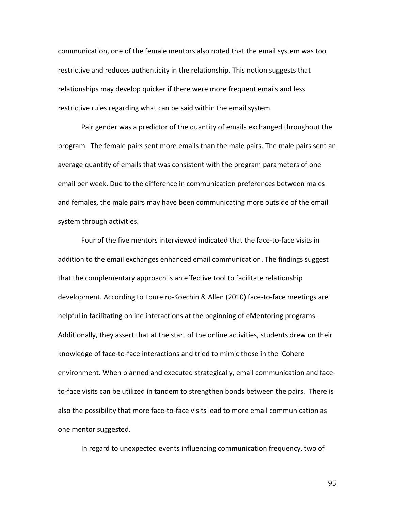communication, one of the female mentors also noted that the email system was too restrictive and reduces authenticity in the relationship. This notion suggests that relationships may develop quicker if there were more frequent emails and less restrictive rules regarding what can be said within the email system.

Pair gender was a predictor of the quantity of emails exchanged throughout the program. The female pairs sent more emails than the male pairs. The male pairs sent an average quantity of emails that was consistent with the program parameters of one email per week. Due to the difference in communication preferences between males and females, the male pairs may have been communicating more outside of the email system through activities.

Four of the five mentors interviewed indicated that the face-to-face visits in addition to the email exchanges enhanced email communication. The findings suggest that the complementary approach is an effective tool to facilitate relationship development. According to Loureiro-Koechin & Allen (2010) face-to-face meetings are helpful in facilitating online interactions at the beginning of eMentoring programs. Additionally, they assert that at the start of the online activities, students drew on their knowledge of face-to-face interactions and tried to mimic those in the iCohere environment. When planned and executed strategically, email communication and faceto-face visits can be utilized in tandem to strengthen bonds between the pairs. There is also the possibility that more face-to-face visits lead to more email communication as one mentor suggested.

In regard to unexpected events influencing communication frequency, two of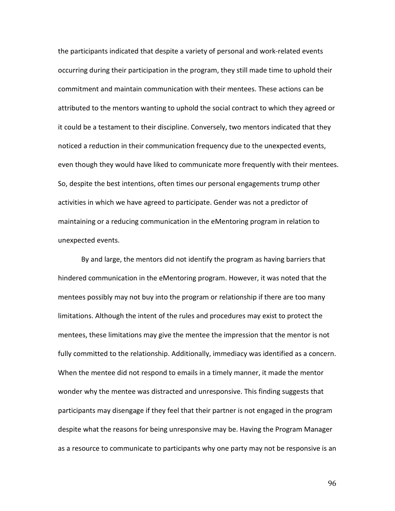the participants indicated that despite a variety of personal and work-related events occurring during their participation in the program, they still made time to uphold their commitment and maintain communication with their mentees. These actions can be attributed to the mentors wanting to uphold the social contract to which they agreed or it could be a testament to their discipline. Conversely, two mentors indicated that they noticed a reduction in their communication frequency due to the unexpected events, even though they would have liked to communicate more frequently with their mentees. So, despite the best intentions, often times our personal engagements trump other activities in which we have agreed to participate. Gender was not a predictor of maintaining or a reducing communication in the eMentoring program in relation to unexpected events.

By and large, the mentors did not identify the program as having barriers that hindered communication in the eMentoring program. However, it was noted that the mentees possibly may not buy into the program or relationship if there are too many limitations. Although the intent of the rules and procedures may exist to protect the mentees, these limitations may give the mentee the impression that the mentor is not fully committed to the relationship. Additionally, immediacy was identified as a concern. When the mentee did not respond to emails in a timely manner, it made the mentor wonder why the mentee was distracted and unresponsive. This finding suggests that participants may disengage if they feel that their partner is not engaged in the program despite what the reasons for being unresponsive may be. Having the Program Manager as a resource to communicate to participants why one party may not be responsive is an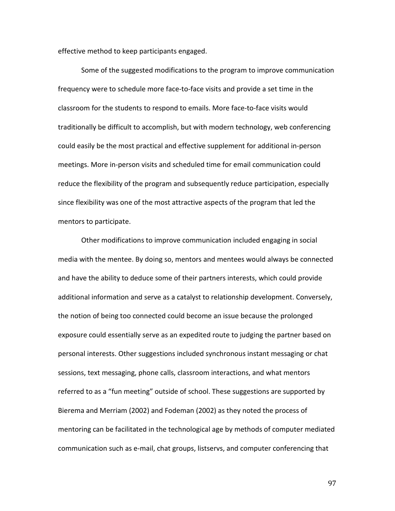effective method to keep participants engaged.

Some of the suggested modifications to the program to improve communication frequency were to schedule more face-to-face visits and provide a set time in the classroom for the students to respond to emails. More face-to-face visits would traditionally be difficult to accomplish, but with modern technology, web conferencing could easily be the most practical and effective supplement for additional in-person meetings. More in-person visits and scheduled time for email communication could reduce the flexibility of the program and subsequently reduce participation, especially since flexibility was one of the most attractive aspects of the program that led the mentors to participate.

Other modifications to improve communication included engaging in social media with the mentee. By doing so, mentors and mentees would always be connected and have the ability to deduce some of their partners interests, which could provide additional information and serve as a catalyst to relationship development. Conversely, the notion of being too connected could become an issue because the prolonged exposure could essentially serve as an expedited route to judging the partner based on personal interests. Other suggestions included synchronous instant messaging or chat sessions, text messaging, phone calls, classroom interactions, and what mentors referred to as a "fun meeting" outside of school. These suggestions are supported by Bierema and Merriam (2002) and Fodeman (2002) as they noted the process of mentoring can be facilitated in the technological age by methods of computer mediated communication such as e-mail, chat groups, listservs, and computer conferencing that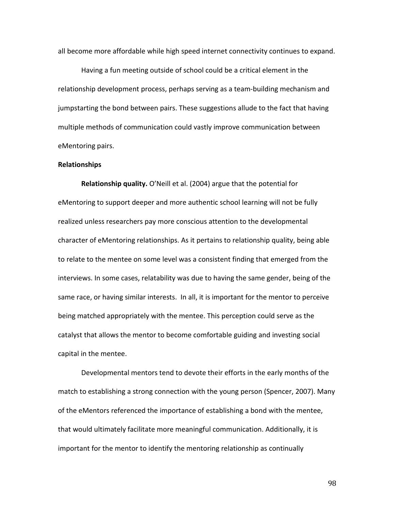all become more affordable while high speed internet connectivity continues to expand.

Having a fun meeting outside of school could be a critical element in the relationship development process, perhaps serving as a team-building mechanism and jumpstarting the bond between pairs. These suggestions allude to the fact that having multiple methods of communication could vastly improve communication between eMentoring pairs.

#### **Relationships**

**Relationship quality.** O'Neill et al. (2004) argue that the potential for eMentoring to support deeper and more authentic school learning will not be fully realized unless researchers pay more conscious attention to the developmental character of eMentoring relationships. As it pertains to relationship quality, being able to relate to the mentee on some level was a consistent finding that emerged from the interviews. In some cases, relatability was due to having the same gender, being of the same race, or having similar interests. In all, it is important for the mentor to perceive being matched appropriately with the mentee. This perception could serve as the catalyst that allows the mentor to become comfortable guiding and investing social capital in the mentee.

Developmental mentors tend to devote their efforts in the early months of the match to establishing a strong connection with the young person (Spencer, 2007). Many of the eMentors referenced the importance of establishing a bond with the mentee, that would ultimately facilitate more meaningful communication. Additionally, it is important for the mentor to identify the mentoring relationship as continually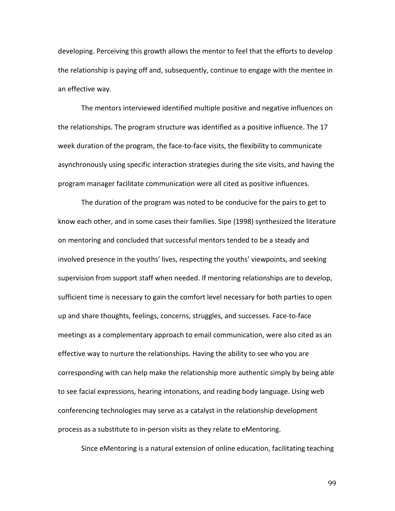developing. Perceiving this growth allows the mentor to feel that the efforts to develop the relationship is paying off and, subsequently, continue to engage with the mentee in an effective way.

The mentors interviewed identified multiple positive and negative influences on the relationships. The program structure was identified as a positive influence. The 17 week duration of the program, the face-to-face visits, the flexibility to communicate asynchronously using specific interaction strategies during the site visits, and having the program manager facilitate communication were all cited as positive influences.

The duration of the program was noted to be conducive for the pairs to get to know each other, and in some cases their families. Sipe (1998) synthesized the literature on mentoring and concluded that successful mentors tended to be a steady and involved presence in the youths' lives, respecting the youths' viewpoints, and seeking supervision from support staff when needed. If mentoring relationships are to develop, sufficient time is necessary to gain the comfort level necessary for both parties to open up and share thoughts, feelings, concerns, struggles, and successes. Face-to-face meetings as a complementary approach to email communication, were also cited as an effective way to nurture the relationships. Having the ability to see who you are corresponding with can help make the relationship more authentic simply by being able to see facial expressions, hearing intonations, and reading body language. Using web conferencing technologies may serve as a catalyst in the relationship development process as a substitute to in-person visits as they relate to eMentoring.

Since eMentoring is a natural extension of online education, facilitating teaching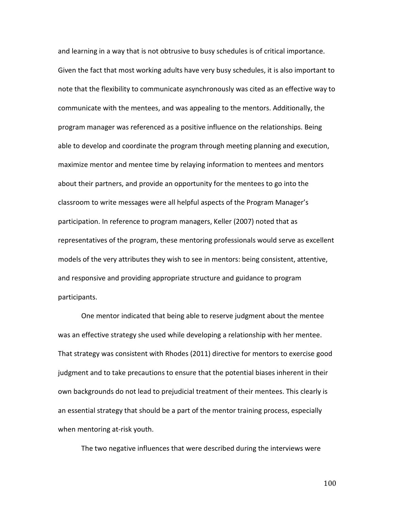and learning in a way that is not obtrusive to busy schedules is of critical importance. Given the fact that most working adults have very busy schedules, it is also important to note that the flexibility to communicate asynchronously was cited as an effective way to communicate with the mentees, and was appealing to the mentors. Additionally, the program manager was referenced as a positive influence on the relationships. Being able to develop and coordinate the program through meeting planning and execution, maximize mentor and mentee time by relaying information to mentees and mentors about their partners, and provide an opportunity for the mentees to go into the classroom to write messages were all helpful aspects of the Program Manager's participation. In reference to program managers, Keller (2007) noted that as representatives of the program, these mentoring professionals would serve as excellent models of the very attributes they wish to see in mentors: being consistent, attentive, and responsive and providing appropriate structure and guidance to program participants.

One mentor indicated that being able to reserve judgment about the mentee was an effective strategy she used while developing a relationship with her mentee. That strategy was consistent with Rhodes (2011) directive for mentors to exercise good judgment and to take precautions to ensure that the potential biases inherent in their own backgrounds do not lead to prejudicial treatment of their mentees. This clearly is an essential strategy that should be a part of the mentor training process, especially when mentoring at-risk youth.

The two negative influences that were described during the interviews were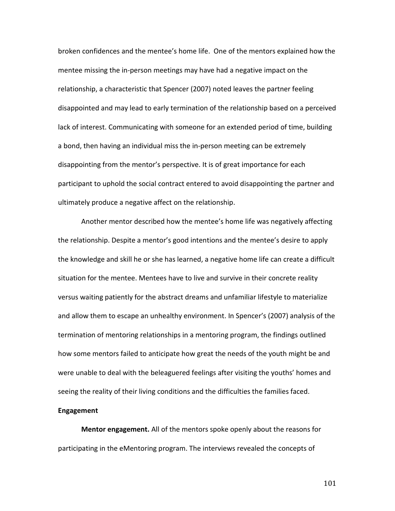broken confidences and the mentee's home life. One of the mentors explained how the mentee missing the in-person meetings may have had a negative impact on the relationship, a characteristic that Spencer (2007) noted leaves the partner feeling disappointed and may lead to early termination of the relationship based on a perceived lack of interest. Communicating with someone for an extended period of time, building a bond, then having an individual miss the in-person meeting can be extremely disappointing from the mentor's perspective. It is of great importance for each participant to uphold the social contract entered to avoid disappointing the partner and ultimately produce a negative affect on the relationship.

Another mentor described how the mentee's home life was negatively affecting the relationship. Despite a mentor's good intentions and the mentee's desire to apply the knowledge and skill he or she has learned, a negative home life can create a difficult situation for the mentee. Mentees have to live and survive in their concrete reality versus waiting patiently for the abstract dreams and unfamiliar lifestyle to materialize and allow them to escape an unhealthy environment. In Spencer's (2007) analysis of the termination of mentoring relationships in a mentoring program, the findings outlined how some mentors failed to anticipate how great the needs of the youth might be and were unable to deal with the beleaguered feelings after visiting the youths' homes and seeing the reality of their living conditions and the difficulties the families faced.

### **Engagement**

**Mentor engagement.** All of the mentors spoke openly about the reasons for participating in the eMentoring program. The interviews revealed the concepts of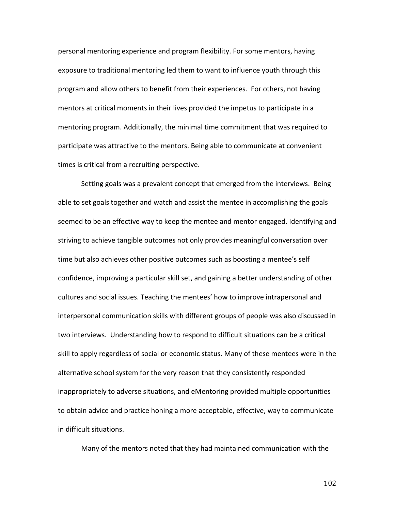personal mentoring experience and program flexibility. For some mentors, having exposure to traditional mentoring led them to want to influence youth through this program and allow others to benefit from their experiences. For others, not having mentors at critical moments in their lives provided the impetus to participate in a mentoring program. Additionally, the minimal time commitment that was required to participate was attractive to the mentors. Being able to communicate at convenient times is critical from a recruiting perspective.

Setting goals was a prevalent concept that emerged from the interviews. Being able to set goals together and watch and assist the mentee in accomplishing the goals seemed to be an effective way to keep the mentee and mentor engaged. Identifying and striving to achieve tangible outcomes not only provides meaningful conversation over time but also achieves other positive outcomes such as boosting a mentee's self confidence, improving a particular skill set, and gaining a better understanding of other cultures and social issues. Teaching the mentees' how to improve intrapersonal and interpersonal communication skills with different groups of people was also discussed in two interviews. Understanding how to respond to difficult situations can be a critical skill to apply regardless of social or economic status. Many of these mentees were in the alternative school system for the very reason that they consistently responded inappropriately to adverse situations, and eMentoring provided multiple opportunities to obtain advice and practice honing a more acceptable, effective, way to communicate in difficult situations.

Many of the mentors noted that they had maintained communication with the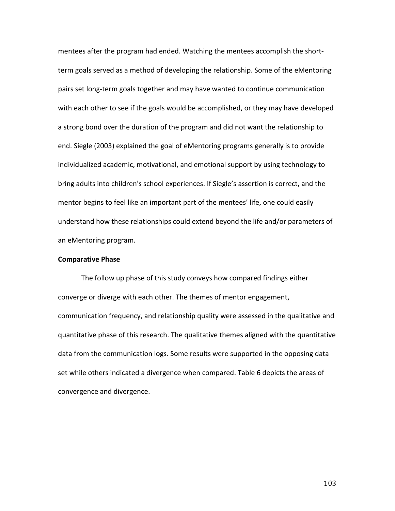mentees after the program had ended. Watching the mentees accomplish the shortterm goals served as a method of developing the relationship. Some of the eMentoring pairs set long-term goals together and may have wanted to continue communication with each other to see if the goals would be accomplished, or they may have developed a strong bond over the duration of the program and did not want the relationship to end. Siegle (2003) explained the goal of eMentoring programs generally is to provide individualized academic, motivational, and emotional support by using technology to bring adults into children's school experiences. If Siegle's assertion is correct, and the mentor begins to feel like an important part of the mentees' life, one could easily understand how these relationships could extend beyond the life and/or parameters of an eMentoring program.

### **Comparative Phase**

The follow up phase of this study conveys how compared findings either converge or diverge with each other. The themes of mentor engagement, communication frequency, and relationship quality were assessed in the qualitative and quantitative phase of this research. The qualitative themes aligned with the quantitative data from the communication logs. Some results were supported in the opposing data set while others indicated a divergence when compared. Table 6 depicts the areas of convergence and divergence.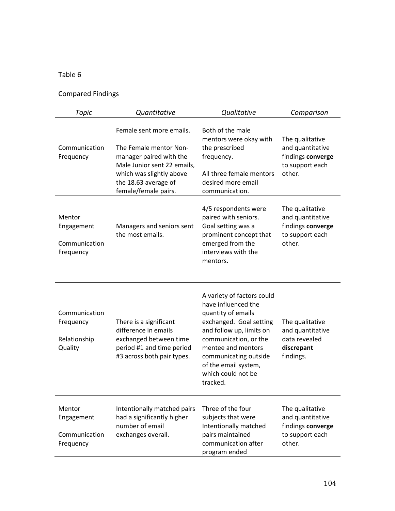## Table 6

# Compared Findings

| Topic                                                 | Quantitative                                                                                                                                                                             | Qualitative                                                                                                                                                                                                                                                      | Comparison                                                                            |
|-------------------------------------------------------|------------------------------------------------------------------------------------------------------------------------------------------------------------------------------------------|------------------------------------------------------------------------------------------------------------------------------------------------------------------------------------------------------------------------------------------------------------------|---------------------------------------------------------------------------------------|
| Communication<br>Frequency                            | Female sent more emails.<br>The Female mentor Non-<br>manager paired with the<br>Male Junior sent 22 emails,<br>which was slightly above<br>the 18.63 average of<br>female/female pairs. | Both of the male<br>mentors were okay with<br>the prescribed<br>frequency.<br>All three female mentors<br>desired more email<br>communication.                                                                                                                   | The qualitative<br>and quantitative<br>findings converge<br>to support each<br>other. |
| Mentor<br>Engagement<br>Communication<br>Frequency    | Managers and seniors sent<br>the most emails.                                                                                                                                            | 4/5 respondents were<br>paired with seniors.<br>Goal setting was a<br>prominent concept that<br>emerged from the<br>interviews with the<br>mentors.                                                                                                              | The qualitative<br>and quantitative<br>findings converge<br>to support each<br>other. |
| Communication<br>Frequency<br>Relationship<br>Quality | There is a significant<br>difference in emails<br>exchanged between time<br>period #1 and time period<br>#3 across both pair types.                                                      | A variety of factors could<br>have influenced the<br>quantity of emails<br>exchanged. Goal setting<br>and follow up, limits on<br>communication, or the<br>mentee and mentors<br>communicating outside<br>of the email system,<br>which could not be<br>tracked. | The qualitative<br>and quantitative<br>data revealed<br>discrepant<br>findings.       |
| Mentor<br>Engagement<br>Communication<br>Frequency    | Intentionally matched pairs<br>had a significantly higher<br>number of email<br>exchanges overall.                                                                                       | Three of the four<br>subjects that were<br>Intentionally matched<br>pairs maintained<br>communication after<br>program ended                                                                                                                                     | The qualitative<br>and quantitative<br>findings converge<br>to support each<br>other. |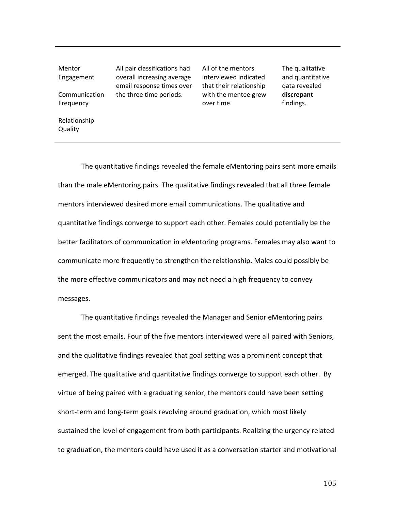**Mentor** Engagement

Communication Frequency

Relationship **Quality** 

All pair classifications had overall increasing average email response times over the three time periods.

All of the mentors interviewed indicated that their relationship with the mentee grew over time.

The qualitative and quantitative data revealed **discrepant** findings.

The quantitative findings revealed the female eMentoring pairs sent more emails than the male eMentoring pairs. The qualitative findings revealed that all three female mentors interviewed desired more email communications. The qualitative and quantitative findings converge to support each other. Females could potentially be the better facilitators of communication in eMentoring programs. Females may also want to communicate more frequently to strengthen the relationship. Males could possibly be the more effective communicators and may not need a high frequency to convey messages.

The quantitative findings revealed the Manager and Senior eMentoring pairs sent the most emails. Four of the five mentors interviewed were all paired with Seniors, and the qualitative findings revealed that goal setting was a prominent concept that emerged. The qualitative and quantitative findings converge to support each other. By virtue of being paired with a graduating senior, the mentors could have been setting short-term and long-term goals revolving around graduation, which most likely sustained the level of engagement from both participants. Realizing the urgency related to graduation, the mentors could have used it as a conversation starter and motivational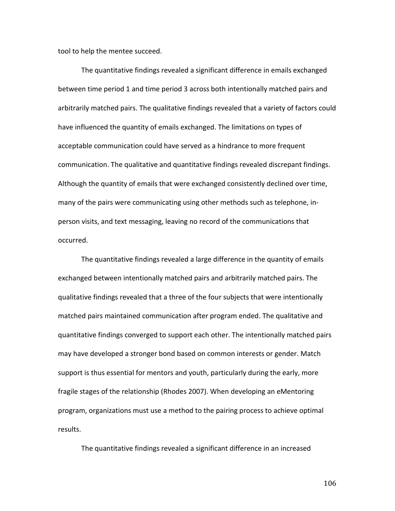tool to help the mentee succeed.

The quantitative findings revealed a significant difference in emails exchanged between time period 1 and time period 3 across both intentionally matched pairs and arbitrarily matched pairs. The qualitative findings revealed that a variety of factors could have influenced the quantity of emails exchanged. The limitations on types of acceptable communication could have served as a hindrance to more frequent communication. The qualitative and quantitative findings revealed discrepant findings. Although the quantity of emails that were exchanged consistently declined over time, many of the pairs were communicating using other methods such as telephone, inperson visits, and text messaging, leaving no record of the communications that occurred.

The quantitative findings revealed a large difference in the quantity of emails exchanged between intentionally matched pairs and arbitrarily matched pairs. The qualitative findings revealed that a three of the four subjects that were intentionally matched pairs maintained communication after program ended. The qualitative and quantitative findings converged to support each other. The intentionally matched pairs may have developed a stronger bond based on common interests or gender. Match support is thus essential for mentors and youth, particularly during the early, more fragile stages of the relationship (Rhodes 2007). When developing an eMentoring program, organizations must use a method to the pairing process to achieve optimal results.

The quantitative findings revealed a significant difference in an increased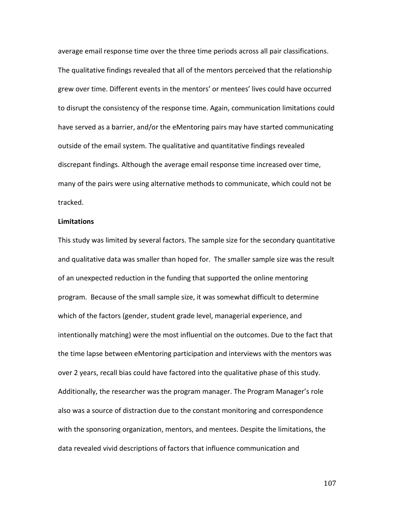average email response time over the three time periods across all pair classifications. The qualitative findings revealed that all of the mentors perceived that the relationship grew over time. Different events in the mentors' or mentees' lives could have occurred to disrupt the consistency of the response time. Again, communication limitations could have served as a barrier, and/or the eMentoring pairs may have started communicating outside of the email system. The qualitative and quantitative findings revealed discrepant findings. Although the average email response time increased over time, many of the pairs were using alternative methods to communicate, which could not be tracked.

### **Limitations**

This study was limited by several factors. The sample size for the secondary quantitative and qualitative data was smaller than hoped for. The smaller sample size was the result of an unexpected reduction in the funding that supported the online mentoring program. Because of the small sample size, it was somewhat difficult to determine which of the factors (gender, student grade level, managerial experience, and intentionally matching) were the most influential on the outcomes. Due to the fact that the time lapse between eMentoring participation and interviews with the mentors was over 2 years, recall bias could have factored into the qualitative phase of this study. Additionally, the researcher was the program manager. The Program Manager's role also was a source of distraction due to the constant monitoring and correspondence with the sponsoring organization, mentors, and mentees. Despite the limitations, the data revealed vivid descriptions of factors that influence communication and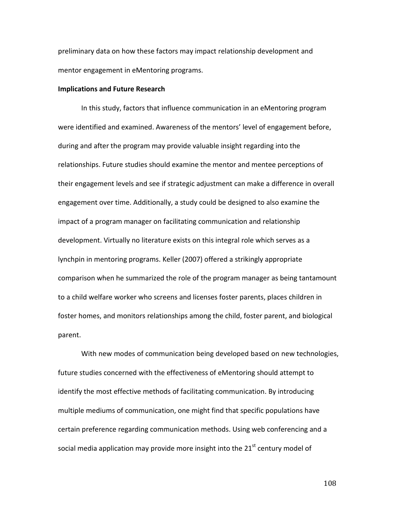preliminary data on how these factors may impact relationship development and mentor engagement in eMentoring programs.

#### **Implications and Future Research**

In this study, factors that influence communication in an eMentoring program were identified and examined. Awareness of the mentors' level of engagement before, during and after the program may provide valuable insight regarding into the relationships. Future studies should examine the mentor and mentee perceptions of their engagement levels and see if strategic adjustment can make a difference in overall engagement over time. Additionally, a study could be designed to also examine the impact of a program manager on facilitating communication and relationship development. Virtually no literature exists on this integral role which serves as a lynchpin in mentoring programs. Keller (2007) offered a strikingly appropriate comparison when he summarized the role of the program manager as being tantamount to a child welfare worker who screens and licenses foster parents, places children in foster homes, and monitors relationships among the child, foster parent, and biological parent.

With new modes of communication being developed based on new technologies, future studies concerned with the effectiveness of eMentoring should attempt to identify the most effective methods of facilitating communication. By introducing multiple mediums of communication, one might find that specific populations have certain preference regarding communication methods. Using web conferencing and a social media application may provide more insight into the  $21<sup>st</sup>$  century model of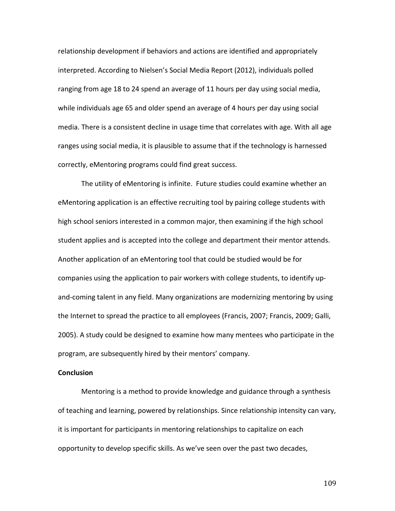relationship development if behaviors and actions are identified and appropriately interpreted. According to Nielsen's Social Media Report (2012), individuals polled ranging from age 18 to 24 spend an average of 11 hours per day using social media, while individuals age 65 and older spend an average of 4 hours per day using social media. There is a consistent decline in usage time that correlates with age. With all age ranges using social media, it is plausible to assume that if the technology is harnessed correctly, eMentoring programs could find great success.

The utility of eMentoring is infinite. Future studies could examine whether an eMentoring application is an effective recruiting tool by pairing college students with high school seniors interested in a common major, then examining if the high school student applies and is accepted into the college and department their mentor attends. Another application of an eMentoring tool that could be studied would be for companies using the application to pair workers with college students, to identify upand-coming talent in any field. Many organizations are modernizing mentoring by using the Internet to spread the practice to all employees (Francis, 2007; Francis, 2009; Galli, 2005). A study could be designed to examine how many mentees who participate in the program, are subsequently hired by their mentors' company.

#### **Conclusion**

Mentoring is a method to provide knowledge and guidance through a synthesis of teaching and learning, powered by relationships. Since relationship intensity can vary, it is important for participants in mentoring relationships to capitalize on each opportunity to develop specific skills. As we've seen over the past two decades,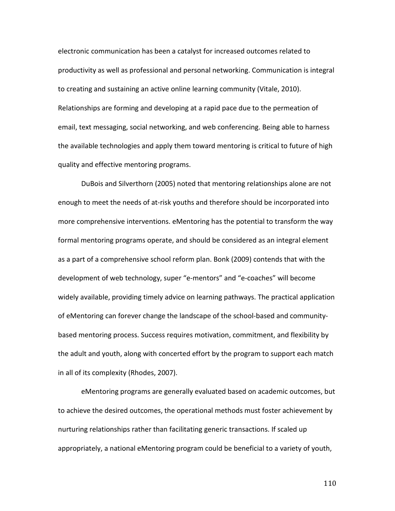electronic communication has been a catalyst for increased outcomes related to productivity as well as professional and personal networking. Communication is integral to creating and sustaining an active online learning community (Vitale, 2010). Relationships are forming and developing at a rapid pace due to the permeation of email, text messaging, social networking, and web conferencing. Being able to harness the available technologies and apply them toward mentoring is critical to future of high quality and effective mentoring programs.

DuBois and Silverthorn (2005) noted that mentoring relationships alone are not enough to meet the needs of at-risk youths and therefore should be incorporated into more comprehensive interventions. eMentoring has the potential to transform the way formal mentoring programs operate, and should be considered as an integral element as a part of a comprehensive school reform plan. Bonk (2009) contends that with the development of web technology, super "e-mentors" and "e-coaches" will become widely available, providing timely advice on learning pathways. The practical application of eMentoring can forever change the landscape of the school-based and communitybased mentoring process. Success requires motivation, commitment, and flexibility by the adult and youth, along with concerted effort by the program to support each match in all of its complexity (Rhodes, 2007).

eMentoring programs are generally evaluated based on academic outcomes, but to achieve the desired outcomes, the operational methods must foster achievement by nurturing relationships rather than facilitating generic transactions. If scaled up appropriately, a national eMentoring program could be beneficial to a variety of youth,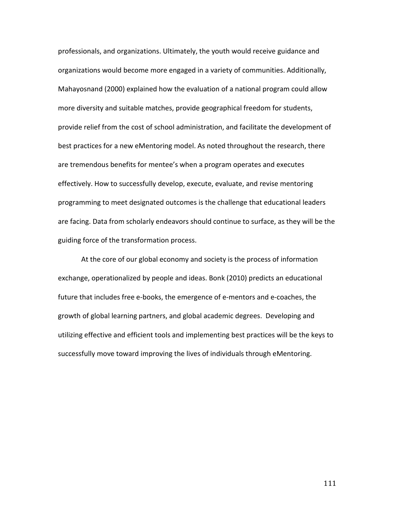professionals, and organizations. Ultimately, the youth would receive guidance and organizations would become more engaged in a variety of communities. Additionally, Mahayosnand (2000) explained how the evaluation of a national program could allow more diversity and suitable matches, provide geographical freedom for students, provide relief from the cost of school administration, and facilitate the development of best practices for a new eMentoring model. As noted throughout the research, there are tremendous benefits for mentee's when a program operates and executes effectively. How to successfully develop, execute, evaluate, and revise mentoring programming to meet designated outcomes is the challenge that educational leaders are facing. Data from scholarly endeavors should continue to surface, as they will be the guiding force of the transformation process.

At the core of our global economy and society is the process of information exchange, operationalized by people and ideas. Bonk (2010) predicts an educational future that includes free e-books, the emergence of e-mentors and e-coaches, the growth of global learning partners, and global academic degrees. Developing and utilizing effective and efficient tools and implementing best practices will be the keys to successfully move toward improving the lives of individuals through eMentoring.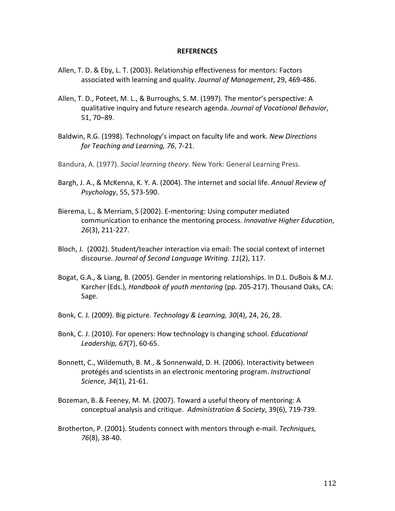#### **REFERENCES**

- Allen, T. D. & Eby, L. T. (2003). Relationship effectiveness for mentors: Factors associated with learning and quality. *Journal of Management*, 29, 469-486.
- Allen, T. D., Poteet, M. L., & Burroughs, S. M. (1997). The mentor's perspective: A qualitative inquiry and future research agenda. *Journal of Vocational Behavior*, 51, 70–89.
- Baldwin, R.G. (1998). Technology's impact on faculty life and work. *New Directions for Teaching and Learning, 76*, 7-21.
- Bandura, A. (1977). *Social learning theory*. New York: General Learning Press.
- Bargh, J. A., & McKenna, K. Y. A. (2004). The internet and social life. *Annual Review of Psychology*, 55, 573-590.
- Bierema, L., & Merriam, S (2002). E-mentoring: Using computer mediated communication to enhance the mentoring process. *Innovative Higher Education*, *26*(3), 211-227.
- Bloch, J. (2002). Student/teacher interaction via email: The social context of internet discourse*. Journal of Second Language Writing. 11*(2), 117.
- Bogat, G.A., & Liang, B. (2005). Gender in mentoring relationships. In D.L. DuBois & M.J. Karcher (Eds.), *Handbook of youth mentoring* (pp. 205-217). Thousand Oaks, CA: Sage.
- Bonk, C. J. (2009). Big picture. *Technology & Learning, 30*(4), 24, 26, 28.
- Bonk, C. J. (2010). For openers: How technology is changing school. *Educational Leadership, 67*(7), 60-65.
- Bonnett, C., Wildemuth, B. M., & Sonnenwald, D. H. (2006). Interactivity between protégés and scientists in an electronic mentoring program. *Instructional Science, 34*(1), 21-61.
- Bozeman, B. & Feeney, M. M. (2007). Toward a useful theory of mentoring: A conceptual analysis and critique. *Administration & Society*, 39(6), 719-739.
- Brotherton, P. (2001). Students connect with mentors through e-mail. *Techniques, 76*(8), 38-40.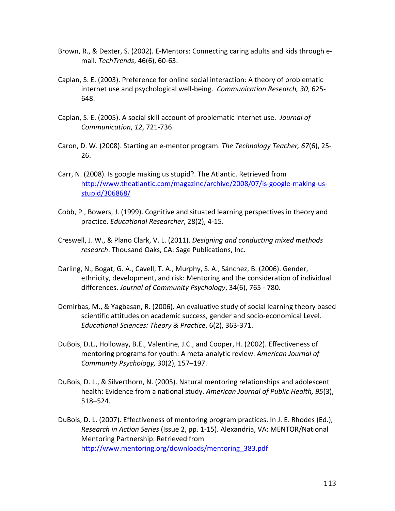- Brown, R., & Dexter, S. (2002). E-Mentors: Connecting caring adults and kids through email. *TechTrends*, 46(6), 60-63.
- Caplan, S. E. (2003). Preference for online social interaction: A theory of problematic internet use and psychological well-being. *Communication Research, 30*, 625- 648.
- Caplan, S. E. (2005). A social skill account of problematic internet use. *Journal of Communication*, *12*, 721-736.
- Caron, D. W. (2008). Starting an e-mentor program. *The Technology Teacher, 67*(6), 25- 26.
- Carr, N. (2008). Is google making us stupid?. The Atlantic. Retrieved from [http://www.theatlantic.com/magazine/archive/2008/07/is-google-making-us](http://www.theatlantic.com/magazine/archive/2008/07/is-google-making-us-stupid/306868/)[stupid/306868/](http://www.theatlantic.com/magazine/archive/2008/07/is-google-making-us-stupid/306868/)
- Cobb, P., Bowers, J. (1999). Cognitive and situated learning perspectives in theory and practice. *Educational Researcher*, 28(2), 4-15.
- Creswell, J. W., & Plano Clark, V. L. (2011). *Designing and conducting mixed methods research*. Thousand Oaks, CA: Sage Publications, Inc.
- Darling, N., Bogat, G. A., Cavell, T. A., Murphy, S. A., Sánchez, B. (2006). Gender, ethnicity, development, and risk: Mentoring and the consideration of individual differences. *Journal of Community Psychology*, 34(6), 765 - 780.
- Demirbas, M., & Yagbasan, R. (2006). An evaluative study of social learning theory based scientific attitudes on academic success, gender and socio-economical Level. *Educational Sciences: Theory & Practice*, 6(2), 363-371.
- DuBois, D.L., Holloway, B.E., Valentine, J.C., and Cooper, H. (2002). Effectiveness of mentoring programs for youth: A meta-analytic review. *American Journal of Community Psychology,* 30(2), 157–197.
- DuBois, D. L., & Silverthorn, N. (2005). Natural mentoring relationships and adolescent health: Evidence from a national study. *American Journal of Public Health, 95*(3), 518–524.
- DuBois, D. L. (2007). Effectiveness of mentoring program practices. In J. E. Rhodes (Ed.), *Research in Action Series* (Issue 2, pp. 1-15). Alexandria, VA: MENTOR/National Mentoring Partnership. Retrieved from [http://www.mentoring.org/downloads/mentoring\\_383.pdf](http://www.mentoring.org/downloads/mentoring_383.pdf)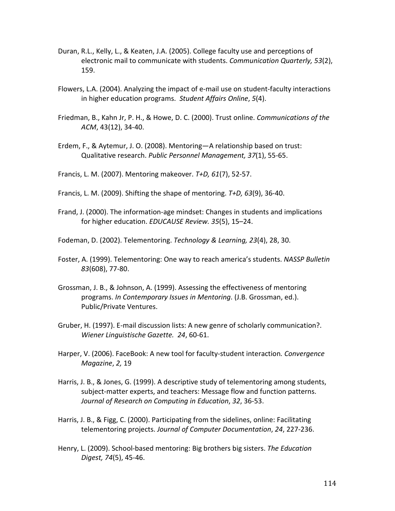- Duran, R.L., Kelly, L., & Keaten, J.A. (2005). College faculty use and perceptions of electronic mail to communicate with students. *Communication Quarterly, 53*(2), 159.
- Flowers, L.A. (2004). Analyzing the impact of e-mail use on student-faculty interactions in higher education programs. *Student Affairs Online*, *5*(4).
- Friedman, B., Kahn Jr, P. H., & Howe, D. C. (2000). Trust online. *Communications of the ACM*, 43(12), 34-40.
- Erdem, F., & Aytemur, J. O. (2008). Mentoring—A relationship based on trust: Qualitative research. *Public Personnel Management, 37*(1), 55-65.
- Francis, L. M. (2007). Mentoring makeover. *T+D, 61*(7), 52-57.
- Francis, L. M. (2009). Shifting the shape of mentoring. *T+D, 63*(9), 36-40.
- Frand, J. (2000). The information-age mindset: Changes in students and implications for higher education. *EDUCAUSE Review. 35*(5), 15–24.
- Fodeman, D. (2002). Telementoring. *Technology & Learning, 23*(4), 28, 30.
- Foster, A. (1999). Telementoring: One way to reach america's students. *NASSP Bulletin 83*(608), 77-80.
- Grossman, J. B., & Johnson, A. (1999). Assessing the effectiveness of mentoring programs. *In Contemporary Issues in Mentoring*. (J.B. Grossman, ed.). Public/Private Ventures.
- Gruber, H. (1997). E-mail discussion lists: A new genre of scholarly communication?. *Wiener Linguistische Gazette. 24*, 60-61.
- Harper, V. (2006). FaceBook: A new tool for faculty-student interaction*. Convergence Magazine*, *2,* 19
- Harris, J. B., & Jones, G. (1999). A descriptive study of telementoring among students, subject-matter experts, and teachers: Message flow and function patterns. *Journal of Research on Computing in Education*, *32*, 36-53.
- Harris, J. B., & Figg, C. (2000). Participating from the sidelines, online: Facilitating telementoring projects. *Journal of Computer Documentation*, *24*, 227-236.
- Henry, L. (2009). School-based mentoring: Big brothers big sisters. *The Education Digest, 74*(5), 45-46.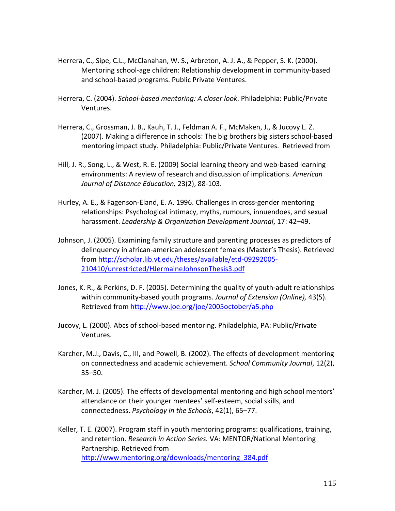- Herrera, C., Sipe, C.L., McClanahan, W. S., Arbreton, A. J. A., & Pepper, S. K. (2000). Mentoring school-age children: Relationship development in community-based and school-based programs. Public Private Ventures.
- Herrera, C. (2004). *School-based mentoring: A closer look*. Philadelphia: Public/Private Ventures.
- Herrera, C., Grossman, J. B., Kauh, T. J., Feldman A. F., McMaken, J., & Jucovy L. Z. (2007). Making a difference in schools: The big brothers big sisters school-based mentoring impact study. Philadelphia: Public/Private Ventures. Retrieved from
- Hill, J. R., Song, L., & West, R. E. (2009) Social learning theory and web-based learning environments: A review of research and discussion of implications. *American Journal of Distance Education,* 23(2), 88-103.
- Hurley, A. E., & Fagenson-Eland, E. A. 1996. Challenges in cross-gender mentoring relationships: Psychological intimacy, myths, rumours, innuendoes, and sexual harassment. *Leadership & Organization Development Journal*, 17: 42–49.
- Johnson, J. (2005). Examining family structure and parenting processes as predictors of delinquency in african-american adolescent females (Master's Thesis). Retrieved from [http://scholar.lib.vt.edu/theses/available/etd-09292005-](http://scholar.lib.vt.edu/theses/available/etd-09292005-210410/unrestricted/HJermaineJohnsonThesis3.pdf) [210410/unrestricted/HJermaineJohnsonThesis3.pdf](http://scholar.lib.vt.edu/theses/available/etd-09292005-210410/unrestricted/HJermaineJohnsonThesis3.pdf)
- Jones, K. R., & Perkins, D. F. (2005). Determining the quality of youth-adult relationships within community-based youth programs. *Journal of Extension (Online),* 43(5). Retrieved from<http://www.joe.org/joe/2005october/a5.php>
- Jucovy, L. (2000). Abcs of school-based mentoring. Philadelphia, PA: Public/Private Ventures.
- Karcher, M.J., Davis, C., III, and Powell, B. (2002). The effects of development mentoring on connectedness and academic achievement. *School Community Journal*, 12(2), 35–50.
- Karcher, M. J. (2005). The effects of developmental mentoring and high school mentors' attendance on their younger mentees' self-esteem, social skills, and connectedness. *Psychology in the Schools*, 42(1), 65–77.
- Keller, T. E. (2007). Program staff in youth mentoring programs: qualifications, training, and retention. *Research in Action Series.* VA: MENTOR/National Mentoring Partnership. Retrieved from [http://www.mentoring.org/downloads/mentoring\\_384.pdf](http://www.mentoring.org/downloads/mentoring_384.pdf)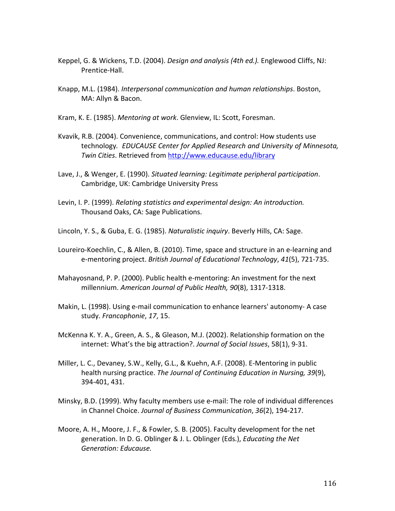- Keppel, G. & Wickens, T.D. (2004). *Design and analysis (4th ed.).* Englewood Cliffs, NJ: Prentice-Hall.
- Knapp, M.L. (1984). *Interpersonal communication and human relationships*. Boston, MA: Allyn & Bacon.
- Kram, K. E. (1985). *Mentoring at work*. Glenview, IL: Scott, Foresman.
- Kvavik, R.B. (2004). Convenience, communications, and control: How students use technology*. EDUCAUSE Center for Applied Research and University of Minnesota, Twin Cities*. Retrieved from<http://www.educause.edu/library>
- Lave, J., & Wenger, E. (1990). *Situated learning: Legitimate peripheral participation*. Cambridge, UK: Cambridge University Press
- Levin, I. P. (1999). *Relating statistics and experimental design: An introduction.* Thousand Oaks, CA: Sage Publications.
- Lincoln, Y. S., & Guba, E. G. (1985). *Naturalistic inquiry*. Beverly Hills, CA: Sage.
- Loureiro-Koechlin, C., & Allen, B. (2010). Time, space and structure in an e-learning and e-mentoring project. *British Journal of Educational Technology*, *41*(5), 721-735.
- Mahayosnand, P. P. (2000). Public health e-mentoring: An investment for the next millennium. *American Journal of Public Health, 90*(8), 1317-1318.
- Makin, L. (1998). Using e-mail communication to enhance learners' autonomy- A case study. *Francophonie*, *17*, 15.
- McKenna K. Y. A., Green, A. S., & Gleason, M.J. (2002). Relationship formation on the internet: What's the big attraction?. *Journal of Social Issues*, 58(1), 9-31.
- Miller, L. C., Devaney, S.W., Kelly, G.L., & Kuehn, A.F. (2008). E-Mentoring in public health nursing practice. *The Journal of Continuing Education in Nursing, 39*(9), 394-401, 431.
- Minsky, B.D. (1999). Why faculty members use e-mail: The role of individual differences in Channel Choice. *Journal of Business Communication*, *36*(2), 194-217.
- Moore, A. H., Moore, J. F., & Fowler, S. B. (2005). Faculty development for the net generation. In D. G. Oblinger & J. L. Oblinger (Eds.), *Educating the Net Generation: Educause.*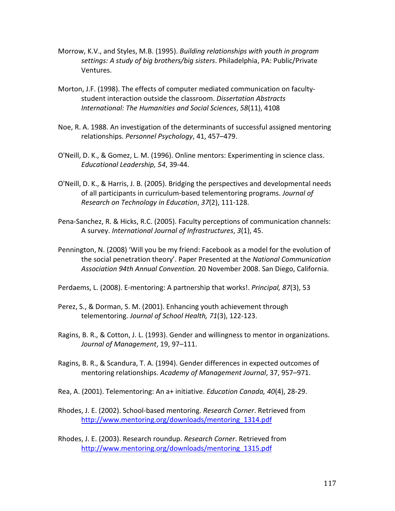- Morrow, K.V., and Styles, M.B. (1995). *Building relationships with youth in program settings: A study of big brothers/big sisters*. Philadelphia, PA: Public/Private Ventures.
- Morton, J.F. (1998). The effects of computer mediated communication on facultystudent interaction outside the classroom. *Dissertation Abstracts International: The Humanities and Social Sciences*, *58*(11), 4108
- Noe, R. A. 1988. An investigation of the determinants of successful assigned mentoring relationships. *Personnel Psychology*, 41, 457–479.
- O'Neill, D. K., & Gomez, L. M. (1996). Online mentors: Experimenting in science class. *Educational Leadership, 54*, 39-44.
- O'Neill, D. K., & Harris, J. B. (2005). Bridging the perspectives and developmental needs of all participants in curriculum-based telementoring programs. *Journal of Research on Technology in Education*, *37*(2), 111-128.
- Pena-Sanchez, R. & Hicks, R.C. (2005). Faculty perceptions of communication channels: A survey. *International Journal of Infrastructures*, *3*(1), 45.
- Pennington, N. (2008) 'Will you be my friend: Facebook as a model for the evolution of the social penetration theory'. Paper Presented at the *National Communication Association 94th Annual Convention.* 20 November 2008. San Diego, California.
- Perdaems, L. (2008). E-mentoring: A partnership that works!. *Principal, 87*(3), 53
- Perez, S., & Dorman, S. M. (2001). Enhancing youth achievement through telementoring. *Journal of School Health, 71*(3), 122-123.
- Ragins, B. R., & Cotton, J. L. (1993). Gender and willingness to mentor in organizations. *Journal of Management*, 19, 97–111.
- Ragins, B. R., & Scandura, T. A. (1994). Gender differences in expected outcomes of mentoring relationships. *Academy of Management Journal*, 37, 957–971.
- Rea, A. (2001). Telementoring: An a+ initiative. *Education Canada, 40*(4), 28-29.
- Rhodes, J. E. (2002). School-based mentoring. *Research Corner*. Retrieved from [http://www.mentoring.org/downloads/mentoring\\_1314.pdf](http://www.mentoring.org/downloads/mentoring_1314.pdf)
- Rhodes, J. E. (2003). Research roundup. *Research Corner*. Retrieved from [http://www.mentoring.org/downloads/mentoring\\_1315.pdf](http://www.mentoring.org/downloads/mentoring_1315.pdf)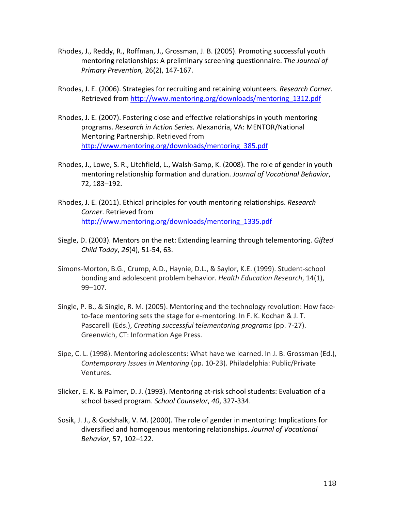- Rhodes, J., Reddy, R., Roffman, J., Grossman, J. B. (2005). Promoting successful youth mentoring relationships: A preliminary screening questionnaire. *The Journal of Primary Prevention,* 26(2), 147-167.
- Rhodes, J. E. (2006). Strategies for recruiting and retaining volunteers. *Research Corner*. Retrieved from [http://www.mentoring.org/downloads/mentoring\\_1312.pdf](http://www.mentoring.org/downloads/mentoring_1312.pdf)
- Rhodes, J. E. (2007). Fostering close and effective relationships in youth mentoring programs. *Research in Action Series.* Alexandria, VA: MENTOR/National Mentoring Partnership. Retrieved from [http://www.mentoring.org/downloads/mentoring\\_385.pdf](http://www.mentoring.org/downloads/mentoring_385.pdf)
- Rhodes, J., Lowe, S. R., Litchfield, L., Walsh-Samp, K. (2008). The role of gender in youth mentoring relationship formation and duration. *Journal of Vocational Behavior*, 72, 183–192.
- Rhodes, J. E. (2011). Ethical principles for youth mentoring relationships. *Research Corner*. Retrieved from [http://www.mentoring.org/downloads/mentoring\\_1335.pdf](http://www.mentoring.org/downloads/mentoring_1335.pdf)
- Siegle, D. (2003). Mentors on the net: Extending learning through telementoring. *Gifted Child Today*, *26*(4), 51-54, 63.
- Simons-Morton, B.G., Crump, A.D., Haynie, D.L., & Saylor, K.E. (1999). Student-school bonding and adolescent problem behavior. *Health Education Research*, 14(1), 99–107.
- Single, P. B., & Single, R. M. (2005). Mentoring and the technology revolution: How faceto-face mentoring sets the stage for e-mentoring. In F. K. Kochan & J. T. Pascarelli (Eds.), *Creating successful telementoring programs* (pp. 7-27). Greenwich, CT: Information Age Press.
- Sipe, C. L. (1998). Mentoring adolescents: What have we learned. In J. B. Grossman (Ed.), *Contemporary Issues in Mentoring* (pp. 10-23). Philadelphia: Public/Private Ventures.
- Slicker, E. K. & Palmer, D. J. (1993). Mentoring at-risk school students: Evaluation of a school based program. *School Counselor*, *40*, 327-334.
- Sosik, J. J., & Godshalk, V. M. (2000). The role of gender in mentoring: Implications for diversified and homogenous mentoring relationships. *Journal of Vocational Behavior*, 57, 102–122.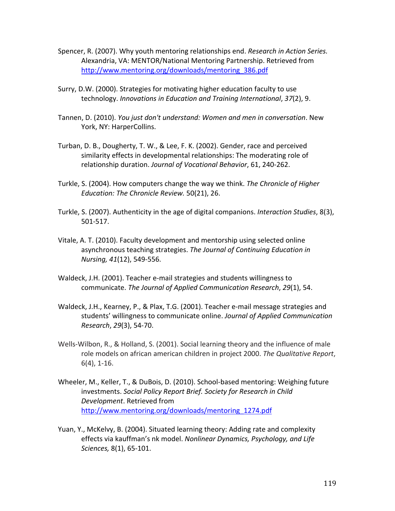- Spencer, R. (2007). Why youth mentoring relationships end. *Research in Action Series.* Alexandria, VA: MENTOR/National Mentoring Partnership. Retrieved from [http://www.mentoring.org/downloads/mentoring\\_386.pdf](http://www.mentoring.org/downloads/mentoring_386.pdf)
- Surry, D.W. (2000). Strategies for motivating higher education faculty to use technology. *Innovations in Education and Training International*, *37*(2), 9.
- Tannen, D. (2010). *You just don't understand: Women and men in conversation*. New York, NY: HarperCollins.
- Turban, D. B., Dougherty, T. W., & Lee, F. K. (2002). Gender, race and perceived similarity effects in developmental relationships: The moderating role of relationship duration. *Journal of Vocational Behavior*, 61, 240-262.
- Turkle, S. (2004). How computers change the way we think. *The Chronicle of Higher Education: The Chronicle Review.* 50(21), 26.
- Turkle, S. (2007). Authenticity in the age of digital companions. *Interaction Studies*, 8(3), 501-517.
- Vitale, A. T. (2010). Faculty development and mentorship using selected online asynchronous teaching strategies. *The Journal of Continuing Education in Nursing, 41*(12), 549-556.
- Waldeck, J.H. (2001). Teacher e-mail strategies and students willingness to communicate. *The Journal of Applied Communication Research*, *29*(1), 54.
- Waldeck, J.H., Kearney, P., & Plax, T.G. (2001). Teacher e-mail message strategies and students' willingness to communicate online. *Journal of Applied Communication Research*, *29*(3), 54-70.
- Wells-Wilbon, R., & Holland, S. (2001). Social learning theory and the influence of male role models on african american children in project 2000. *The Qualitative Report*, 6(4), 1-16.
- Wheeler, M., Keller, T., & DuBois, D. (2010). School-based mentoring: Weighing future investments. *Social Policy Report Brief. Society for Research in Child Development*. Retrieved from [http://www.mentoring.org/downloads/mentoring\\_1274.pdf](http://www.mentoring.org/downloads/mentoring_1274.pdf)
- Yuan, Y., McKelvy, B. (2004). Situated learning theory: Adding rate and complexity effects via kauffman's nk model. *Nonlinear Dynamics, Psychology, and Life Sciences,* 8(1), 65-101.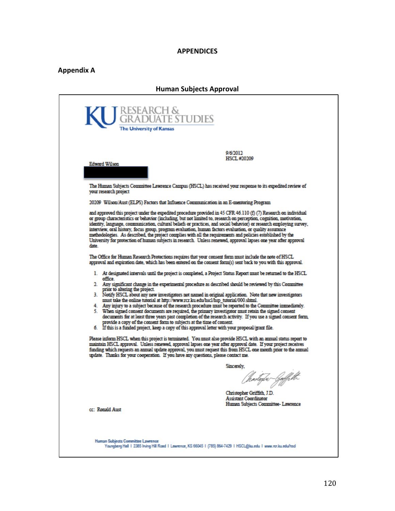## **APPENDICES**

# **Appendix A**

## **Human Subjects Approval**

| J RESEARCH &<br>J GRADUATE STUDIES<br><b>The University of Kansas</b>                                                                                                                                                                                                                                                                                                                                                                                                                                                                                                                                                                                                                                                                                         |
|---------------------------------------------------------------------------------------------------------------------------------------------------------------------------------------------------------------------------------------------------------------------------------------------------------------------------------------------------------------------------------------------------------------------------------------------------------------------------------------------------------------------------------------------------------------------------------------------------------------------------------------------------------------------------------------------------------------------------------------------------------------|
| 9/6/2012<br><b>HSCL#20209</b>                                                                                                                                                                                                                                                                                                                                                                                                                                                                                                                                                                                                                                                                                                                                 |
| <b>Edward Wilson</b>                                                                                                                                                                                                                                                                                                                                                                                                                                                                                                                                                                                                                                                                                                                                          |
| The Human Subjects Committee Lawrence Campus (HSCL) has received your response to its expedited review of<br>your research project                                                                                                                                                                                                                                                                                                                                                                                                                                                                                                                                                                                                                            |
| 20209 Wilson/Aust (ELPS) Factors that Influence Communication in an E-mentoring Program                                                                                                                                                                                                                                                                                                                                                                                                                                                                                                                                                                                                                                                                       |
| and approved this project under the expedited procedure provided in 45 CFR. 46.110 (f) (7) Research on individual<br>or group characteristics or behavior (including, but not limited to, research on perception, cognition, motivation,<br>identity, language, communication, cultural beliefs or practices, and social behavior) or research employing survey,<br>interview, oral history, focus group, program evaluation, human factors evaluation, or quality assurance<br>methodologies. As described, the project complies with all the requirements and policies established by the<br>University for protection of human subjects in research. Unless renewed, approval lapses one year after approval<br>date.                                      |
| The Office for Human Research Protections requires that your consent form must include the note of HSCL<br>approval and expiration date, which has been entered on the consent form(s) sent back to you with this approval.                                                                                                                                                                                                                                                                                                                                                                                                                                                                                                                                   |
| 1. At designated intervals until the project is completed, a Project Status Report must be returned to the HSCL<br>office.<br>2. Any significant change in the experimental procedure as described should be reviewed by this Committee                                                                                                                                                                                                                                                                                                                                                                                                                                                                                                                       |
| prior to altering the project.<br>3. Notify HSCL about any new investigators not named in original application. Note that new investigators<br>must take the online tutorial at http://www.rcr.ku.edu/hscl/hsp_tutorial/000.shtml.<br>4. Any injury to a subject because of the research procedure must be reported to the Committee immediately.<br>5. When signed consent documents are required, the primary investigator must retain the signed consent<br>documents for at least three years past completion of the research activity. If you use a signed consent form,<br>provide a copy of the consent form to subjects at the time of consent.<br>6. If this is a funded project, keep a copy of this approval letter with your proposal/grant file. |
| Please inform HSCL when this project is terminated. You must also provide HSCL with an annual status report to<br>maintain HSCL approval. Unless renewed, approval lapses one year after approval date. If your project receives<br>funding which requests an annual update approval, you must request this from HSCL one month prior to the annual<br>update. Thanks for your cooperation. If you have any questions, please contact me.                                                                                                                                                                                                                                                                                                                     |
| Sincerely,                                                                                                                                                                                                                                                                                                                                                                                                                                                                                                                                                                                                                                                                                                                                                    |
| (hodgte-bollette<br>$\sim$<br>s de contra de contra de contra de contra de contra de contra de contra de contra de contra de contra de contra de contra de contra de contra de contra de contra de contra de contra de contra de contra de contra de contra<br>O W                                                                                                                                                                                                                                                                                                                                                                                                                                                                                            |
| Christopher Griffith, J.D.<br><b>Assistant Coordinator</b><br>Human Subjects Committee- Lawrence                                                                                                                                                                                                                                                                                                                                                                                                                                                                                                                                                                                                                                                              |
| cc: Ronald Aust                                                                                                                                                                                                                                                                                                                                                                                                                                                                                                                                                                                                                                                                                                                                               |
| Human Subjects Committee Lawrence<br>Youngberg Hall 1 2385 Irving Hill Road 1 Lawrence, KS 66045 1 (785) 864-7429 1 HSCL@ku.edu 1 www.ncr.ku.edu/racl                                                                                                                                                                                                                                                                                                                                                                                                                                                                                                                                                                                                         |
|                                                                                                                                                                                                                                                                                                                                                                                                                                                                                                                                                                                                                                                                                                                                                               |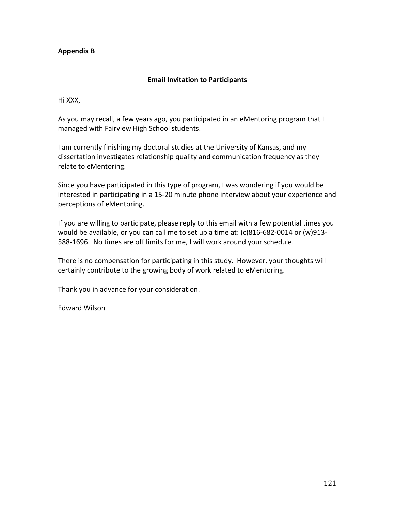## **Appendix B**

### **Email Invitation to Participants**

Hi XXX,

As you may recall, a few years ago, you participated in an eMentoring program that I managed with Fairview High School students.

I am currently finishing my doctoral studies at the University of Kansas, and my dissertation investigates relationship quality and communication frequency as they relate to eMentoring.

Since you have participated in this type of program, I was wondering if you would be interested in participating in a 15-20 minute phone interview about your experience and perceptions of eMentoring.

If you are willing to participate, please reply to this email with a few potential times you would be available, or you can call me to set up a time at: (c)816-682-0014 or (w)913- 588-1696. No times are off limits for me, I will work around your schedule.

There is no compensation for participating in this study. However, your thoughts will certainly contribute to the growing body of work related to eMentoring.

Thank you in advance for your consideration.

Edward Wilson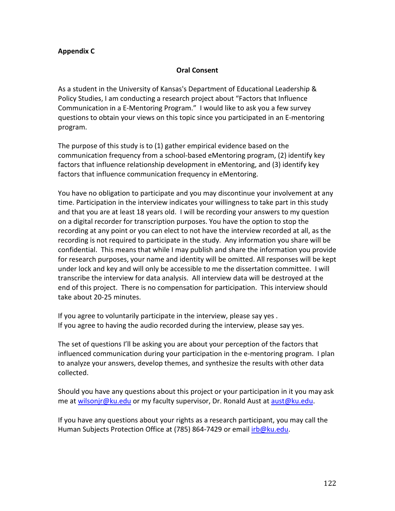## **Appendix C**

### **Oral Consent**

As a student in the University of Kansas's Department of Educational Leadership & Policy Studies, I am conducting a research project about "Factors that Influence Communication in a E-Mentoring Program." I would like to ask you a few survey questions to obtain your views on this topic since you participated in an E-mentoring program.

The purpose of this study is to (1) gather empirical evidence based on the communication frequency from a school-based eMentoring program, (2) identify key factors that influence relationship development in eMentoring, and (3) identify key factors that influence communication frequency in eMentoring.

You have no obligation to participate and you may discontinue your involvement at any time. Participation in the interview indicates your willingness to take part in this study and that you are at least 18 years old. I will be recording your answers to my question on a digital recorder for transcription purposes. You have the option to stop the recording at any point or you can elect to not have the interview recorded at all, as the recording is not required to participate in the study. Any information you share will be confidential. This means that while I may publish and share the information you provide for research purposes, your name and identity will be omitted. All responses will be kept under lock and key and will only be accessible to me the dissertation committee. I will transcribe the interview for data analysis. All interview data will be destroyed at the end of this project. There is no compensation for participation. This interview should take about 20-25 minutes.

If you agree to voluntarily participate in the interview, please say yes . If you agree to having the audio recorded during the interview, please say yes.

The set of questions I'll be asking you are about your perception of the factors that influenced communication during your participation in the e-mentoring program. I plan to analyze your answers, develop themes, and synthesize the results with other data collected.

Should you have any questions about this project or your participation in it you may ask me a[t wilsonjr@ku.edu](mailto:wilsonjr@ku.edu) or my faculty supervisor, Dr. Ronald Aust at [aust@ku.edu.](mailto:aust@ku.edu)

If you have any questions about your rights as a research participant, you may call the Human Subjects Protection Office at (785) 864-7429 or emai[l irb@ku.edu.](mailto:irb@ku.edu)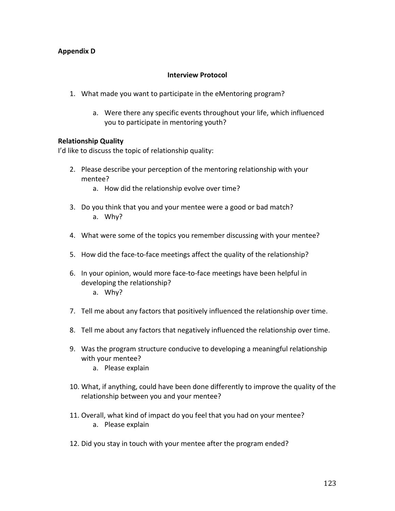## **Appendix D**

### **Interview Protocol**

- 1. What made you want to participate in the eMentoring program?
	- a. Were there any specific events throughout your life, which influenced you to participate in mentoring youth?

### **Relationship Quality**

I'd like to discuss the topic of relationship quality:

- 2. Please describe your perception of the mentoring relationship with your mentee?
	- a. How did the relationship evolve over time?
- 3. Do you think that you and your mentee were a good or bad match? a. Why?
- 4. What were some of the topics you remember discussing with your mentee?
- 5. How did the face-to-face meetings affect the quality of the relationship?
- 6. In your opinion, would more face-to-face meetings have been helpful in developing the relationship?
	- a. Why?
- 7. Tell me about any factors that positively influenced the relationship over time.
- 8. Tell me about any factors that negatively influenced the relationship over time.
- 9. Was the program structure conducive to developing a meaningful relationship with your mentee?
	- a. Please explain
- 10. What, if anything, could have been done differently to improve the quality of the relationship between you and your mentee?
- 11. Overall, what kind of impact do you feel that you had on your mentee? a. Please explain
- 12. Did you stay in touch with your mentee after the program ended?